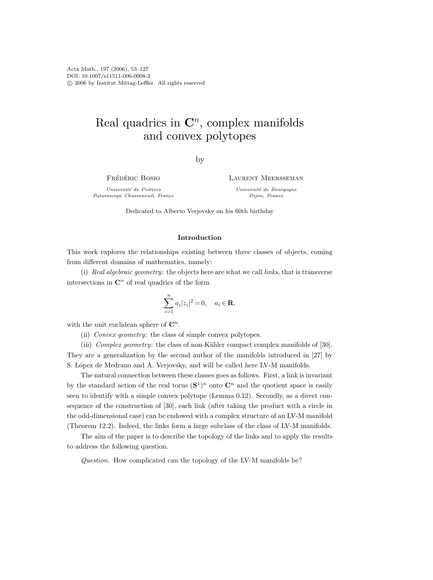# Real quadrics in  $\mathbb{C}^n$ , complex manifolds and convex polytopes

by

FRÉDÉRIC BOSIO

Université de Poitiers Futuroscope Chasseneuil, France Laurent Meersseman

Université de Bourgogne Dijon, France

Dedicated to Alberto Verjovsky on his 60th birthday

## Introduction

This work explores the relationships existing between three classes of objects, coming from different domains of mathematics, namely:

(i) Real algebraic geometry: the objects here are what we call links, that is transverse intersections in  $\mathbb{C}^n$  of real quadrics of the form

$$
\sum_{i=1}^{n} a_i |z_i|^2 = 0, \quad a_i \in \mathbf{R},
$$

with the unit euclidean sphere of  $\mathbb{C}^n$ .

(ii) Convex geometry: the class of simple convex polytopes.

(iii) Complex geometry: the class of non-Kähler compact complex manifolds of  $[30]$ . They are a generalization by the second author of the manifolds introduced in [27] by S. López de Medrano and A. Verjovsky, and will be called here LV-M manifolds.

The natural connection between these classes goes as follows. First, a link is invariant by the standard action of the real torus  $({\bf S}^1)^n$  onto  ${\bf C}^n$  and the quotient space is easily seen to identify with a simple convex polytope (Lemma 0.12). Secondly, as a direct consequence of the construction of [30], each link (after taking the product with a circle in the odd-dimensional case) can be endowed with a complex structure of an LV-M manifold (Theorem 12.2). Indeed, the links form a large subclass of the class of LV-M manifolds.

The aim of the paper is to describe the topology of the links and to apply the results to address the following question.

Question. How complicated can the topology of the LV-M manifolds be?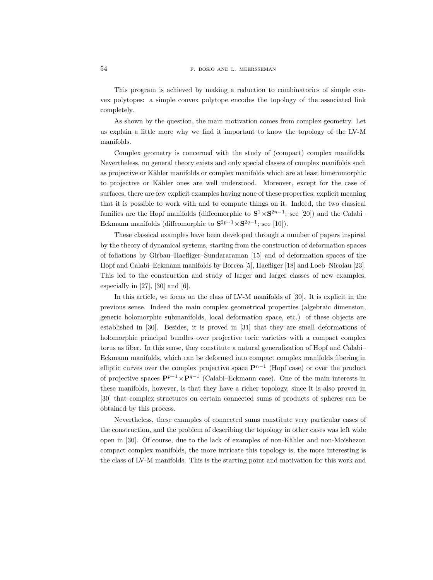This program is achieved by making a reduction to combinatorics of simple convex polytopes: a simple convex polytope encodes the topology of the associated link completely.

As shown by the question, the main motivation comes from complex geometry. Let us explain a little more why we find it important to know the topology of the LV-M manifolds.

Complex geometry is concerned with the study of (compact) complex manifolds. Nevertheless, no general theory exists and only special classes of complex manifolds such as projective or Kähler manifolds or complex manifolds which are at least bimeromorphic to projective or Kähler ones are well understood. Moreover, except for the case of surfaces, there are few explicit examples having none of these properties; explicit meaning that it is possible to work with and to compute things on it. Indeed, the two classical families are the Hopf manifolds (diffeomorphic to  $S^1 \times S^{2n-1}$ ; see [20]) and the Calabi– Eckmann manifolds (diffeomorphic to  $S^{2p-1} \times S^{2q-1}$ ; see [10]).

These classical examples have been developed through a number of papers inspired by the theory of dynamical systems, starting from the construction of deformation spaces of foliations by Girbau–Haefliger–Sundararaman [15] and of deformation spaces of the Hopf and Calabi–Eckmann manifolds by Borcea [5], Haefliger [18] and Loeb–Nicolau [23]. This led to the construction and study of larger and larger classes of new examples, especially in  $[27]$ ,  $[30]$  and  $[6]$ .

In this article, we focus on the class of LV-M manifolds of [30]. It is explicit in the previous sense. Indeed the main complex geometrical properties (algebraic dimension, generic holomorphic submanifolds, local deformation space, etc.) of these objects are established in [30]. Besides, it is proved in [31] that they are small deformations of holomorphic principal bundles over projective toric varieties with a compact complex torus as fiber. In this sense, they constitute a natural generalization of Hopf and Calabi– Eckmann manifolds, which can be deformed into compact complex manifolds fibering in elliptic curves over the complex projective space  $\mathbf{P}^{n-1}$  (Hopf case) or over the product of projective spaces  $\mathbf{P}^{p-1} \times \mathbf{P}^{q-1}$  (Calabi–Eckmann case). One of the main interests in these manifolds, however, is that they have a richer topology, since it is also proved in [30] that complex structures on certain connected sums of products of spheres can be obtained by this process.

Nevertheless, these examples of connected sums constitute very particular cases of the construction, and the problem of describing the topology in other cases was left wide open in [30]. Of course, due to the lack of examples of non-Kähler and non-Moïshezon compact complex manifolds, the more intricate this topology is, the more interesting is the class of LV-M manifolds. This is the starting point and motivation for this work and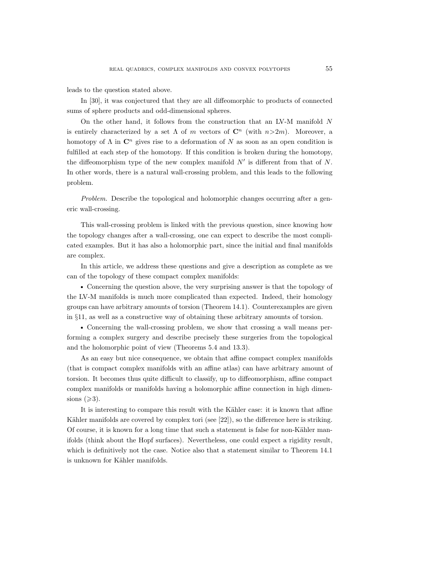leads to the question stated above.

In [30], it was conjectured that they are all diffeomorphic to products of connected sums of sphere products and odd-dimensional spheres.

On the other hand, it follows from the construction that an LV-M manifold N is entirely characterized by a set  $\Lambda$  of m vectors of  $\mathbb{C}^n$  (with  $n>2m$ ). Moreover, a homotopy of  $\Lambda$  in  $\mathbb{C}^n$  gives rise to a deformation of N as soon as an open condition is fulfilled at each step of the homotopy. If this condition is broken during the homotopy, the diffeomorphism type of the new complex manifold  $N'$  is different from that of  $N$ . In other words, there is a natural wall-crossing problem, and this leads to the following problem.

Problem. Describe the topological and holomorphic changes occurring after a generic wall-crossing.

This wall-crossing problem is linked with the previous question, since knowing how the topology changes after a wall-crossing, one can expect to describe the most complicated examples. But it has also a holomorphic part, since the initial and final manifolds are complex.

In this article, we address these questions and give a description as complete as we can of the topology of these compact complex manifolds:

 Concerning the question above, the very surprising answer is that the topology of the LV-M manifolds is much more complicated than expected. Indeed, their homology groups can have arbitrary amounts of torsion (Theorem 14.1). Counterexamples are given in §11, as well as a constructive way of obtaining these arbitrary amounts of torsion.

 Concerning the wall-crossing problem, we show that crossing a wall means performing a complex surgery and describe precisely these surgeries from the topological and the holomorphic point of view (Theorems 5.4 and 13.3).

As an easy but nice consequence, we obtain that affine compact complex manifolds (that is compact complex manifolds with an affine atlas) can have arbitrary amount of torsion. It becomes thus quite difficult to classify, up to diffeomorphism, affine compact complex manifolds or manifolds having a holomorphic affine connection in high dimensions  $(\geq 3)$ .

It is interesting to compare this result with the Kähler case: it is known that affine Kähler manifolds are covered by complex tori (see  $[22]$ ), so the difference here is striking. Of course, it is known for a long time that such a statement is false for non-Kähler manifolds (think about the Hopf surfaces). Nevertheless, one could expect a rigidity result, which is definitively not the case. Notice also that a statement similar to Theorem 14.1 is unknown for Kähler manifolds.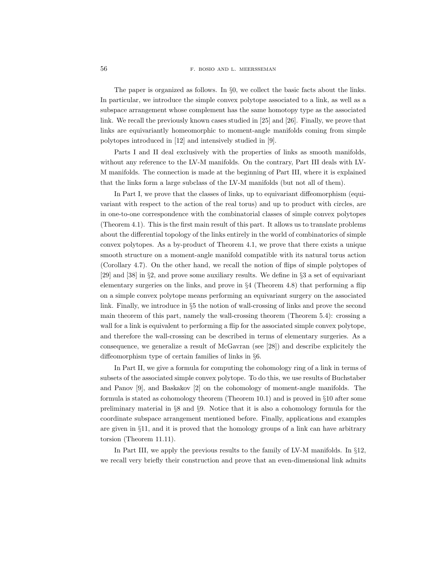The paper is organized as follows. In §0, we collect the basic facts about the links. In particular, we introduce the simple convex polytope associated to a link, as well as a subspace arrangement whose complement has the same homotopy type as the associated link. We recall the previously known cases studied in [25] and [26]. Finally, we prove that links are equivariantly homeomorphic to moment-angle manifolds coming from simple polytopes introduced in [12] and intensively studied in [9].

Parts I and II deal exclusively with the properties of links as smooth manifolds, without any reference to the LV-M manifolds. On the contrary, Part III deals with LV-M manifolds. The connection is made at the beginning of Part III, where it is explained that the links form a large subclass of the LV-M manifolds (but not all of them).

In Part I, we prove that the classes of links, up to equivariant diffeomorphism (equivariant with respect to the action of the real torus) and up to product with circles, are in one-to-one correspondence with the combinatorial classes of simple convex polytopes (Theorem 4.1). This is the first main result of this part. It allows us to translate problems about the differential topology of the links entirely in the world of combinatorics of simple convex polytopes. As a by-product of Theorem 4.1, we prove that there exists a unique smooth structure on a moment-angle manifold compatible with its natural torus action (Corollary 4.7). On the other hand, we recall the notion of flips of simple polytopes of [29] and [38] in §2, and prove some auxiliary results. We define in §3 a set of equivariant elementary surgeries on the links, and prove in §4 (Theorem 4.8) that performing a flip on a simple convex polytope means performing an equivariant surgery on the associated link. Finally, we introduce in §5 the notion of wall-crossing of links and prove the second main theorem of this part, namely the wall-crossing theorem (Theorem 5.4): crossing a wall for a link is equivalent to performing a flip for the associated simple convex polytope, and therefore the wall-crossing can be described in terms of elementary surgeries. As a consequence, we generalize a result of McGavran (see [28]) and describe explicitely the diffeomorphism type of certain families of links in §6.

In Part II, we give a formula for computing the cohomology ring of a link in terms of subsets of the associated simple convex polytope. To do this, we use results of Buchstaber and Panov [9], and Baskakov [2] on the cohomology of moment-angle manifolds. The formula is stated as cohomology theorem (Theorem 10.1) and is proved in §10 after some preliminary material in §8 and §9. Notice that it is also a cohomology formula for the coordinate subspace arrangement mentioned before. Finally, applications and examples are given in §11, and it is proved that the homology groups of a link can have arbitrary torsion (Theorem 11.11).

In Part III, we apply the previous results to the family of LV-M manifolds. In §12, we recall very briefly their construction and prove that an even-dimensional link admits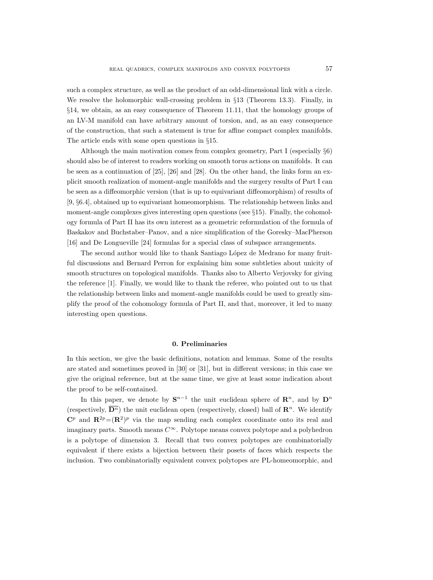such a complex structure, as well as the product of an odd-dimensional link with a circle. We resolve the holomorphic wall-crossing problem in §13 (Theorem 13.3). Finally, in §14, we obtain, as an easy consequence of Theorem 11.11, that the homology groups of an LV-M manifold can have arbitrary amount of torsion, and, as an easy consequence of the construction, that such a statement is true for affine compact complex manifolds. The article ends with some open questions in §15.

Although the main motivation comes from complex geometry, Part I (especially §6) should also be of interest to readers working on smooth torus actions on manifolds. It can be seen as a continuation of [25], [26] and [28]. On the other hand, the links form an explicit smooth realization of moment-angle manifolds and the surgery results of Part I can be seen as a diffeomorphic version (that is up to equivariant diffeomorphism) of results of [9, §6.4], obtained up to equivariant homeomorphism. The relationship between links and moment-angle complexes gives interesting open questions (see  $\S15$ ). Finally, the cohomology formula of Part II has its own interest as a geometric reformulation of the formula of Baskakov and Buchstaber–Panov, and a nice simplification of the Goresky–MacPherson [16] and De Longueville [24] formulas for a special class of subspace arrangements.

The second author would like to thank Santiago López de Medrano for many fruitful discussions and Bernard Perron for explaining him some subtleties about unicity of smooth structures on topological manifolds. Thanks also to Alberto Verjovsky for giving the reference [1]. Finally, we would like to thank the referee, who pointed out to us that the relationship between links and moment-angle manifolds could be used to greatly simplify the proof of the cohomology formula of Part II, and that, moreover, it led to many interesting open questions.

# 0. Preliminaries

In this section, we give the basic definitions, notation and lemmas. Some of the results are stated and sometimes proved in [30] or [31], but in different versions; in this case we give the original reference, but at the same time, we give at least some indication about the proof to be self-contained.

In this paper, we denote by  $S^{n-1}$  the unit euclidean sphere of  $\mathbb{R}^n$ , and by  $D^n$ (respectively,  $\overline{\mathbf{D}^n}$ ) the unit euclidean open (respectively, closed) ball of  $\mathbf{R}^n$ . We identify  $\mathbb{C}^p$  and  $\mathbb{R}^{2p} = (\mathbb{R}^2)^p$  via the map sending each complex coordinate onto its real and imaginary parts. Smooth means  $C^{\infty}$ . Polytope means convex polytope and a polyhedron is a polytope of dimension 3. Recall that two convex polytopes are combinatorially equivalent if there exists a bijection between their posets of faces which respects the inclusion. Two combinatorially equivalent convex polytopes are PL-homeomorphic, and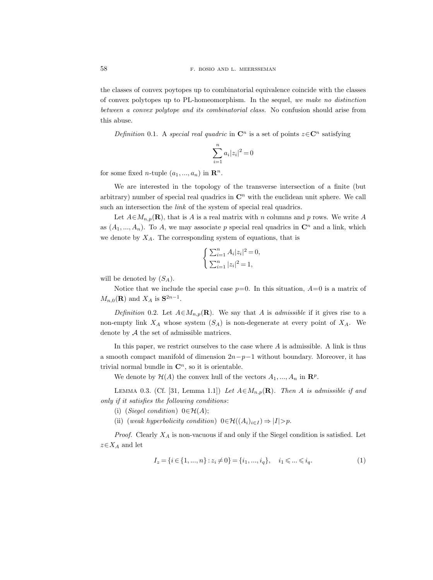the classes of convex poytopes up to combinatorial equivalence coincide with the classes of convex polytopes up to PL-homeomorphism. In the sequel, we make no distinction between a convex polytope and its combinatorial class. No confusion should arise from this abuse.

Definition 0.1. A special real quadric in  $\mathbb{C}^n$  is a set of points  $z \in \mathbb{C}^n$  satisfying

$$
\sum_{i=1}^{n} a_i |z_i|^2 = 0
$$

for some fixed *n*-tuple  $(a_1, ..., a_n)$  in  $\mathbb{R}^n$ .

We are interested in the topology of the transverse intersection of a finite (but arbitrary) number of special real quadrics in  $\mathbb{C}^n$  with the euclidean unit sphere. We call such an intersection the *link* of the system of special real quadrics.

Let  $A \in M_{n,p}(\mathbf{R})$ , that is A is a real matrix with n columns and p rows. We write A as  $(A_1, ..., A_n)$ . To A, we may associate p special real quadrics in  $\mathbb{C}^n$  and a link, which we denote by  $X_A$ . The corresponding system of equations, that is

$$
\begin{cases} \sum_{i=1}^{n} A_i |z_i|^2 = 0, \\ \sum_{i=1}^{n} |z_i|^2 = 1, \end{cases}
$$

will be denoted by  $(S_A)$ .

Notice that we include the special case  $p=0$ . In this situation,  $A=0$  is a matrix of  $M_{n,0}(\mathbf{R})$  and  $X_A$  is  $\mathbf{S}^{2n-1}$ .

Definition 0.2. Let  $A \in M_{n,p}(\mathbf{R})$ . We say that A is admissible if it gives rise to a non-empty link  $X_A$  whose system  $(S_A)$  is non-degenerate at every point of  $X_A$ . We denote by A the set of admissible matrices.

In this paper, we restrict ourselves to the case where A is admissible. A link is thus a smooth compact manifold of dimension  $2n-p-1$  without boundary. Moreover, it has trivial normal bundle in  $\mathbb{C}^n$ , so it is orientable.

We denote by  $\mathcal{H}(A)$  the convex hull of the vectors  $A_1, ..., A_n$  in  $\mathbb{R}^p$ .

LEMMA 0.3. (Cf. [31, Lemma 1.1]) Let  $A \in M_{n,p}(\mathbf{R})$ . Then A is admissible if and only if it satisfies the following conditions:

(i) (Siegel condition)  $0 \in \mathcal{H}(A)$ ;

(ii) (weak hyperbolicity condition)  $0 \in \mathcal{H}((A_i)_{i \in I}) \Rightarrow |I| > p$ .

*Proof.* Clearly  $X_A$  is non-vacuous if and only if the Siegel condition is satisfied. Let  $z \in X_A$  and let

$$
I_z = \{i \in \{1, ..., n\} : z_i \neq 0\} = \{i_1, ..., i_q\}, \quad i_1 \leqslant ... \leqslant i_q. \tag{1}
$$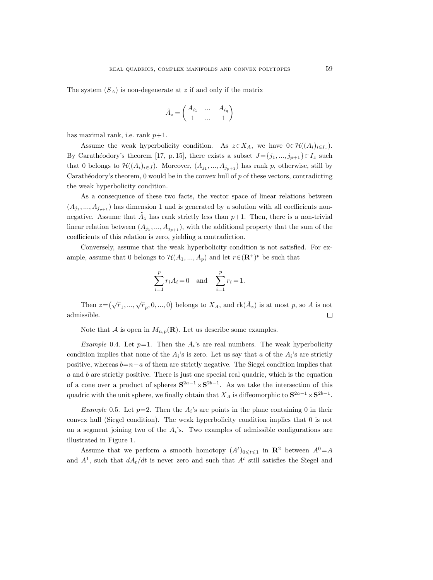The system  $(S_A)$  is non-degenerate at z if and only if the matrix

$$
\tilde{A}_z = \begin{pmatrix} A_{i_1} & \dots & A_{i_q} \\ 1 & \dots & 1 \end{pmatrix}
$$

has maximal rank, i.e. rank  $p+1$ .

Assume the weak hyperbolicity condition. As  $z \in X_A$ , we have  $0 \in \mathcal{H}((A_i)_{i \in I_z})$ . By Carathéodory's theorem [17, p. 15], there exists a subset  $J=\{j_1, ..., j_{p+1}\}\subset I_z$  such that 0 belongs to  $\mathcal{H}((A_i)_{i\in J})$ . Moreover,  $(A_{j_1},...,A_{j_{p+1}})$  has rank p, otherwise, still by Carathéodory's theorem, 0 would be in the convex hull of  $p$  of these vectors, contradicting the weak hyperbolicity condition.

As a consequence of these two facts, the vector space of linear relations between  $(A_{j_1},..., A_{j_{p+1}})$  has dimension 1 and is generated by a solution with all coefficients nonnegative. Assume that  $\tilde{A}_z$  has rank strictly less than  $p+1$ . Then, there is a non-trivial linear relation between  $(A_{j_1},..., A_{j_{p+1}})$ , with the additional property that the sum of the coefficients of this relation is zero, yielding a contradiction.

Conversely, assume that the weak hyperbolicity condition is not satisfied. For example, assume that 0 belongs to  $\mathcal{H}(A_1, ..., A_p)$  and let  $r \in (\mathbf{R}^+)^p$  be such that

$$
\sum_{i=1}^{p} r_i A_i = 0 \text{ and } \sum_{i=1}^{p} r_i = 1.
$$

Then  $z = (\sqrt{r}_1, ..., \sqrt{r}_p, 0, ..., 0)$  belongs to  $X_A$ , and  $\text{rk}(\tilde{A}_z)$  is at most p, so A is not admissible.  $\Box$ 

Note that A is open in  $M_{n,p}(\mathbf{R})$ . Let us describe some examples.

*Example* 0.4. Let  $p=1$ . Then the  $A_i$ 's are real numbers. The weak hyperbolicity condition implies that none of the  $A_i$ 's is zero. Let us say that a of the  $A_i$ 's are strictly positive, whereas  $b=n-a$  of them are strictly negative. The Siegel condition implies that a and b are strictly positive. There is just one special real quadric, which is the equation of a cone over a product of spheres  $S^{2a-1} \times S^{2b-1}$ . As we take the intersection of this quadric with the unit sphere, we finally obtain that  $X_A$  is diffeomorphic to  $S^{2a-1} \times S^{2b-1}$ .

*Example* 0.5. Let  $p=2$ . Then the  $A_i$ 's are points in the plane containing 0 in their convex hull (Siegel condition). The weak hyperbolicity condition implies that 0 is not on a segment joining two of the  $A_i$ 's. Two examples of admissible configurations are illustrated in Figure 1.

Assume that we perform a smooth homotopy  $(A^t)_{0\leq t\leq 1}$  in  $\mathbb{R}^2$  between  $A^0 = A$ and  $A^1$ , such that  $dA_t/dt$  is never zero and such that  $A^t$  still satisfies the Siegel and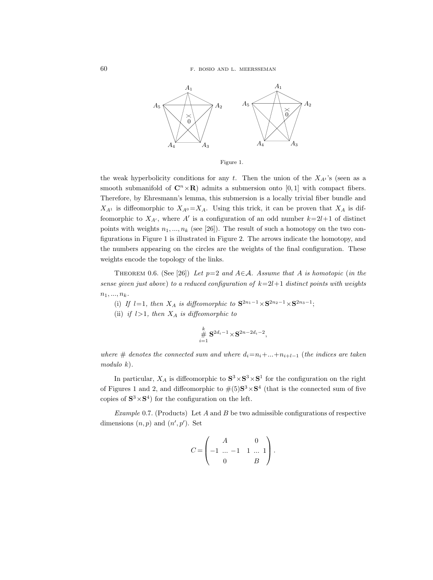

Figure 1.

the weak hyperbolicity conditions for any t. Then the union of the  $X_{A}$ <sup>t</sup>'s (seen as a smooth submanifold of  $\mathbb{C}^n \times \mathbb{R}$  admits a submersion onto [0, 1] with compact fibers. Therefore, by Ehresmann's lemma, this submersion is a locally trivial fiber bundle and  $X_{A^1}$  is diffeomorphic to  $X_{A^0}=X_A$ . Using this trick, it can be proven that  $X_A$  is diffeomorphic to  $X_{A'}$ , where A' is a configuration of an odd number  $k=2l+1$  of distinct points with weights  $n_1, ..., n_k$  (see [26]). The result of such a homotopy on the two configurations in Figure 1 is illustrated in Figure 2. The arrows indicate the homotopy, and the numbers appearing on the circles are the weights of the final configuration. These weights encode the topology of the links.

THEOREM 0.6. (See [26]) Let  $p=2$  and  $A\in\mathcal{A}$ . Assume that A is homotopic (in the sense given just above) to a reduced configuration of  $k=2l+1$  distinct points with weights  $n_1, ..., n_k$ .

(i) If  $l=1$ , then  $X_A$  is diffeomorphic to  $S^{2n_1-1} \times S^{2n_2-1} \times S^{2n_3-1}$ ;

(ii) if  $l>1$ , then  $X_A$  is diffeomorphic to

$$
\stackrel{k}{\#} \mathbf{S}^{2d_i-1} \times \mathbf{S}^{2n-2d_i-2},
$$

where # denotes the connected sum and where  $d_i=n_i+\ldots+n_{i+l-1}$  (the indices are taken modulo k).

In particular,  $X_A$  is diffeomorphic to  $S^3 \times S^3 \times S^1$  for the configuration on the right of Figures 1 and 2, and diffeomorphic to  $\#(5)S^3 \times S^4$  (that is the connected sum of five copies of  $S^3 \times S^4$  for the configuration on the left.

Example 0.7. (Products) Let A and B be two admissible configurations of respective dimensions  $(n, p)$  and  $(n', p')$ . Set

$$
C = \begin{pmatrix} A & 0 \\ -1 & \dots & -1 & 1 & \dots & 1 \\ 0 & B & \end{pmatrix}.
$$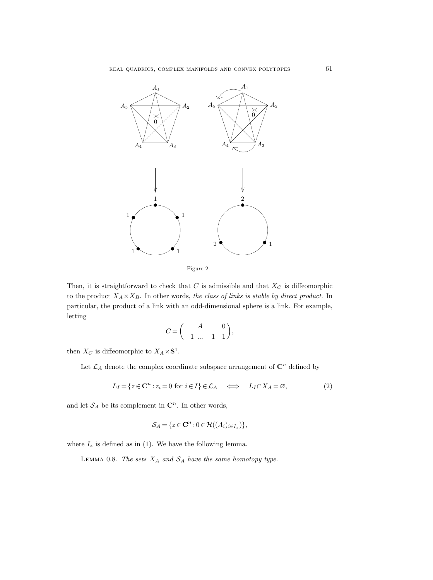

Figure 2.

Then, it is straightforward to check that  $C$  is admissible and that  $X_C$  is diffeomorphic to the product  $X_A \times X_B$ . In other words, the class of links is stable by direct product. In particular, the product of a link with an odd-dimensional sphere is a link. For example, letting

$$
C = \begin{pmatrix} A & 0 \\ -1 & \dots & -1 & 1 \end{pmatrix},
$$

then  $X_C$  is diffeomorphic to  $X_A \times \mathbf{S}^1$ .

Let  $\mathcal{L}_A$  denote the complex coordinate subspace arrangement of  $\mathbb{C}^n$  defined by

$$
L_I = \{ z \in \mathbf{C}^n : z_i = 0 \text{ for } i \in I \} \in \mathcal{L}_A \iff L_I \cap X_A = \varnothing,
$$
\n
$$
(2)
$$

and let  $S_A$  be its complement in  $\mathbb{C}^n$ . In other words,

$$
\mathcal{S}_A = \{ z \in \mathbf{C}^n : 0 \in \mathcal{H}((A_i)_{i \in I_z}) \},
$$

where  $I_z$  is defined as in (1). We have the following lemma.

LEMMA 0.8. The sets  $X_A$  and  $S_A$  have the same homotopy type.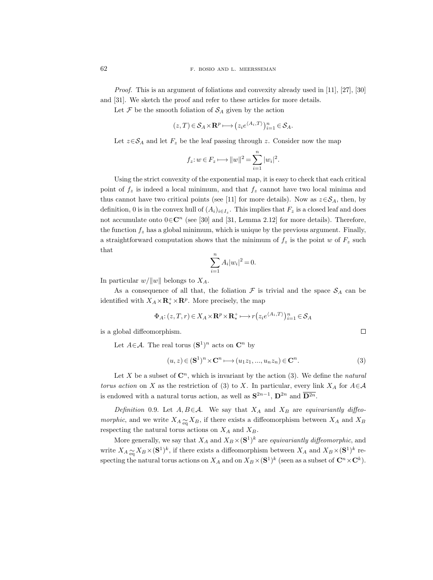*Proof.* This is an argument of foliations and convexity already used in [11], [27], [30] and [31]. We sketch the proof and refer to these articles for more details.

Let  $\mathcal F$  be the smooth foliation of  $\mathcal S_A$  given by the action

$$
(z,T) \in \mathcal{S}_A \times \mathbf{R}^p \longmapsto (z_i e^{\langle A_i, T \rangle})_{i=1}^n \in \mathcal{S}_A.
$$

Let  $z \in S_A$  and let  $F_z$  be the leaf passing through z. Consider now the map

$$
f_z: w \in F_z \longmapsto ||w||^2 = \sum_{i=1}^n |w_i|^2.
$$

Using the strict convexity of the exponential map, it is easy to check that each critical point of  $f_z$  is indeed a local minimum, and that  $f_z$  cannot have two local minima and thus cannot have two critical points (see [11] for more details). Now as  $z \in S<sub>A</sub>$ , then, by definition, 0 is in the convex hull of  $(A_i)_{i \in I_z}$ . This implies that  $F_z$  is a closed leaf and does not accumulate onto  $0 \in \mathbb{C}^n$  (see [30] and [31, Lemma 2.12] for more details). Therefore, the function  $f_z$  has a global minimum, which is unique by the previous argument. Finally, a straightforward computation shows that the minimum of  $f<sub>z</sub>$  is the point w of  $F<sub>z</sub>$  such that

$$
\sum_{i=1}^{n} A_i |w_i|^2 = 0.
$$

In particular  $w/||w||$  belongs to  $X_A$ .

As a consequence of all that, the foliation  $\mathcal F$  is trivial and the space  $\mathcal S_A$  can be identified with  $X_A \times \mathbf{R}^+_* \times \mathbf{R}^p$ . More precisely, the map

$$
\Phi_A: (z, T, r) \in X_A \times \mathbf{R}^p \times \mathbf{R}_*^+ \longmapsto r(z_i e^{\langle A_i, T \rangle})_{i=1}^n \in \mathcal{S}_A
$$

is a global diffeomorphism.

Let  $A \in \mathcal{A}$ . The real torus  $({\bf S}^1)^n$  acts on  ${\bf C}^n$  by

$$
(u, z) \in (\mathbf{S}^1)^n \times \mathbf{C}^n \longmapsto (u_1 z_1, ..., u_n z_n) \in \mathbf{C}^n.
$$
 (3)

 $\Box$ 

Let X be a subset of  $\mathbb{C}^n$ , which is invariant by the action (3). We define the *natural* torus action on X as the restriction of (3) to X. In particular, every link  $X_A$  for  $A \in \mathcal{A}$ is endowed with a natural torus action, as well as  $S^{2n-1}$ ,  $D^{2n}$  and  $\overline{D^{2n}}$ .

Definition 0.9. Let  $A, B \in \mathcal{A}$ . We say that  $X_A$  and  $X_B$  are equivariantly diffeo*morphic*, and we write  $X_A \underset{\text{eq}}{\sim} X_B$ , if there exists a diffeomorphism between  $X_A$  and  $X_B$ respecting the natural torus actions on  $X_A$  and  $X_B$ .

More generally, we say that  $X_A$  and  $X_B\times (\mathbf{S}^1)^k$  are *equivariantly diffeomorphic*, and write  $X_A \sim_{\text{eq}} X_B \times (\mathbf{S}^1)^k$ , if there exists a diffeomorphism between  $X_A$  and  $X_B \times (\mathbf{S}^1)^k$  respecting the natural torus actions on  $X_A$  and on  $X_B\times(\mathbf{S}^1)^k$  (seen as a subset of  $\mathbf{C}^n\times\mathbf{C}^k$ ).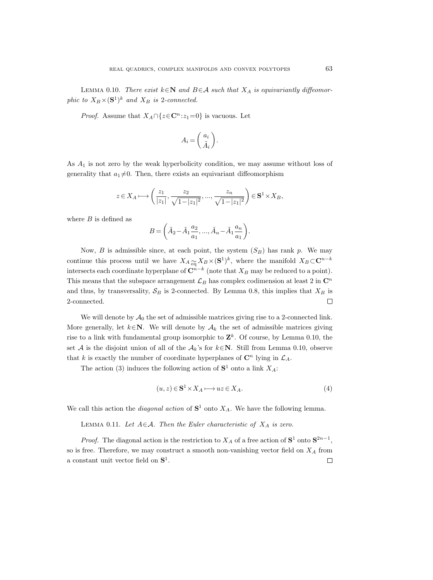LEMMA 0.10. There exist  $k \in \mathbb{N}$  and  $B \in \mathcal{A}$  such that  $X_A$  is equivariantly diffeomorphic to  $X_B \times (\mathbf{S}^1)^k$  and  $X_B$  is 2-connected.

*Proof.* Assume that  $X_A \cap \{z \in \mathbb{C}^n : z_1 = 0\}$  is vacuous. Let

$$
A_i = \begin{pmatrix} a_i \\ \tilde{A}_i \end{pmatrix}.
$$

As  $A_1$  is not zero by the weak hyperbolicity condition, we may assume without loss of generality that  $a_1 \neq 0$ . Then, there exists an equivariant diffeomorphism

$$
z \in X_A \longmapsto \left(\frac{z_1}{|z_1|}, \frac{z_2}{\sqrt{1-|z_1|^2}}, \dots, \frac{z_n}{\sqrt{1-|z_1|^2}}\right) \in \mathbf{S}^1 \times X_B,
$$

where  $B$  is defined as

$$
B = \left(\tilde{A}_2 - \tilde{A}_1 \frac{a_2}{a_1}, \dots, \tilde{A}_n - \tilde{A}_1 \frac{a_n}{a_1}\right).
$$

Now, B is admissible since, at each point, the system  $(S_B)$  has rank p. We may continue this process until we have  $X_A \underset{\text{eq}}{\sim} X_B \times (\mathbf{S}^1)^k$ , where the manifold  $X_B \subset \mathbf{C}^{n-k}$ intersects each coordinate hyperplane of  $\mathbb{C}^{n-k}$  (note that  $X_B$  may be reduced to a point). This means that the subspace arrangement  $\mathcal{L}_B$  has complex codimension at least 2 in  $\mathbb{C}^n$ and thus, by transversality,  $S_B$  is 2-connected. By Lemma 0.8, this implies that  $X_B$  is 2-connected. П

We will denote by  $\mathcal{A}_0$  the set of admissible matrices giving rise to a 2-connected link. More generally, let  $k \in \mathbb{N}$ . We will denote by  $\mathcal{A}_k$  the set of admissible matrices giving rise to a link with fundamental group isomorphic to  $\mathbf{Z}^k$ . Of course, by Lemma 0.10, the set A is the disjoint union of all of the  $A_k$ 's for  $k \in \mathbb{N}$ . Still from Lemma 0.10, observe that k is exactly the number of coordinate hyperplanes of  $\mathbb{C}^n$  lying in  $\mathcal{L}_A$ .

The action (3) induces the following action of  $S^1$  onto a link  $X_A$ :

$$
(u, z) \in \mathbf{S}^1 \times X_A \longmapsto uz \in X_A. \tag{4}
$$

We call this action the *diagonal action* of  $S^1$  onto  $X_A$ . We have the following lemma.

LEMMA 0.11. Let  $A \in \mathcal{A}$ . Then the Euler characteristic of  $X_A$  is zero.

*Proof.* The diagonal action is the restriction to  $X_A$  of a free action of  $S^1$  onto  $S^{2n-1}$ , so is free. Therefore, we may construct a smooth non-vanishing vector field on  $X_A$  from a constant unit vector field on  $S^1$ .  $\Box$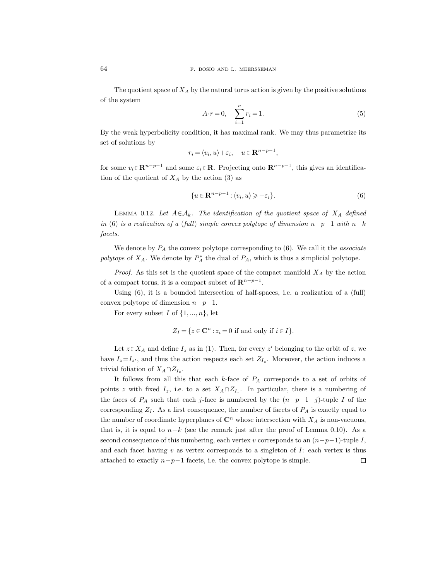The quotient space of  $X_A$  by the natural torus action is given by the positive solutions of the system

$$
A \cdot r = 0, \quad \sum_{i=1}^{n} r_i = 1. \tag{5}
$$

By the weak hyperbolicity condition, it has maximal rank. We may thus parametrize its set of solutions by

$$
r_i = \langle v_i, u \rangle + \varepsilon_i, \quad u \in \mathbf{R}^{n-p-1},
$$

for some  $v_i \in \mathbb{R}^{n-p-1}$  and some  $\varepsilon_i \in \mathbb{R}$ . Projecting onto  $\mathbb{R}^{n-p-1}$ , this gives an identification of the quotient of  $X_A$  by the action (3) as

$$
\{u \in \mathbf{R}^{n-p-1} : \langle v_i, u \rangle \geqslant -\varepsilon_i\}.
$$
\n
$$
(6)
$$

LEMMA 0.12. Let  $A \in \mathcal{A}_k$ . The identification of the quotient space of  $X_A$  defined in (6) is a realization of a (full) simple convex polytope of dimension  $n-p-1$  with  $n-k$ facets.

We denote by  $P_A$  the convex polytope corresponding to (6). We call it the *associate* polytope of  $X_A$ . We denote by  $P_A^*$  the dual of  $P_A$ , which is thus a simplicial polytope.

*Proof.* As this set is the quotient space of the compact manifold  $X_A$  by the action of a compact torus, it is a compact subset of  $\mathbb{R}^{n-p-1}$ .

Using (6), it is a bounded intersection of half-spaces, i.e. a realization of a (full) convex polytope of dimension  $n-p-1$ .

For every subset I of  $\{1, ..., n\}$ , let

$$
Z_I = \{ z \in \mathbf{C}^n : z_i = 0 \text{ if and only if } i \in I \}.
$$

Let  $z \in X_A$  and define  $I_z$  as in (1). Then, for every z' belonging to the orbit of z, we have  $I_z = I_{z'}$ , and thus the action respects each set  $Z_{I_z}$ . Moreover, the action induces a trivial foliation of  $X_A \cap Z_{I_z}$ .

It follows from all this that each  $k$ -face of  $P_A$  corresponds to a set of orbits of points z with fixed  $I_z$ , i.e. to a set  $X_A \cap Z_{I_z}$ . In particular, there is a numbering of the faces of  $P_A$  such that each j-face is numbered by the  $(n-p-1-j)$ -tuple I of the corresponding  $Z_I$ . As a first consequence, the number of facets of  $P_A$  is exactly equal to the number of coordinate hyperplanes of  $\mathbb{C}^n$  whose intersection with  $X_A$  is non-vacuous, that is, it is equal to  $n-k$  (see the remark just after the proof of Lemma 0.10). As a second consequence of this numbering, each vertex v corresponds to an  $(n-p-1)$ -tuple I, and each facet having  $v$  as vertex corresponds to a singleton of  $I$ : each vertex is thus attached to exactly  $n-p-1$  facets, i.e. the convex polytope is simple.  $\Box$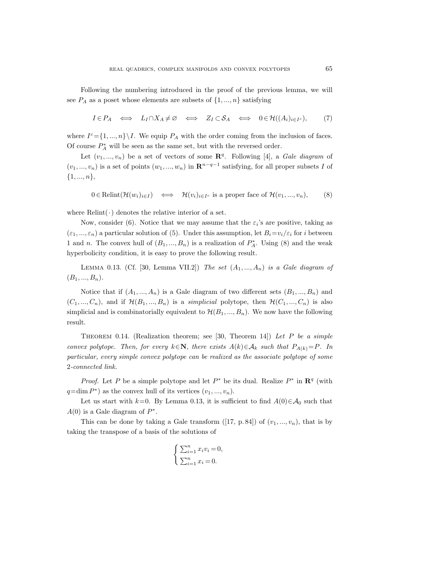Following the numbering introduced in the proof of the previous lemma, we will see  $P_A$  as a poset whose elements are subsets of  $\{1, ..., n\}$  satisfying

$$
I \in P_A \iff L_I \cap X_A \neq \emptyset \iff Z_I \subset \mathcal{S}_A \iff 0 \in \mathcal{H}((A_i)_{i \in I^c}), \tag{7}
$$

where  $I^c = \{1, ..., n\} \setminus I$ . We equip  $P_A$  with the order coming from the inclusion of faces. Of course  $\mathcal{P}_{A}^*$  will be seen as the same set, but with the reversed order.

Let  $(v_1, ..., v_n)$  be a set of vectors of some  $\mathbb{R}^q$ . Following [4], a Gale diagram of  $(v_1, ..., v_n)$  is a set of points  $(w_1, ..., w_n)$  in  $\mathbb{R}^{n-q-1}$  satisfying, for all proper subsets I of  $\{1, ..., n\},\$ 

$$
0 \in \text{Relint}(\mathcal{H}(w_i)_{i \in I}) \iff \mathcal{H}(v_i)_{i \in I^c} \text{ is a proper face of } \mathcal{H}(v_1, ..., v_n),
$$
 (8)

where  $\text{Relint}(\cdot)$  denotes the relative interior of a set.

Now, consider (6). Notice that we may assume that the  $\varepsilon_i$ 's are positive, taking as  $(\varepsilon_1, ..., \varepsilon_n)$  a particular solution of (5). Under this assumption, let  $B_i = v_i/\varepsilon_i$  for i between 1 and n. The convex hull of  $(B_1, ..., B_n)$  is a realization of  $P_A^*$ . Using (8) and the weak hyperbolicity condition, it is easy to prove the following result.

LEMMA 0.13. (Cf. [30, Lemma VII.2]) The set  $(A_1, ..., A_n)$  is a Gale diagram of  $(B_1, ..., B_n).$ 

Notice that if  $(A_1, ..., A_n)$  is a Gale diagram of two different sets  $(B_1, ..., B_n)$  and  $(C_1, ..., C_n)$ , and if  $\mathcal{H}(B_1, ..., B_n)$  is a simplicial polytope, then  $\mathcal{H}(C_1, ..., C_n)$  is also simplicial and is combinatorially equivalent to  $\mathcal{H}(B_1, ..., B_n)$ . We now have the following result.

THEOREM 0.14. (Realization theorem; see [30, Theorem 14]) Let P be a simple convex polytope. Then, for every  $k \in \mathbb{N}$ , there exists  $A(k) \in \mathcal{A}_k$  such that  $P_{A(k)} = P$ . In particular, every simple convex polytope can be realized as the associate polytope of some 2-connected link.

*Proof.* Let P be a simple polytope and let  $P^*$  be its dual. Realize  $P^*$  in  $\mathbb{R}^q$  (with  $q = \dim P^*$  as the convex hull of its vertices  $(v_1, ..., v_n)$ .

Let us start with k=0. By Lemma 0.13, it is sufficient to find  $A(0) \in \mathcal{A}_0$  such that  $A(0)$  is a Gale diagram of  $P^*$ .

This can be done by taking a Gale transform  $([17, p. 84])$  of  $(v_1, ..., v_n)$ , that is by taking the transpose of a basis of the solutions of

$$
\begin{cases} \sum_{i=1}^{n} x_i v_i = 0, \\ \sum_{i=1}^{n} x_i = 0. \end{cases}
$$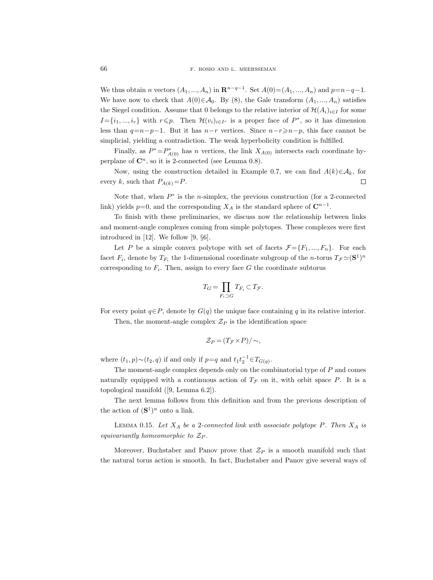We thus obtain *n* vectors  $(A_1, ..., A_n)$  in  $\mathbb{R}^{n-q-1}$ . Set  $A(0) = (A_1, ..., A_n)$  and  $p=n-q-1$ . We have now to check that  $A(0) \in \mathcal{A}_0$ . By (8), the Gale transform  $(A_1, ..., A_n)$  satisfies the Siegel condition. Assume that 0 belongs to the relative interior of  $\mathcal{H}(A_i)_{i\in I}$  for some  $I = \{i_1, ..., i_r\}$  with  $r \leq p$ . Then  $\mathcal{H}(v_i)_{i \in I^c}$  is a proper face of  $P^*$ , so it has dimension less than  $q=n-p-1$ . But it has  $n-r$  vertices. Since  $n-r\geqslant n-p$ , this face cannot be simplicial, yielding a contradiction. The weak hyperbolicity condition is fulfilled.

Finally, as  $P^* = P^*_{A(0)}$  has n vertices, the link  $X_{A(0)}$  intersects each coordinate hyperplane of  $\mathbb{C}^n$ , so it is 2-connected (see Lemma 0.8).

Now, using the construction detailed in Example 0.7, we can find  $A(k)\in\mathcal{A}_k$ , for every k, such that  $P_{A(k)}=P$ . П

Note that, when  $P^*$  is the *n*-simplex, the previous construction (for a 2-connected link) yields  $p=0$ , and the corresponding  $X_A$  is the standard sphere of  $\mathbb{C}^{n-1}$ .

To finish with these preliminaries, we discuss now the relationship between links and moment-angle complexes coming from simple polytopes. These complexes were first introduced in [12]. We follow [9, §6].

Let P be a simple convex polytope with set of facets  $\mathcal{F} = \{F_1, ..., F_n\}$ . For each facet  $F_i$ , denote by  $T_{F_i}$  the 1-dimensional coordinate subgroup of the *n*-torus  $T_{\mathcal{F}} \simeq (\mathbf{S}^1)^n$ corresponding to  $F_i$ . Then, assign to every face G the coordinate subtorus

$$
T_G = \prod_{F_i \supset G} T_{F_i} \subset T_{\mathcal{F}}.
$$

For every point  $q \in P$ , denote by  $G(q)$  the unique face containing q in its relative interior.

Then, the moment-angle complex  $\mathcal{Z}_P$  is the identification space

$$
\mathcal{Z}_P = (T_{\mathcal{F}} \times P) / \sim,
$$

where  $(t_1, p) \sim (t_2, q)$  if and only if  $p=q$  and  $t_1 t_2^{-1} \in T_{G(q)}$ .

The moment-angle complex depends only on the combinatorial type of P and comes naturally equipped with a continuous action of  $T<sub>F</sub>$  on it, with orbit space P. It is a topological manifold ([9, Lemma 6.2]).

The next lemma follows from this definition and from the previous description of the action of  $({\bf S}^1)^n$  onto a link.

LEMMA 0.15. Let  $X_A$  be a 2-connected link with associate polytope P. Then  $X_A$  is equivariantly homeomorphic to  $\mathcal{Z}_P$ .

Moreover, Buchstaber and Panov prove that  $\mathcal{Z}_P$  is a smooth manifold such that the natural torus action is smooth. In fact, Buchstaber and Panov give several ways of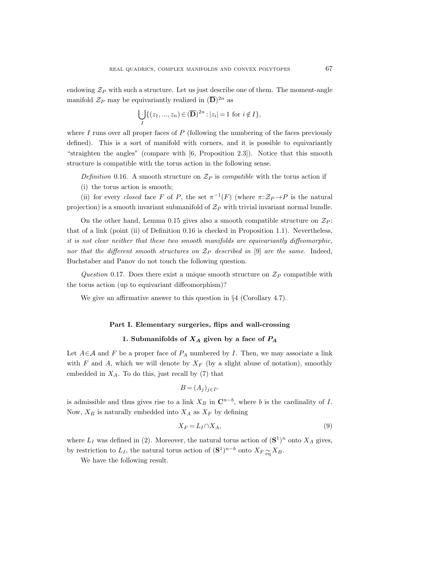endowing  $\mathcal{Z}_P$  with such a structure. Let us just describe one of them. The moment-angle manifold  $\mathcal{Z}_P$  may be equivariantly realized in  $(\overline{\mathbf{D}})^{2n}$  as

$$
\bigcup_{I} \{ (z_1, ..., z_n) \in (\overline{\mathbf{D}})^{2n} : |z_i| = 1 \text{ for } i \notin I \},\
$$

where  $I$  runs over all proper faces of  $P$  (following the numbering of the faces previously defined). This is a sort of manifold with corners, and it is possible to equivariantly "straighten the angles" (compare with [6, Proposition 2.3]). Notice that this smooth structure is compatible with the torus action in the following sense.

Definition 0.16. A smooth structure on  $\mathcal{Z}_P$  is compatible with the torus action if

(i) the torus action is smooth;

(ii) for every *closed* face F of P, the set  $\pi^{-1}(F)$  (where  $\pi: \mathcal{Z}_P \to P$  is the natural projection) is a smooth invariant submanifold of  $\mathcal{Z}_P$  with trivial invariant normal bundle.

On the other hand, Lemma 0.15 gives also a smooth compatible structure on  $\mathcal{Z}_P$ : that of a link (point (ii) of Definition 0.16 is checked in Proposition 1.1). Nevertheless, it is not clear neither that these two smooth manifolds are equivariantly diffeomorphic, nor that the different smooth structures on  $\mathcal{Z}_P$  described in [9] are the same. Indeed, Buchstaber and Panov do not touch the following question.

Question 0.17. Does there exist a unique smooth structure on  $\mathcal{Z}_P$  compatible with the torus action (up to equivariant diffeomorphism)?

We give an affirmative answer to this question in  $\S 4$  (Corollary 4.7).

# Part I. Elementary surgeries, flips and wall-crossing

# 1. Submanifolds of  $X_A$  given by a face of  $P_A$

Let  $A \in \mathcal{A}$  and F be a proper face of  $P_A$  numbered by I. Then, we may associate a link with F and A, which we will denote by  $X_F$  (by a slight abuse of notation), smoothly embedded in  $X_A$ . To do this, just recall by (7) that

$$
B = (A_j)_{j \in I^c}
$$

is admissible and thus gives rise to a link  $X_B$  in  $\mathbb{C}^{n-b}$ , where b is the cardinality of I. Now,  $X_B$  is naturally embedded into  $X_A$  as  $X_F$  by defining

$$
X_F = L_I \cap X_A,\tag{9}
$$

where  $L_I$  was defined in (2). Moreover, the natural torus action of  $({\bf S}^1)^n$  onto  $X_A$  gives, by restriction to  $L_I$ , the natural torus action of  $({\bf S}^1)^{n-b}$  onto  $X_F \underset{\text{eq}}{\sim} X_B$ .

We have the following result.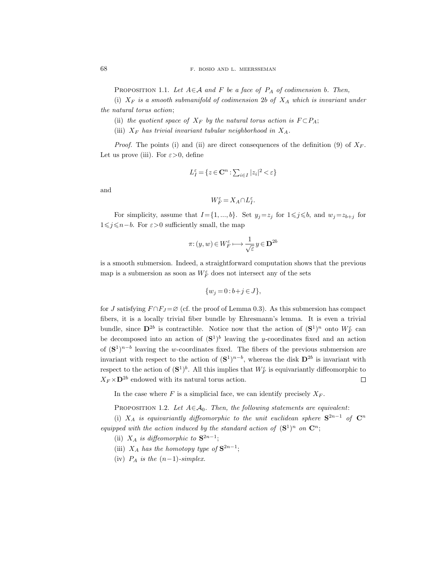PROPOSITION 1.1. Let  $A \in \mathcal{A}$  and F be a face of  $P_A$  of codimension b. Then,

(i)  $X_F$  is a smooth submanifold of codimension 2b of  $X_A$  which is invariant under the natural torus action;

(ii) the quotient space of  $X_F$  by the natural torus action is  $F \subset P_A$ ;

(iii)  $X_F$  has trivial invariant tubular neighborhood in  $X_A$ .

*Proof.* The points (i) and (ii) are direct consequences of the definition (9) of  $X_F$ . Let us prove (iii). For  $\varepsilon > 0$ , define

$$
L_I^{\varepsilon} = \{ z \in \mathbf{C}^n : \sum_{i \in I} |z_i|^2 < \varepsilon \}
$$

and

$$
W_F^\varepsilon = X_A \cap L_I^\varepsilon.
$$

For simplicity, assume that  $I = \{1, ..., b\}$ . Set  $y_j = z_j$  for  $1 \leq j \leq b$ , and  $w_j = z_{b+j}$  for  $1\leq j$ ≤n−b. For  $\varepsilon>0$  sufficiently small, the map

$$
\pi\hbox{:}\,(y,w)\,{\in}\, W_F^\varepsilon\longmapsto\frac{1}{\sqrt{\varepsilon}}\,y\,{\in}\,\mathbf{D}^{2b}
$$

is a smooth submersion. Indeed, a straightforward computation shows that the previous map is a submersion as soon as  $W_F^\varepsilon$  does not intersect any of the sets

$$
\{w_j = 0 : b + j \in J\},\
$$

for J satisfying  $F \cap F_J = \emptyset$  (cf. the proof of Lemma 0.3). As this submersion has compact fibers, it is a locally trivial fiber bundle by Ehresmann's lemma. It is even a trivial bundle, since  $\mathbf{D}^{2b}$  is contractible. Notice now that the action of  $(\mathbf{S}^1)^n$  onto  $W_F^{\varepsilon}$  can be decomposed into an action of  $({\bf S}^1)^b$  leaving the y-coordinates fixed and an action of  $({\bf S}^1)^{n-b}$  leaving the w-coordinates fixed. The fibers of the previous submersion are invariant with respect to the action of  $({S}^1)^{n-b}$ , whereas the disk  $D^{2b}$  is invariant with respect to the action of  $({\bf S}^1)^b$ . All this implies that  $W_F^{\varepsilon}$  is equivariantly diffeomorphic to  $X_F \times \mathbf{D}^{2b}$  endowed with its natural torus action.  $\Box$ 

In the case where F is a simplicial face, we can identify precisely  $X_F$ .

PROPOSITION 1.2. Let  $A \in \mathcal{A}_0$ . Then, the following statements are equivalent:

(i)  $X_A$  is equivariantly diffeomorphic to the unit euclidean sphere  $S^{2n-1}$  of  $C^n$ equipped with the action induced by the standard action of  $({\bf S}^1)^n$  on  ${\bf C}^n$ ;

- (ii)  $X_A$  is diffeomorphic to  $S^{2n-1}$ ;
- (iii)  $X_A$  has the homotopy type of  $S^{2n-1}$ ;
- (iv)  $P_A$  is the  $(n-1)$ -simplex.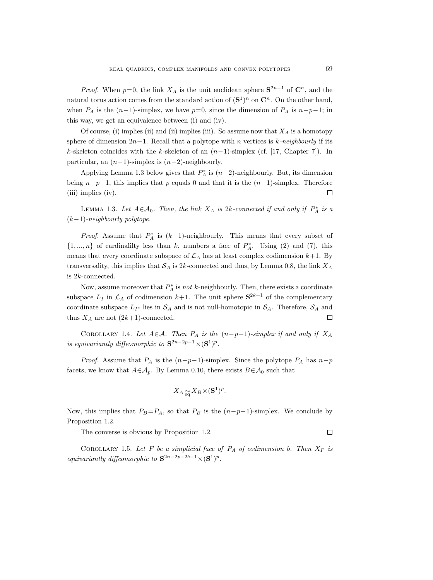*Proof.* When  $p=0$ , the link  $X_A$  is the unit euclidean sphere  $S^{2n-1}$  of  $C^n$ , and the natural torus action comes from the standard action of  $(S^1)^n$  on  $C^n$ . On the other hand, when  $P_A$  is the  $(n-1)$ -simplex, we have  $p=0$ , since the dimension of  $P_A$  is  $n-p-1$ ; in this way, we get an equivalence between (i) and (iv).

Of course, (i) implies (ii) and (ii) implies (iii). So assume now that  $X_A$  is a homotopy sphere of dimension  $2n-1$ . Recall that a polytope with n vertices is k-neighbourly if its k-skeleton coincides with the k-skeleton of an  $(n-1)$ -simplex (cf. [17, Chapter 7]). In particular, an  $(n-1)$ -simplex is  $(n-2)$ -neighbourly.

Applying Lemma 1.3 below gives that  $P_A^*$  is  $(n-2)$ -neighbourly. But, its dimension being  $n-p-1$ , this implies that p equals 0 and that it is the  $(n-1)$ -simplex. Therefore (iii) implies (iv).  $\Box$ 

LEMMA 1.3. Let  $A \in \mathcal{A}_0$ . Then, the link  $X_A$  is 2k-connected if and only if  $P_A^*$  is a  $(k-1)$ -neighbourly polytope.

*Proof.* Assume that  $P_A^*$  is  $(k-1)$ -neighbourly. This means that every subset of  $\{1, ..., n\}$  of cardinalilty less than k, numbers a face of  $P_A^*$ . Using (2) and (7), this means that every coordinate subspace of  $\mathcal{L}_A$  has at least complex codimension  $k+1$ . By transversality, this implies that  $S_A$  is 2k-connected and thus, by Lemma 0.8, the link  $X_A$ is 2k-connected.

Now, assume moreover that  $P_A^*$  is *not* k-neighbourly. Then, there exists a coordinate subspace  $L_I$  in  $\mathcal{L}_A$  of codimension  $k+1$ . The unit sphere  $S^{2k+1}$  of the complementary coordinate subspace  $L_{I^c}$  lies in  $S_A$  and is not null-homotopic in  $S_A$ . Therefore,  $S_A$  and thus  $X_A$  are not  $(2k+1)$ -connected.  $\Box$ 

COROLLARY 1.4. Let  $A \in \mathcal{A}$ . Then  $P_A$  is the  $(n-p-1)$ -simplex if and only if  $X_A$ is equivariantly diffeomorphic to  $S^{2n-2p-1}\times (S^1)^p$ .

*Proof.* Assume that  $P_A$  is the  $(n-p-1)$ -simplex. Since the polytope  $P_A$  has  $n-p$ facets, we know that  $A \in \mathcal{A}_p$ . By Lemma 0.10, there exists  $B \in \mathcal{A}_0$  such that

$$
X_A \underset{\text{eq}}{\sim} X_B \times (\mathbf{S}^1)^p.
$$

Now, this implies that  $P_B = P_A$ , so that  $P_B$  is the  $(n-p-1)$ -simplex. We conclude by Proposition 1.2.

The converse is obvious by Proposition 1.2.

COROLLARY 1.5. Let F be a simplicial face of  $P_A$  of codimension b. Then  $X_F$  is equivariantly diffeomorphic to  $S^{2n-2p-2b-1}\times (S^1)^p$ .

 $\Box$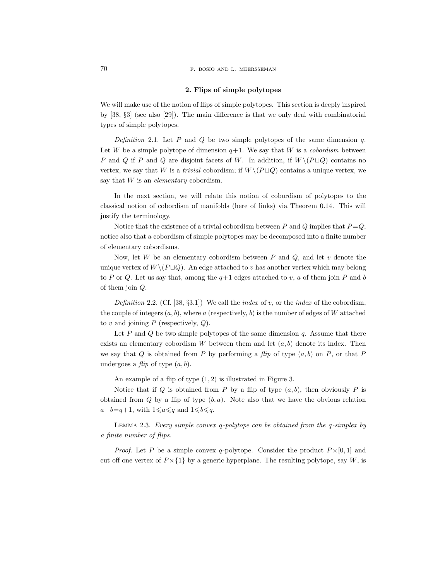#### 70 F. BOSIO AND L. MEERSSEMAN

## 2. Flips of simple polytopes

We will make use of the notion of flips of simple polytopes. This section is deeply inspired by [38, §3] (see also [29]). The main difference is that we only deal with combinatorial types of simple polytopes.

Definition 2.1. Let  $P$  and  $Q$  be two simple polytopes of the same dimension  $q$ . Let W be a simple polytope of dimension  $q+1$ . We say that W is a *cobordism* between P and Q if P and Q are disjoint facets of W. In addition, if  $W \setminus (P \sqcup Q)$  contains no vertex, we say that W is a *trivial* cobordism; if  $W \setminus (P \sqcup Q)$  contains a unique vertex, we say that  $W$  is an *elementary* cobordism.

In the next section, we will relate this notion of cobordism of polytopes to the classical notion of cobordism of manifolds (here of links) via Theorem 0.14. This will justify the terminology.

Notice that the existence of a trivial cobordism between P and Q implies that  $P=Q$ ; notice also that a cobordism of simple polytopes may be decomposed into a finite number of elementary cobordisms.

Now, let  $W$  be an elementary cobordism between  $P$  and  $Q$ , and let  $v$  denote the unique vertex of  $W \setminus (P \sqcup Q)$ . An edge attached to v has another vertex which may belong to P or Q. Let us say that, among the  $q+1$  edges attached to v, a of them join P and b of them join Q.

Definition 2.2. (Cf. [38, §3.1]) We call the index of v, or the index of the cobordism, the couple of integers  $(a, b)$ , where a (respectively, b) is the number of edges of W attached to  $v$  and joining  $P$  (respectively,  $Q$ ).

Let  $P$  and  $Q$  be two simple polytopes of the same dimension  $q$ . Assume that there exists an elementary cobordism W between them and let  $(a, b)$  denote its index. Then we say that  $Q$  is obtained from P by performing a flip of type  $(a, b)$  on P, or that P undergoes a  $flip$  of type  $(a, b)$ .

An example of a flip of type (1, 2) is illustrated in Figure 3.

Notice that if Q is obtained from P by a flip of type  $(a, b)$ , then obviously P is obtained from  $Q$  by a flip of type  $(b, a)$ . Note also that we have the obvious relation  $a+b=q+1$ , with  $1\leqslant a\leqslant q$  and  $1\leqslant b\leqslant q$ .

LEMMA 2.3. Every simple convex q-polytope can be obtained from the  $q$ -simplex by a finite number of flips.

*Proof.* Let P be a simple convex q-polytope. Consider the product  $P \times [0, 1]$  and cut off one vertex of  $P \times \{1\}$  by a generic hyperplane. The resulting polytope, say W, is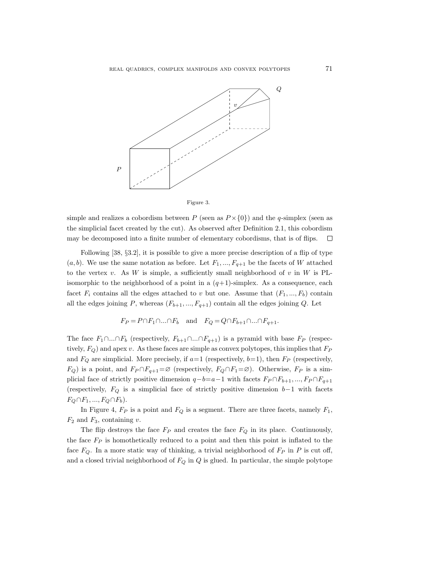



simple and realizes a cobordism between P (seen as  $P \times \{0\}$ ) and the q-simplex (seen as the simplicial facet created by the cut). As observed after Definition 2.1, this cobordism may be decomposed into a finite number of elementary cobordisms, that is of flips.  $\Box$ 

Following [38, §3.2], it is possible to give a more precise description of a flip of type  $(a, b)$ . We use the same notation as before. Let  $F_1, ..., F_{q+1}$  be the facets of W attached to the vertex v. As W is simple, a sufficiently small neighborhood of v in W is PLisomorphic to the neighborhood of a point in a  $(q+1)$ -simplex. As a consequence, each facet  $F_i$  contains all the edges attached to v but one. Assume that  $(F_1, ..., F_b)$  contain all the edges joining P, whereas  $(F_{b+1},..., F_{q+1})$  contain all the edges joining Q. Let

$$
F_P = P \cap F_1 \cap \dots \cap F_b \quad \text{and} \quad F_Q = Q \cap F_{b+1} \cap \dots \cap F_{q+1}.
$$

The face  $F_1 \cap ... \cap F_b$  (respectively,  $F_{b+1} \cap ... \cap F_{q+1}$ ) is a pyramid with base  $F_P$  (respectively,  $F_Q$ ) and apex v. As these faces are simple as convex polytopes, this implies that  $F_P$ and  $F_Q$  are simplicial. More precisely, if  $a=1$  (respectively,  $b=1$ ), then  $F_P$  (respectively,  $F_Q$ ) is a point, and  $F_P \cap F_{q+1} = \emptyset$  (respectively,  $F_Q \cap F_1 = \emptyset$ ). Otherwise,  $F_P$  is a simplicial face of strictly positive dimension  $q-b=a-1$  with facets  $F_P \cap F_{b+1}, ..., F_P \cap F_{q+1}$ (respectively,  $F_Q$  is a simplicial face of strictly positive dimension  $b-1$  with facets  $F_Q \cap F_1, ..., F_Q \cap F_b$ .

In Figure 4,  $F_P$  is a point and  $F_Q$  is a segment. There are three facets, namely  $F_1$ ,  $F_2$  and  $F_3$ , containing v.

The flip destroys the face  $F_P$  and creates the face  $F_Q$  in its place. Continuously, the face  $F_P$  is homothetically reduced to a point and then this point is inflated to the face  $F_Q$ . In a more static way of thinking, a trivial neighborhood of  $F_P$  in P is cut off, and a closed trivial neighborhood of  $F_Q$  in  $Q$  is glued. In particular, the simple polytope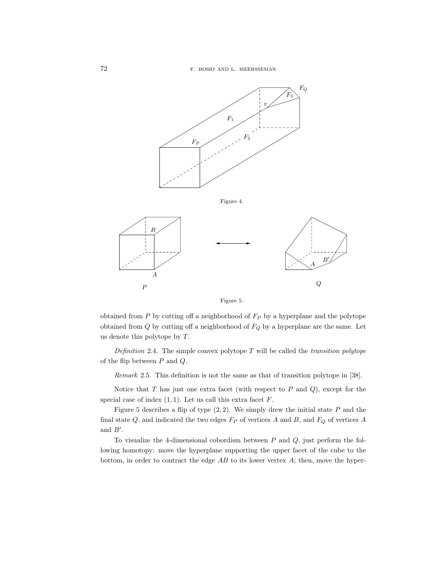

Figure 5.

obtained from  $P$  by cutting off a neighborhood of  $F_P$  by a hyperplane and the polytope obtained from  $Q$  by cutting off a neighborhood of  $F_Q$  by a hyperplane are the same. Let us denote this polytope by T.

Definition 2.4. The simple convex polytope  $T$  will be called the *transition polytope* of the flip between P and Q.

Remark 2.5. This definition is not the same as that of transition polytope in [38].

Notice that  $T$  has just one extra facet (with respect to  $P$  and  $Q$ ), except for the special case of index  $(1, 1)$ . Let us call this extra facet  $F$ .

Figure 5 describes a flip of type  $(2, 2)$ . We simply drew the initial state  $P$  and the final state  $Q$ , and indicated the two edges  $F_P$  of vertices  $A$  and  $B$ , and  $F_Q$  of vertices  $A$ and  $B'$ .

To visualize the 4-dimensional cobordism between  $P$  and  $Q$ , just perform the following homotopy: move the hyperplane supporting the upper facet of the cube to the bottom, in order to contract the edge  $AB$  to its lower vertex  $A$ ; then, move the hyper-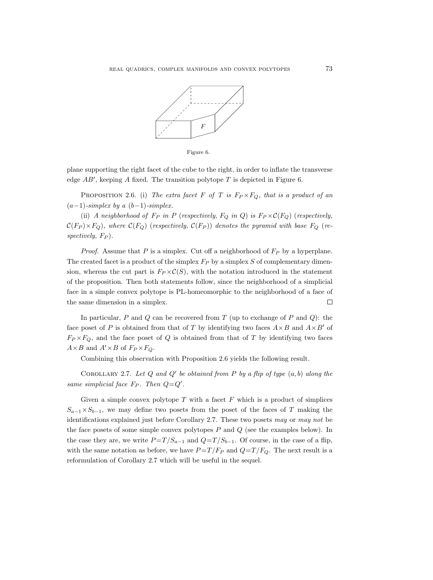

Figure 6.

plane supporting the right facet of the cube to the right, in order to inflate the transverse edge  $AB'$ , keeping A fixed. The transition polytope T is depicted in Figure 6.

PROPOSITION 2.6. (i) The extra facet F of T is  $F_P \times F_Q$ , that is a product of an  $(a-1)$ -simplex by a  $(b-1)$ -simplex.

(ii) A neighborhood of  $F_P$  in P (respectively,  $F_Q$  in Q) is  $F_P \times C(F_Q)$  (respectively,  $\mathcal{C}(F_P) \times F_Q$ ), where  $\mathcal{C}(F_Q)$  (respectively,  $\mathcal{C}(F_P)$ ) denotes the pyramid with base  $F_Q$  (re $spectively, F_P$ ).

*Proof.* Assume that P is a simplex. Cut off a neighborhood of  $F_P$  by a hyperplane. The created facet is a product of the simplex  $F_P$  by a simplex S of complementary dimension, whereas the cut part is  $F_P \times C(S)$ , with the notation introduced in the statement of the proposition. Then both statements follow, since the neighborhood of a simplicial face in a simple convex polytope is PL-homeomorphic to the neighborhood of a face of the same dimension in a simplex.  $\Box$ 

In particular,  $P$  and  $Q$  can be recovered from  $T$  (up to exchange of  $P$  and  $Q$ ): the face poset of P is obtained from that of T by identifying two faces  $A \times B$  and  $A \times B'$  of  $F_P \times F_Q$ , and the face poset of Q is obtained from that of T by identifying two faces  $A\times B$  and  $A'\times B$  of  $F_P\times F_Q$ .

Combining this observation with Proposition 2.6 yields the following result.

COROLLARY 2.7. Let  $Q$  and  $Q'$  be obtained from  $P$  by a flip of type  $(a, b)$  along the same simplicial face  $F_P$ . Then  $Q=Q'$ .

Given a simple convex polytope  $T$  with a facet  $F$  which is a product of simplices  $S_{a-1}\times S_{b-1}$ , we may define two posets from the poset of the faces of T making the identifications explained just before Corollary 2.7. These two posets may or may not be the face posets of some simple convex polytopes  $P$  and  $Q$  (see the examples below). In the case they are, we write  $P = T / S_{a-1}$  and  $Q = T / S_{b-1}$ . Of course, in the case of a flip, with the same notation as before, we have  $P = T / F_P$  and  $Q = T / F_Q$ . The next result is a reformulation of Corollary 2.7 which will be useful in the sequel.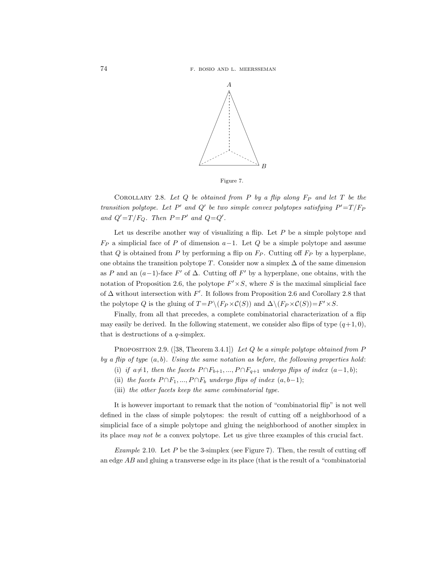

Figure 7.

COROLLARY 2.8. Let  $Q$  be obtained from  $P$  by a flip along  $F_P$  and let  $T$  be the transition polytope. Let P' and Q' be two simple convex polytopes satisfying  $P' = T/F_F$ and  $Q'=T/F_Q$ . Then  $P=P'$  and  $Q=Q'$ .

Let us describe another way of visualizing a flip. Let  $P$  be a simple polytope and  $F_P$  a simplicial face of P of dimension  $a-1$ . Let Q be a simple polytope and assume that Q is obtained from P by performing a flip on  $F_P$ . Cutting off  $F_P$  by a hyperplane, one obtains the transition polytope T. Consider now a simplex  $\Delta$  of the same dimension as P and an  $(a-1)$ -face F' of  $\Delta$ . Cutting off F' by a hyperplane, one obtains, with the notation of Proposition 2.6, the polytope  $F' \times S$ , where S is the maximal simplicial face of  $\Delta$  without intersection with F'. It follows from Proposition 2.6 and Corollary 2.8 that the polytope Q is the gluing of  $T = P \setminus (F_P \times C(S))$  and  $\Delta \setminus (F_P \times C(S)) = F' \times S$ .

Finally, from all that precedes, a complete combinatorial characterization of a flip may easily be derived. In the following statement, we consider also flips of type  $(q+1, 0)$ , that is destructions of a  $q$ -simplex.

PROPOSITION 2.9.  $([38, Theorem 3.4.1])$  Let Q be a simple polytope obtained from P by a flip of type  $(a, b)$ . Using the same notation as before, the following properties hold:

- (i) if  $a\neq 1$ , then the facets  $P \cap F_{b+1}, ..., P \cap F_{q+1}$  undergo flips of index  $(a-1,b)$ ;
- (ii) the facets  $P \cap F_1, ..., P \cap F_b$  undergo flips of index  $(a, b-1);$
- (iii) the other facets keep the same combinatorial type.

It is however important to remark that the notion of "combinatorial flip" is not well defined in the class of simple polytopes: the result of cutting off a neighborhood of a simplicial face of a simple polytope and gluing the neighborhood of another simplex in its place may not be a convex polytope. Let us give three examples of this crucial fact.

Example 2.10. Let  $P$  be the 3-simplex (see Figure 7). Then, the result of cutting off an edge AB and gluing a transverse edge in its place (that is the result of a "combinatorial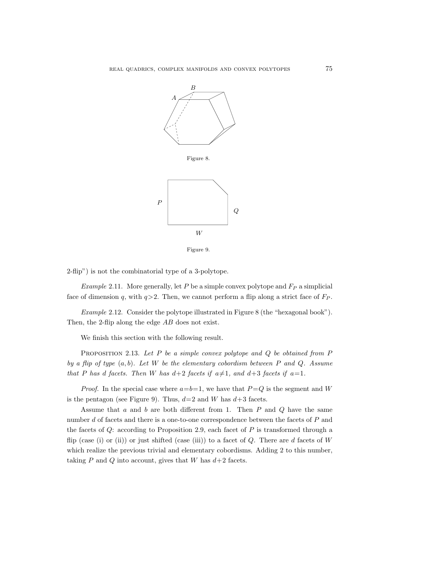

Figure 9.

2-flip") is not the combinatorial type of a 3-polytope.

Example 2.11. More generally, let  $P$  be a simple convex polytope and  $F_P$  a simplicial face of dimension q, with  $q>2$ . Then, we cannot perform a flip along a strict face of  $F_P$ .

Example 2.12. Consider the polytope illustrated in Figure 8 (the "hexagonal book"). Then, the 2-flip along the edge AB does not exist.

We finish this section with the following result.

PROPOSITION 2.13. Let  $P$  be a simple convex polytope and  $Q$  be obtained from  $P$ by a flip of type  $(a, b)$ . Let W be the elementary cobordism between P and Q. Assume that P has d facets. Then W has  $d+2$  facets if  $a\neq 1$ , and  $d+3$  facets if  $a=1$ .

*Proof.* In the special case where  $a=b=1$ , we have that  $P=Q$  is the segment and W is the pentagon (see Figure 9). Thus,  $d=2$  and W has  $d+3$  facets.

Assume that a and b are both different from 1. Then  $P$  and  $Q$  have the same number d of facets and there is a one-to-one correspondence between the facets of P and the facets of  $Q$ : according to Proposition 2.9, each facet of  $P$  is transformed through a flip (case (i) or (ii)) or just shifted (case (iii)) to a facet of  $Q$ . There are d facets of W which realize the previous trivial and elementary cobordisms. Adding 2 to this number, taking P and Q into account, gives that W has  $d+2$  facets.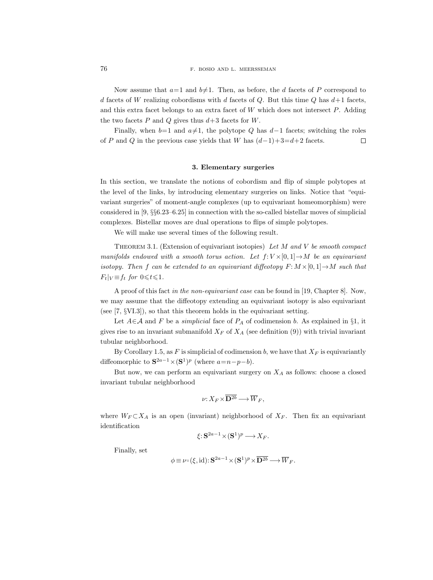Now assume that  $a=1$  and  $b\neq 1$ . Then, as before, the d facets of P correspond to d facets of W realizing cobordisms with d facets of Q. But this time Q has  $d+1$  facets, and this extra facet belongs to an extra facet of  $W$  which does not intersect  $P$ . Adding the two facets  $P$  and  $Q$  gives thus  $d+3$  facets for  $W$ .

Finally, when  $b=1$  and  $a\neq 1$ , the polytope Q has  $d-1$  facets; switching the roles of P and Q in the previous case yields that W has  $(d-1)+3=d+2$  facets.  $\Box$ 

## 3. Elementary surgeries

In this section, we translate the notions of cobordism and flip of simple polytopes at the level of the links, by introducing elementary surgeries on links. Notice that "equivariant surgeries" of moment-angle complexes (up to equivariant homeomorphism) were considered in [9, §§6.23–6.25] in connection with the so-called bistellar moves of simplicial complexes. Bistellar moves are dual operations to flips of simple polytopes.

We will make use several times of the following result.

THEOREM 3.1. (Extension of equivariant isotopies) Let  $M$  and  $V$  be smooth compact manifolds endowed with a smooth torus action. Let  $f: V \times [0, 1] \rightarrow M$  be an equivariant isotopy. Then f can be extended to an equivariant diffeotopy  $F: M \times [0, 1] \rightarrow M$  such that  $F_t|_V \equiv f_t$  for  $0 \leq t \leq 1$ .

A proof of this fact in the non-equivariant case can be found in [19, Chapter 8]. Now, we may assume that the diffeotopy extending an equivariant isotopy is also equivariant (see [7, §VI.3]), so that this theorem holds in the equivariant setting.

Let  $A \in \mathcal{A}$  and F be a *simplicial* face of  $P_A$  of codimension b. As explained in §1, it gives rise to an invariant submanifold  $X_F$  of  $X_A$  (see definition (9)) with trivial invariant tubular neighborhood.

By Corollary 1.5, as F is simplicial of codimension b, we have that  $X_F$  is equivariantly diffeomorphic to  $S^{2a-1} \times (S^1)^p$  (where  $a=n-p-b$ ).

But now, we can perform an equivariant surgery on  $X_A$  as follows: choose a closed invariant tubular neighborhood

$$
\nu: X_F \times \overline{\mathbf{D}^{2b}} \longrightarrow \overline{W}_F,
$$

where  $W_F \subset X_A$  is an open (invariant) neighborhood of  $X_F$ . Then fix an equivariant identification

$$
\xi: \mathbf{S}^{2a-1} \times (\mathbf{S}^1)^p \longrightarrow X_F.
$$

Finally, set

$$
\phi\!\equiv\!\nu\!\circ\!(\xi,\mathrm{id})\!: \mathbf{S}^{2a-1}\!\times\!(\mathbf{S}^1)^p\!\times\!\overline{\mathbf{D}^{2b}}\!\longrightarrow\!\overline{W}_F.
$$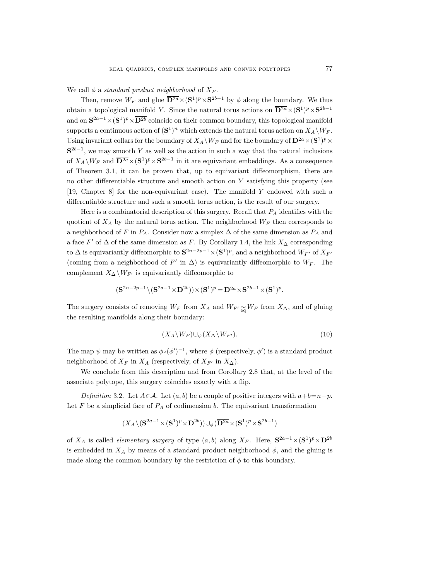We call  $\phi$  a standard product neighborhood of  $X_F$ .

Then, remove  $W_F$  and glue  $\overline{D^{2a}} \times (S^1)^p \times S^{2b-1}$  by  $\phi$  along the boundary. We thus obtain a topological manifold Y. Since the natural torus actions on  $\overline{D^{2a}} \times (S^1)^p \times S^{2b-1}$ and on  $S^{2a-1} \times (S^1)^p \times D^{2b}$  coincide on their common boundary, this topological manifold supports a continuous action of  $(\mathbf{S}^1)^n$  which extends the natural torus action on  $X_A \backslash W_F$ . Using invariant collars for the boundary of  $X_A \backslash W_F$  and for the boundary of  $\mathbf{D}^{2a} \times (\mathbf{S}^1)^p \times$  $S^{2b-1}$ , we may smooth Y as well as the action in such a way that the natural inclusions of  $X_A \backslash W_F$  and  $\overline{D^{2a}} \times (S^1)^p \times S^{2b-1}$  in it are equivariant embeddings. As a consequence of Theorem 3.1, it can be proven that, up to equivariant diffeomorphism, there are no other differentiable structure and smooth action on  $Y$  satisfying this property (see [19, Chapter 8] for the non-equivariant case). The manifold Y endowed with such a differentiable structure and such a smooth torus action, is the result of our surgery.

Here is a combinatorial description of this surgery. Recall that  $P_A$  identifies with the quotient of  $X_A$  by the natural torus action. The neighborhood  $W_F$  then corresponds to a neighborhood of F in  $P_A$ . Consider now a simplex  $\Delta$  of the same dimension as  $P_A$  and a face  $F'$  of  $\Delta$  of the same dimension as F. By Corollary 1.4, the link  $X_{\Delta}$  corresponding to  $\Delta$  is equivariantly diffeomorphic to  $S^{2n-2p-1}\times (S^1)^p$ , and a neighborhood  $W_{F'}$  of  $X_{F'}$ (coming from a neighborhood of  $F'$  in  $\Delta$ ) is equivariantly diffeomorphic to  $W_F$ . The complement  $X_{\Delta}\backslash W_{F'}$  is equivariantly diffeomorphic to

$$
(\mathbf{S}^{2n-2p-1} \backslash (\mathbf{S}^{2a-1} \times \mathbf{D}^{2b})) \times (\mathbf{S}^1)^p = \overline{\mathbf{D}^{2a}} \times \mathbf{S}^{2b-1} \times (\mathbf{S}^1)^p.
$$

The surgery consists of removing  $W_F$  from  $X_A$  and  $W_{F'} \sim_{\mathfrak{m}} W_F$  from  $X_{\Delta}$ , and of gluing the resulting manifolds along their boundary:

$$
(X_A \backslash W_F) \cup_{\psi} (X_{\Delta} \backslash W_{F'}).
$$
\n<sup>(10)</sup>

The map  $\psi$  may be written as  $\phi \circ (\phi')^{-1}$ , where  $\phi$  (respectively,  $\phi'$ ) is a standard product neighborhood of  $X_F$  in  $X_A$  (respectively, of  $X_{F'}$  in  $X_{\Delta}$ ).

We conclude from this description and from Corollary 2.8 that, at the level of the associate polytope, this surgery coincides exactly with a flip.

Definition 3.2. Let  $A \in \mathcal{A}$ . Let  $(a, b)$  be a couple of positive integers with  $a+b=n-p$ . Let  $F$  be a simplicial face of  $P_A$  of codimension b. The equivariant transformation

$$
(X_A\backslash (\mathbf{S}^{2a-1}\!\times\!(\mathbf{S}^1)^p\!\times\!\mathbf{D}^{2b}))\!\cup_{\phi}(\overline{\mathbf{D}^{2a}}\!\times\!(\mathbf{S}^1)^p\!\times\!\mathbf{S}^{2b-1})
$$

of  $X_A$  is called *elementary surgery* of type  $(a, b)$  along  $X_F$ . Here,  $S^{2a-1} \times (S^1)^p \times D^{2b}$ is embedded in  $X_A$  by means of a standard product neighborhood  $\phi$ , and the gluing is made along the common boundary by the restriction of  $\phi$  to this boundary.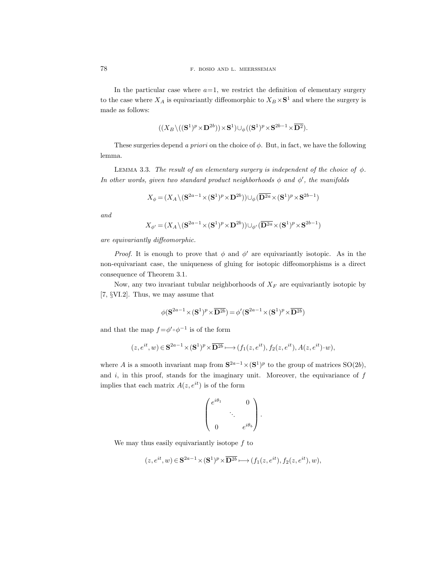In the particular case where  $a=1$ , we restrict the definition of elementary surgery to the case where  $X_A$  is equivariantly diffeomorphic to  $X_B \times S^1$  and where the surgery is made as follows:

$$
((X_B \setminus ((\mathbf{S}^1)^p \times \mathbf{D}^{2b})) \times \mathbf{S}^1) \cup_{\phi} ((\mathbf{S}^1)^p \times \mathbf{S}^{2b-1} \times \overline{\mathbf{D}^2}).
$$

These surgeries depend a priori on the choice of  $\phi$ . But, in fact, we have the following lemma.

LEMMA 3.3. The result of an elementary surgery is independent of the choice of  $\phi$ . In other words, given two standard product neighborhoods  $\phi$  and  $\phi'$ , the manifolds

$$
X_{\phi} = (X_A \setminus (\mathbf{S}^{2a-1} \times (\mathbf{S}^1)^p \times \mathbf{D}^{2b})) \cup_{\phi} (\overline{\mathbf{D}^{2a}} \times (\mathbf{S}^1)^p \times \mathbf{S}^{2b-1})
$$

and

$$
X_{\phi'}=(X_A\backslash (\mathbf{S}^{2a-1}\!\times\!(\mathbf{S}^1)^p\!\times\!\mathbf{D}^{2b}))\!\cup_{\phi'} (\overline{\mathbf{D}^{2a}}\!\times\!(\mathbf{S}^1)^p\!\times\!\mathbf{S}^{2b-1})
$$

are equivariantly diffeomorphic.

*Proof.* It is enough to prove that  $\phi$  and  $\phi'$  are equivariantly isotopic. As in the non-equivariant case, the uniqueness of gluing for isotopic diffeomorphisms is a direct consequence of Theorem 3.1.

Now, any two invariant tubular neighborhoods of  $X_F$  are equivariantly isotopic by [7, §VI.2]. Thus, we may assume that

$$
\phi(\mathbf{S}^{2a-1} \times (\mathbf{S}^1)^p \times \overline{\mathbf{D}^{2b}}) = \phi'(\mathbf{S}^{2a-1} \times (\mathbf{S}^1)^p \times \overline{\mathbf{D}^{2b}})
$$

and that the map  $f = \phi' \circ \phi^{-1}$  is of the form

$$
(z, e^{it}, w) \in \mathbf{S}^{2a-1} \times (\mathbf{S}^1)^p \times \overline{\mathbf{D}^{2b}} \longmapsto (f_1(z, e^{it}), f_2(z, e^{it}), A(z, e^{it}) \cdot w),
$$

where A is a smooth invariant map from  $S^{2a-1} \times (S^1)^p$  to the group of matrices  $SO(2b)$ , and  $i$ , in this proof, stands for the imaginary unit. Moreover, the equivariance of  $f$ implies that each matrix  $A(z, e^{it})$  is of the form

$$
\begin{pmatrix} e^{i\theta_1} & 0 \\ & \ddots & \\ 0 & e^{i\theta_b} \end{pmatrix}.
$$

We may thus easily equivariantly isotope  $f$  to

$$
(z, e^{it}, w) \in \mathbf{S}^{2a-1} \times (\mathbf{S}^1)^p \times \overline{\mathbf{D}^{2b}} \longmapsto (f_1(z, e^{it}), f_2(z, e^{it}), w),
$$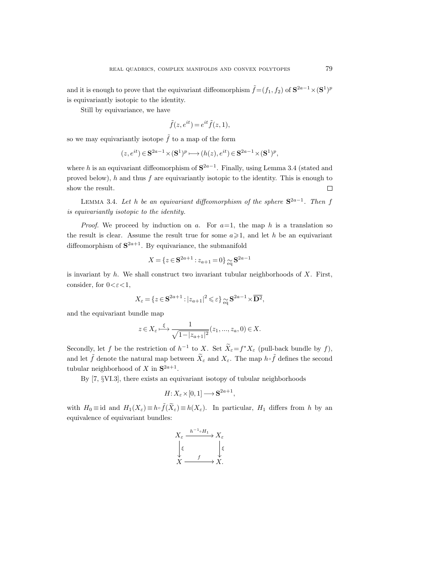and it is enough to prove that the equivariant diffeomorphism  $\tilde{f} = (f_1, f_2)$  of  $S^{2a-1} \times (S^1)^p$ is equivariantly isotopic to the identity.

Still by equivariance, we have

$$
\tilde{f}(z, e^{it}) = e^{it}\tilde{f}(z, 1),
$$

so we may equivariantly isotope  $\tilde{f}$  to a map of the form

$$
(z, e^{it}) \in \mathbf{S}^{2a-1} \times (\mathbf{S}^1)^p \longmapsto (h(z), e^{it}) \in \mathbf{S}^{2a-1} \times (\mathbf{S}^1)^p,
$$

where h is an equivariant diffeomorphism of  $S^{2a-1}$ . Finally, using Lemma 3.4 (stated and proved below),  $h$  and thus  $f$  are equivariantly isotopic to the identity. This is enough to show the result.  $\Box$ 

LEMMA 3.4. Let h be an equivariant diffeomorphism of the sphere  $S^{2a-1}$ . Then f is equivariantly isotopic to the identity.

*Proof.* We proceed by induction on a. For  $a=1$ , the map h is a translation so the result is clear. Assume the result true for some  $a \geq 1$ , and let h be an equivariant diffeomorphism of  $S^{2a+1}$ . By equivariance, the submanifold

$$
X = \{ z \in \mathbf{S}^{2a+1} : z_{a+1} = 0 \} \approx \mathbf{S}^{2a-1}
$$

is invariant by  $h$ . We shall construct two invariant tubular neighborhoods of  $X$ . First, consider, for  $0 < \varepsilon < 1$ ,

$$
X_{\varepsilon} = \{ z \in \mathbf{S}^{2a+1} : |z_{a+1}|^2 \leqslant \varepsilon \} \underset{\text{eq}}{\sim} \mathbf{S}^{2a-1} \times \overline{\mathbf{D}^2},
$$

and the equivariant bundle map

$$
z\in X_\varepsilon \overset{\xi}{\longmapsto} \frac{1}{\sqrt{1-|z_{a+1}|^2}}(z_1,...,z_a,0)\in X.
$$

Secondly, let f be the restriction of  $h^{-1}$  to X. Set  $\overline{X}_{\varepsilon} = f^* X_{\varepsilon}$  (pull-back bundle by f), and let  $\tilde{f}$  denote the natural map between  $\tilde{X}_{\varepsilon}$  and  $X_{\varepsilon}$ . The map  $h \circ \tilde{f}$  defines the second tubular neighborhood of X in  $S^{2a+1}$ .

By [7, §VI.3], there exists an equivariant isotopy of tubular neighborhoods

$$
H: X_{\varepsilon} \times [0,1] \longrightarrow \mathbf{S}^{2a+1},
$$

with  $H_0 \equiv \mathrm{id}$  and  $H_1(X_\varepsilon) \equiv h \circ \tilde{f}(X_\varepsilon) \equiv h(X_\varepsilon)$ . In particular,  $H_1$  differs from h by an equivalence of equivariant bundles:

$$
X_{\varepsilon} \xrightarrow{h^{-1} \circ H_1} X_{\varepsilon}
$$

$$
\downarrow \varepsilon
$$

$$
X \xrightarrow{f} X.
$$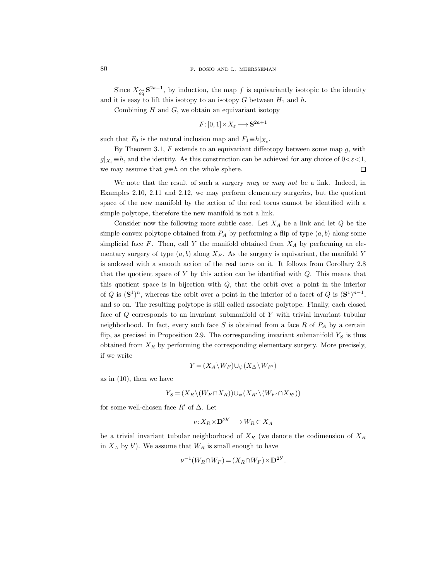Since  $X_{\widetilde{eq}} S^{2a-1}$ , by induction, the map f is equivariantly isotopic to the identity and it is easy to lift this isotopy to an isotopy  $G$  between  $H_1$  and  $h$ .

Combining  $H$  and  $G$ , we obtain an equivariant isotopy

$$
F: [0,1] \times X_{\varepsilon} \longrightarrow \mathbf{S}^{2a+1}
$$

such that  $F_0$  is the natural inclusion map and  $F_1 \equiv h|_{X_\varepsilon}$ .

By Theorem 3.1,  $F$  extends to an equivariant diffeotopy between some map  $g$ , with  $g|_{X_{\varepsilon}} \equiv h$ , and the identity. As this construction can be achieved for any choice of  $0 < \varepsilon < 1$ , we may assume that  $g \equiv h$  on the whole sphere.  $\Box$ 

We note that the result of such a surgery may or may not be a link. Indeed, in Examples 2.10, 2.11 and 2.12, we may perform elementary surgeries, but the quotient space of the new manifold by the action of the real torus cannot be identified with a simple polytope, therefore the new manifold is not a link.

Consider now the following more subtle case. Let  $X_A$  be a link and let  $Q$  be the simple convex polytope obtained from  $P_A$  by performing a flip of type  $(a, b)$  along some simplicial face  $F$ . Then, call  $Y$  the manifold obtained from  $X_A$  by performing an elementary surgery of type  $(a, b)$  along  $X_F$ . As the surgery is equivariant, the manifold Y is endowed with a smooth action of the real torus on it. It follows from Corollary 2.8 that the quotient space of Y by this action can be identified with  $Q$ . This means that this quotient space is in bijection with Q, that the orbit over a point in the interior of Q is  $({\bf S}^1)^n$ , whereas the orbit over a point in the interior of a facet of Q is  $({\bf S}^1)^{n-1}$ , and so on. The resulting polytope is still called associate polytope. Finally, each closed face of Q corresponds to an invariant submanifold of Y with trivial invariant tubular neighborhood. In fact, every such face  $S$  is obtained from a face  $R$  of  $P_A$  by a certain flip, as precised in Proposition 2.9. The corresponding invariant submanifold  $Y<sub>S</sub>$  is thus obtained from  $X_R$  by performing the corresponding elementary surgery. More precisely, if we write

$$
Y = (X_A \backslash W_F) \cup_{\psi} (X_{\Delta} \backslash W_{F'})
$$

as in (10), then we have

$$
Y_S = (X_R \setminus (W_F \cap X_R)) \cup_{\psi} (X_{R'} \setminus (W_{F'} \cap X_{R'}))
$$

for some well-chosen face  $R'$  of  $\Delta$ . Let

$$
\nu: X_R \times \mathbf{D}^{2b'} \longrightarrow W_R \subset X_A
$$

be a trivial invariant tubular neighborhood of  $X_R$  (we denote the codimension of  $X_R$ in  $X_A$  by b'). We assume that  $W_R$  is small enough to have

$$
\nu^{-1}(W_R \cap W_F) = (X_R \cap W_F) \times \mathbf{D}^{2b'}.
$$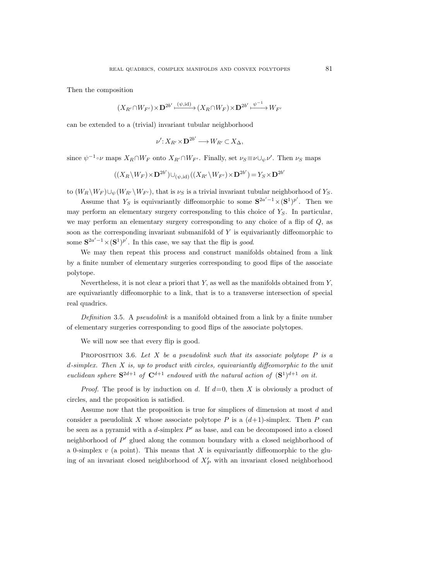Then the composition

$$
(X_{R'}\cap W_{F'})\!\times\!\mathbf{D}^{2b'}\!\stackrel{(\psi,\mathrm{id})}{\longmapsto}\!\big(X_R\!\cap\!W_F\big)\!\times\!\mathbf{D}^{2b'}\!\stackrel{\psi^{-1}}{\longmapsto}\!W_{F'}
$$

can be extended to a (trivial) invariant tubular neighborhood

$$
\nu' : X_{R'} \times \mathbf{D}^{2b'} \longrightarrow W_{R'} \subset X_{\Delta},
$$

since  $\psi^{-1} \circ \nu$  maps  $X_R \cap W_F$  onto  $X_{R'} \cap W_{F'}$ . Finally, set  $\nu_S \equiv \nu \cup_{\psi} \nu'$ . Then  $\nu_S$  maps

$$
((X_R \backslash W_F) \times \mathbf{D}^{2b'}) \cup_{(\psi, \mathrm{id})} ((X_{R'} \backslash W_{F'}) \times \mathbf{D}^{2b'}) = Y_S \times \mathbf{D}^{2b'}
$$

to  $(W_R \backslash W_F) \cup_{\psi} (W_{R'} \backslash W_{F'}),$  that is  $\nu_S$  is a trivial invariant tubular neighborhood of  $Y_S$ .

Assume that  $Y_S$  is equivariantly diffeomorphic to some  $S^{2a'-1} \times (S^1)^{p'}$ . Then we may perform an elementary surgery corresponding to this choice of  $Y<sub>S</sub>$ . In particular, we may perform an elementary surgery corresponding to any choice of a flip of  $Q$ , as soon as the corresponding invariant submanifold of  $Y$  is equivariantly diffeomorphic to some  $S^{2a'-1} \times (S^1)^{p'}$ . In this case, we say that the flip is good.

We may then repeat this process and construct manifolds obtained from a link by a finite number of elementary surgeries corresponding to good flips of the associate polytope.

Nevertheless, it is not clear a priori that  $Y$ , as well as the manifolds obtained from  $Y$ , are equivariantly diffeomorphic to a link, that is to a transverse intersection of special real quadrics.

Definition 3.5. A *pseudolink* is a manifold obtained from a link by a finite number of elementary surgeries corresponding to good flips of the associate polytopes.

We will now see that every flip is good.

PROPOSITION 3.6. Let X be a pseudolink such that its associate polytope  $P$  is a  $d\text{-simplex}$ . Then X is, up to product with circles, equivariantly diffeomorphic to the unit euclidean sphere  $S^{2d+1}$  of  $C^{d+1}$  endowed with the natural action of  $(S^1)^{d+1}$  on it.

*Proof.* The proof is by induction on d. If  $d=0$ , then X is obviously a product of circles, and the proposition is satisfied.

Assume now that the proposition is true for simplices of dimension at most d and consider a pseudolink X whose associate polytope P is a  $(d+1)$ -simplex. Then P can be seen as a pyramid with a  $d$ -simplex  $P'$  as base, and can be decomposed into a closed neighborhood of  $P'$  glued along the common boundary with a closed neighborhood of a 0-simplex  $v$  (a point). This means that X is equivariantly diffeomorphic to the gluing of an invariant closed neighborhood of  $X'_P$  with an invariant closed neighborhood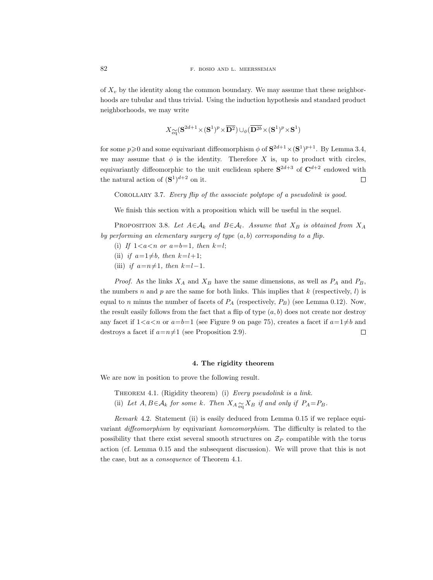of  $X_v$  by the identity along the common boundary. We may assume that these neighborhoods are tubular and thus trivial. Using the induction hypothesis and standard product neighborhoods, we may write

$$
X_{\widetilde{\mathrm{eq}}}(\mathbf{S}^{2d+1} \!\times\! (\mathbf{S}^1)^p \!\times\! \overline{\mathbf{D}^2}) \cup_{\phi} (\overline{\mathbf{D}^{2b}} \!\times\! (\mathbf{S}^1)^p \!\times\! \mathbf{S}^1)
$$

for some  $p\geqslant 0$  and some equivariant diffeomorphism  $\phi$  of  $S^{2d+1}\times (S^1)^{p+1}$ . By Lemma 3.4, we may assume that  $\phi$  is the identity. Therefore X is, up to product with circles, equivariantly diffeomorphic to the unit euclidean sphere  $S^{2d+3}$  of  $C^{d+2}$  endowed with the natural action of  $({\bf S}^1)^{d+2}$  on it.  $\Box$ 

Corollary 3.7. Every flip of the associate polytope of a pseudolink is good.

We finish this section with a proposition which will be useful in the sequel.

PROPOSITION 3.8. Let  $A \in \mathcal{A}_k$  and  $B \in \mathcal{A}_l$ . Assume that  $X_B$  is obtained from  $X_A$ by performing an elementary surgery of type  $(a, b)$  corresponding to a flip.

- (i) If  $1 < a < n$  or  $a = b = 1$ , then  $k=l$ ;
- (ii) if  $a=1\neq b$ , then  $k=l+1$ ;
- (iii) if  $a=n\neq1$ , then  $k=l-1$ .

*Proof.* As the links  $X_A$  and  $X_B$  have the same dimensions, as well as  $P_A$  and  $P_B$ , the numbers n and p are the same for both links. This implies that  $k$  (respectively, l) is equal to n minus the number of facets of  $P_A$  (respectively,  $P_B$ ) (see Lemma 0.12). Now, the result easily follows from the fact that a flip of type  $(a, b)$  does not create nor destroy any facet if  $1 < a < n$  or  $a=b=1$  (see Figure 9 on page 75), creates a facet if  $a=1 \neq b$  and destroys a facet if  $a=n\neq1$  (see Proposition 2.9).  $\Box$ 

## 4. The rigidity theorem

We are now in position to prove the following result.

- THEOREM 4.1. (Rigidity theorem) (i) Every pseudolink is a link.
- (ii) Let  $A, B \in A_k$  for some k. Then  $X_A \underset{\text{eq}}{\sim} X_B$  if and only if  $P_A = P_B$ .

Remark 4.2. Statement (ii) is easily deduced from Lemma 0.15 if we replace equivariant diffeomorphism by equivariant homeomorphism. The difficulty is related to the possibility that there exist several smooth structures on  $\mathcal{Z}_P$  compatible with the torus action (cf. Lemma 0.15 and the subsequent discussion). We will prove that this is not the case, but as a consequence of Theorem 4.1.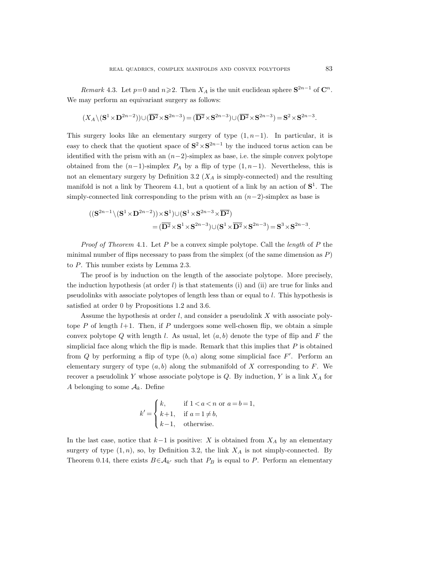Remark 4.3. Let  $p=0$  and  $n\geqslant 2$ . Then  $X_A$  is the unit euclidean sphere  $S^{2n-1}$  of  $C^n$ . We may perform an equivariant surgery as follows:

$$
(X_A\backslash (\mathbf{S}^1\times \mathbf{D}^{2n-2}))\cup (\overline{\mathbf{D}^2}\times \mathbf{S}^{2n-3})=(\overline{\mathbf{D}^2}\times \mathbf{S}^{2n-3})\cup (\overline{\mathbf{D}^2}\times \mathbf{S}^{2n-3})=\mathbf{S}^2\times \mathbf{S}^{2n-3}.
$$

This surgery looks like an elementary surgery of type  $(1, n-1)$ . In particular, it is easy to check that the quotient space of  $S^2 \times S^{2n-1}$  by the induced torus action can be identified with the prism with an  $(n-2)$ -simplex as base, i.e. the simple convex polytope obtained from the  $(n-1)$ -simplex  $P_A$  by a flip of type  $(1, n-1)$ . Nevertheless, this is not an elementary surgery by Definition 3.2  $(X<sub>A</sub>$  is simply-connected) and the resulting manifold is not a link by Theorem 4.1, but a quotient of a link by an action of  $S^1$ . The simply-connected link corresponding to the prism with an  $(n-2)$ -simplex as base is

$$
\begin{aligned} ((\mathbf{S}^{2n-1}\backslash (\mathbf{S}^1 \times \mathbf{D}^{2n-2})) \times \mathbf{S}^1) \cup (\mathbf{S}^1 \times \mathbf{S}^{2n-3} \times \overline{\mathbf{D}^2}) \\ &\quad = (\overline{\mathbf{D}^2} \times \mathbf{S}^1 \times \mathbf{S}^{2n-3}) \cup (\mathbf{S}^1 \times \overline{\mathbf{D}^2} \times \mathbf{S}^{2n-3}) = \mathbf{S}^3 \times \mathbf{S}^{2n-3}.\end{aligned}
$$

*Proof of Theorem 4.1.* Let P be a convex simple polytope. Call the *length* of P the minimal number of flips necessary to pass from the simplex (of the same dimension as  $P$ ) to P. This number exists by Lemma 2.3.

The proof is by induction on the length of the associate polytope. More precisely, the induction hypothesis (at order  $l$ ) is that statements (i) and (ii) are true for links and pseudolinks with associate polytopes of length less than or equal to l. This hypothesis is satisfied at order 0 by Propositions 1.2 and 3.6.

Assume the hypothesis at order  $l$ , and consider a pseudolink  $X$  with associate polytope P of length  $l+1$ . Then, if P undergoes some well-chosen flip, we obtain a simple convex polytope Q with length l. As usual, let  $(a, b)$  denote the type of flip and F the simplicial face along which the flip is made. Remark that this implies that  $P$  is obtained from Q by performing a flip of type  $(b, a)$  along some simplicial face  $F'$ . Perform an elementary surgery of type  $(a, b)$  along the submanifold of X corresponding to F. We recover a pseudolink Y whose associate polytope is  $Q$ . By induction, Y is a link  $X_A$  for A belonging to some  $A_k$ . Define

$$
k' = \begin{cases} k, & \text{if } 1 < a < n \text{ or } a = b = 1, \\ k+1, & \text{if } a = 1 \neq b, \\ k-1, & \text{otherwise.} \end{cases}
$$

In the last case, notice that  $k-1$  is positive: X is obtained from  $X_A$  by an elementary surgery of type  $(1, n)$ , so, by Definition 3.2, the link  $X_A$  is not simply-connected. By Theorem 0.14, there exists  $B \in \mathcal{A}_{k'}$  such that  $P_B$  is equal to P. Perform an elementary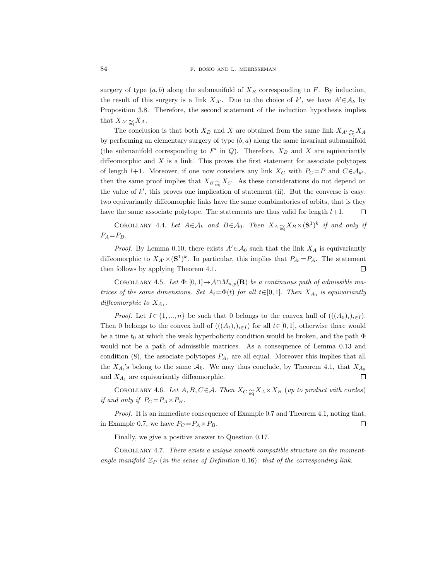surgery of type  $(a, b)$  along the submanifold of  $X_B$  corresponding to F. By induction, the result of this surgery is a link  $X_{A'}$ . Due to the choice of k', we have  $A' \in \mathcal{A}_k$  by Proposition 3.8. Therefore, the second statement of the induction hypothesis implies that  $X_{A} \sim_{\mathfrak{m}} X_A$ .

The conclusion is that both  $X_B$  and X are obtained from the same link  $X_{A\text{O}}\underset{\text{eq}}{\sim} X_A$ by performing an elementary surgery of type  $(b, a)$  along the same invariant submanifold (the submanifold corresponding to  $F'$  in  $Q$ ). Therefore,  $X_B$  and  $X$  are equivariantly diffeomorphic and  $X$  is a link. This proves the first statement for associate polytopes of length l+1. Moreover, if one now considers any link  $X_C$  with  $P_C = P$  and  $C \in \mathcal{A}_{k'}$ , then the same proof implies that  $X_{B} \underset{\text{eq}}{\sim} X_C$ . As these considerations do not depend on the value of  $k'$ , this proves one implication of statement (ii). But the converse is easy: two equivariantly diffeomorphic links have the same combinatorics of orbits, that is they have the same associate polytope. The statements are thus valid for length  $l+1$ .  $\Box$ 

COROLLARY 4.4. Let  $A \in \mathcal{A}_k$  and  $B \in \mathcal{A}_0$ . Then  $X_A \underset{\text{eq}}{\sim} X_B \times (\mathbf{S}^1)^k$  if and only if  $P_A = P_B$ .

*Proof.* By Lemma 0.10, there exists  $A' \in \mathcal{A}_0$  such that the link  $X_A$  is equivariantly diffeomorphic to  $X_{A'} \times (\mathbf{S}^1)^k$ . In particular, this implies that  $P_{A'} = P_A$ . The statement then follows by applying Theorem 4.1.  $\Box$ 

COROLLARY 4.5. Let  $\Phi$ : [0, 1]  $\rightarrow$  A $\cap M_{n,p}(\mathbf{R})$  be a continuous path of admissible matrices of the same dimensions. Set  $A_t = \Phi(t)$  for all  $t \in [0, 1]$ . Then  $X_{A_0}$  is equivariantly diffeomorphic to  $X_{A_1}$ .

*Proof.* Let  $I \subset \{1, ..., n\}$  be such that 0 belongs to the convex hull of  $(((A_0)_i)_{i\in I})$ . Then 0 belongs to the convex hull of  $(((A_t)_i)_{i\in I})$  for all  $t\in [0,1]$ , otherwise there would be a time  $t_0$  at which the weak hyperbolicity condition would be broken, and the path  $\Phi$ would not be a path of admissible matrices. As a consequence of Lemma 0.13 and condition (8), the associate polytopes  $P_{A_t}$  are all equal. Moreover this implies that all the  $X_{A_t}$ 's belong to the same  $A_k$ . We may thus conclude, by Theorem 4.1, that  $X_{A_0}$  $\Box$ and  $X_{A_1}$  are equivariantly diffeomorphic.

COROLLARY 4.6. Let  $A, B, C \in \mathcal{A}$ . Then  $X_C \underset{\text{eq}}{\simeq} X_A \times X_B$  (up to product with circles) if and only if  $P_C = P_A \times P_B$ .

Proof. It is an immediate consequence of Example 0.7 and Theorem 4.1, noting that, in Example 0.7, we have  $P_C = P_A \times P_B$ .  $\Box$ 

Finally, we give a positive answer to Question 0.17.

Corollary 4.7. There exists a unique smooth compatible structure on the momentangle manifold  $\mathcal{Z}_P$  (in the sense of Definition 0.16): that of the corresponding link.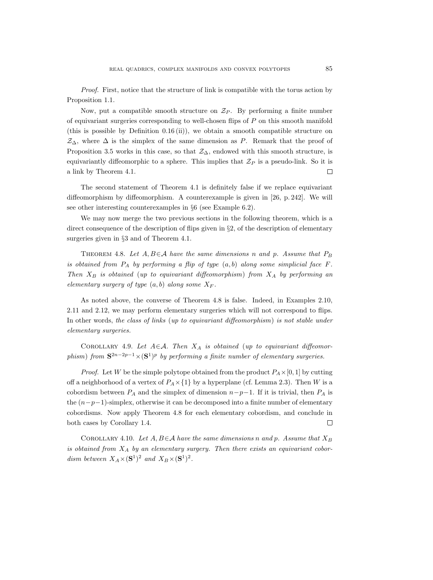Proof. First, notice that the structure of link is compatible with the torus action by Proposition 1.1.

Now, put a compatible smooth structure on  $\mathcal{Z}_P$ . By performing a finite number of equivariant surgeries corresponding to well-chosen flips of  $P$  on this smooth manifold (this is possible by Definition 0.16 (ii)), we obtain a smooth compatible structure on  $\mathcal{Z}_{\Delta}$ , where  $\Delta$  is the simplex of the same dimension as P. Remark that the proof of Proposition 3.5 works in this case, so that  $\mathcal{Z}_\Delta$ , endowed with this smooth structure, is equivariantly diffeomorphic to a sphere. This implies that  $\mathcal{Z}_P$  is a pseudo-link. So it is a link by Theorem 4.1.  $\Box$ 

The second statement of Theorem 4.1 is definitely false if we replace equivariant diffeomorphism by diffeomorphism. A counterexample is given in [26, p. 242]. We will see other interesting counterexamples in §6 (see Example 6.2).

We may now merge the two previous sections in the following theorem, which is a direct consequence of the description of flips given in §2, of the description of elementary surgeries given in §3 and of Theorem 4.1.

THEOREM 4.8. Let  $A, B \in \mathcal{A}$  have the same dimensions n and p. Assume that  $P_B$ is obtained from  $P_A$  by performing a flip of type  $(a, b)$  along some simplicial face F. Then  $X_B$  is obtained (up to equivariant diffeomorphism) from  $X_A$  by performing an elementary surgery of type  $(a, b)$  along some  $X_F$ .

As noted above, the converse of Theorem 4.8 is false. Indeed, in Examples 2.10, 2.11 and 2.12, we may perform elementary surgeries which will not correspond to flips. In other words, the class of links (up to equivariant diffeomorphism) is not stable under elementary surgeries.

COROLLARY 4.9. Let  $A \in \mathcal{A}$ . Then  $X_A$  is obtained (up to equivariant diffeomorphism) from  $S^{2n-2p-1}\times (S^1)^p$  by performing a finite number of elementary surgeries.

*Proof.* Let W be the simple polytope obtained from the product  $P_A \times [0, 1]$  by cutting off a neighborhood of a vertex of  $P_A \times \{1\}$  by a hyperplane (cf. Lemma 2.3). Then W is a cobordism between  $P_A$  and the simplex of dimension  $n-p-1$ . If it is trivial, then  $P_A$  is the  $(n-p-1)$ -simplex, otherwise it can be decomposed into a finite number of elementary cobordisms. Now apply Theorem 4.8 for each elementary cobordism, and conclude in both cases by Corollary 1.4.  $\Box$ 

COROLLARY 4.10. Let  $A, B \in \mathcal{A}$  have the same dimensions n and p. Assume that  $X_B$ is obtained from  $X_A$  by an elementary surgery. Then there exists an equivariant cobordism between  $X_A \times (\mathbf{S}^1)^2$  and  $X_B \times (\mathbf{S}^1)^2$ .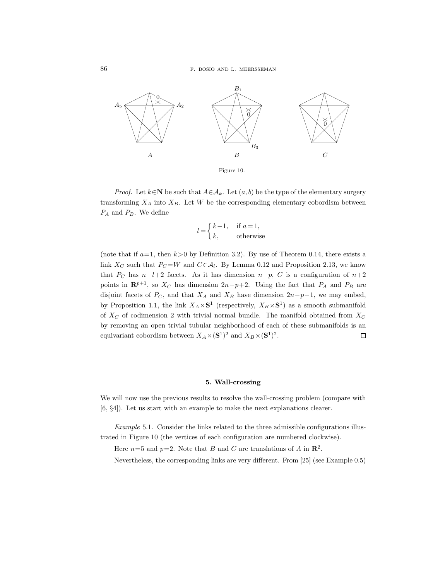

*Proof.* Let  $k \in \mathbb{N}$  be such that  $A \in \mathcal{A}_k$ . Let  $(a, b)$  be the type of the elementary surgery transforming  $X_A$  into  $X_B$ . Let W be the corresponding elementary cobordism between  $P_A$  and  $P_B$ . We define

$$
l = \begin{cases} k-1, & \text{if } a=1, \\ k, & \text{otherwise} \end{cases}
$$

(note that if  $a=1$ , then  $k>0$  by Definition 3.2). By use of Theorem 0.14, there exists a link  $X_C$  such that  $P_C = W$  and  $C \in \mathcal{A}_l$ . By Lemma 0.12 and Proposition 2.13, we know that  $P_C$  has  $n-l+2$  facets. As it has dimension  $n-p$ , C is a configuration of  $n+2$ points in  $\mathbb{R}^{p+1}$ , so  $X_C$  has dimension  $2n-p+2$ . Using the fact that  $P_A$  and  $P_B$  are disjoint facets of  $P_C$ , and that  $X_A$  and  $X_B$  have dimension  $2n-p-1$ , we may embed, by Proposition 1.1, the link  $X_A \times S^1$  (respectively,  $X_B \times S^1$ ) as a smooth submanifold of  $X_C$  of codimension 2 with trivial normal bundle. The manifold obtained from  $X_C$ by removing an open trivial tubular neighborhood of each of these submanifolds is an equivariant cobordism between  $X_A \times (\mathbf{S}^1)^2$  and  $X_B \times (\mathbf{S}^1)^2$ .  $\Box$ 

#### 5. Wall-crossing

We will now use the previous results to resolve the wall-crossing problem (compare with [6, §4]). Let us start with an example to make the next explanations clearer.

Example 5.1. Consider the links related to the three admissible configurations illustrated in Figure 10 (the vertices of each configuration are numbered clockwise).

Here  $n=5$  and  $p=2$ . Note that B and C are translations of A in  $\mathbb{R}^2$ .

Nevertheless, the corresponding links are very different. From [25] (see Example 0.5)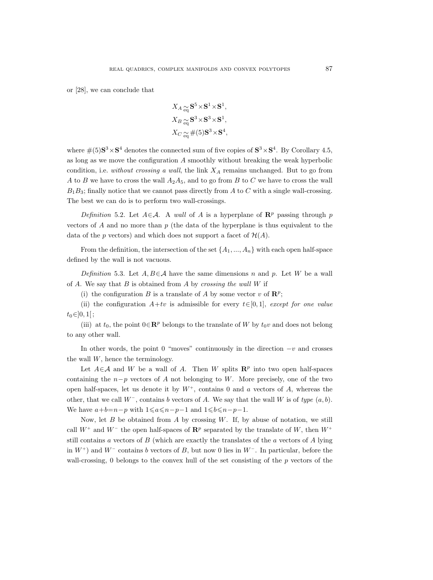or [28], we can conclude that

$$
X_{A \underset{\text{eq}}{\text{eq}}} \mathbf{S}^{5} \times \mathbf{S}^{1} \times \mathbf{S}^{1},
$$
  
\n
$$
X_{B \underset{\text{eq}}{\text{eq}}} \mathbf{S}^{3} \times \mathbf{S}^{3} \times \mathbf{S}^{1},
$$
  
\n
$$
X_{C \underset{\text{eq}}{\text{eq}}} \#(5) \mathbf{S}^{3} \times \mathbf{S}^{4},
$$

where  $\#(5)S^3 \times S^4$  denotes the connected sum of five copies of  $S^3 \times S^4$ . By Corollary 4.5, as long as we move the configuration  $A$  smoothly without breaking the weak hyperbolic condition, i.e. without crossing a wall, the link  $X_A$  remains unchanged. But to go from A to B we have to cross the wall  $A_2A_5$ , and to go from B to C we have to cross the wall  $B_1B_3$ ; finally notice that we cannot pass directly from A to C with a single wall-crossing. The best we can do is to perform two wall-crossings.

Definition 5.2. Let  $A \in \mathcal{A}$ . A wall of A is a hyperplane of  $\mathbb{R}^p$  passing through p vectors of A and no more than  $p$  (the data of the hyperplane is thus equivalent to the data of the p vectors) and which does not support a facet of  $\mathcal{H}(A)$ .

From the definition, the intersection of the set  $\{A_1, ..., A_n\}$  with each open half-space defined by the wall is not vacuous.

Definition 5.3. Let  $A, B \in \mathcal{A}$  have the same dimensions n and p. Let W be a wall of A. We say that  $B$  is obtained from A by crossing the wall  $W$  if

(i) the configuration B is a translate of A by some vector v of  $\mathbb{R}^p$ ;

(ii) the configuration  $A+tv$  is admissible for every  $t\in[0,1]$ , except for one value  $t_0 \in ]0,1[$ ;

(iii) at  $t_0$ , the point  $0 \in \mathbb{R}^p$  belongs to the translate of W by  $t_0v$  and does not belong to any other wall.

In other words, the point 0 "moves" continuously in the direction  $-v$  and crosses the wall  $W$ , hence the terminology.

Let  $A \in \mathcal{A}$  and W be a wall of A. Then W splits  $\mathbb{R}^p$  into two open half-spaces containing the  $n-p$  vectors of A not belonging to W. More precisely, one of the two open half-spaces, let us denote it by  $W^+$ , contains 0 and a vectors of A, whereas the other, that we call  $W^-$ , contains b vectors of A. We say that the wall W is of type  $(a, b)$ . We have  $a+b=n-p$  with  $1\leq a\leq n-p-1$  and  $1\leq b\leq n-p-1$ .

Now, let  $B$  be obtained from  $A$  by crossing  $W$ . If, by abuse of notation, we still call  $W^+$  and  $W^-$  the open half-spaces of  $\mathbb{R}^p$  separated by the translate of W, then  $W^+$ still contains a vectors of  $B$  (which are exactly the translates of the a vectors of  $A$  lying in  $W^+$ ) and  $W^-$  contains b vectors of B, but now 0 lies in  $W^-$ . In particular, before the wall-crossing,  $0$  belongs to the convex hull of the set consisting of the  $p$  vectors of the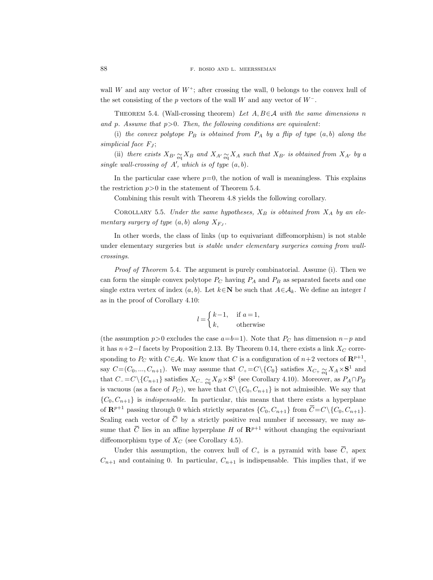wall W and any vector of  $W^+$ ; after crossing the wall, 0 belongs to the convex hull of the set consisting of the p vectors of the wall W and any vector of  $W^-$ .

THEOREM 5.4. (Wall-crossing theorem) Let  $A, B \in \mathcal{A}$  with the same dimensions n and p. Assume that  $p>0$ . Then, the following conditions are equivalent:

(i) the convex polytope  $P_B$  is obtained from  $P_A$  by a flip of type  $(a, b)$  along the simplicial face  $F_J$ ;

(ii) there exists  $X_{B'} \underset{\text{eq}}{\sim} X_B$  and  $X_{A'} \underset{\text{eq}}{\sim} X_A$  such that  $X_{B'}$  is obtained from  $X_{A'}$  by a single wall-crossing of  $A'$ , which is of type  $(a, b)$ .

In the particular case where  $p=0$ , the notion of wall is meaningless. This explains the restriction  $p>0$  in the statement of Theorem 5.4.

Combining this result with Theorem 4.8 yields the following corollary.

COROLLARY 5.5. Under the same hypotheses,  $X_B$  is obtained from  $X_A$  by an elementary surgery of type  $(a, b)$  along  $X_{FJ}$ .

In other words, the class of links (up to equivariant diffeomorphism) is not stable under elementary surgeries but is stable under elementary surgeries coming from wallcrossings.

Proof of Theorem 5.4. The argument is purely combinatorial. Assume (i). Then we can form the simple convex polytope  $P_C$  having  $P_A$  and  $P_B$  as separated facets and one single extra vertex of index  $(a, b)$ . Let  $k \in \mathbb{N}$  be such that  $A \in \mathcal{A}_k$ . We define an integer l as in the proof of Corollary 4.10:

$$
l = \begin{cases} k-1, & \text{if } a=1, \\ k, & \text{otherwise} \end{cases}
$$

(the assumption  $p>0$  excludes the case  $a=b=1$ ). Note that  $P<sub>C</sub>$  has dimension  $n-p$  and it has  $n+2-l$  facets by Proposition 2.13. By Theorem 0.14, there exists a link  $X_C$  corresponding to  $P_C$  with  $C \in \mathcal{A}_l$ . We know that C is a configuration of  $n+2$  vectors of  $\mathbb{R}^{p+1}$ , say  $C=(C_0, ..., C_{n+1})$ . We may assume that  $C_+=C\setminus\{C_0\}$  satisfies  $X_{C_+} \underset{\text{eq}}{\sim} X_A \times S^1$  and that  $C = C \setminus \{C_{n+1}\}$  satisfies  $X_{C-} \underset{\text{eq}}{\sim} X_B \times S^1$  (see Corollary 4.10). Moreover, as  $P_A \cap P_B$ is vacuous (as a face of  $P_C$ ), we have that  $C \setminus \{C_0, C_{n+1}\}\$ is not admissible. We say that  ${C_0, C_{n+1}}$  is *indispensable*. In particular, this means that there exists a hyperplane of  $\mathbb{R}^{p+1}$  passing through 0 which strictly separates  $\{C_0, C_{n+1}\}$  from  $\overline{C} = C \setminus \{C_0, C_{n+1}\}.$ Scaling each vector of  $\overline{C}$  by a strictly positive real number if necessary, we may assum general states in  $\sigma_{xy}$  is stated, particle for  $\mathbb{R}^{p+1}$  without changing the equivariant diffeomorphism type of  $X_C$  (see Corollary 4.5).

Under this assumption, the convex hull of  $C_+$  is a pyramid with base  $\overline{C}$ , apex  $C_{n+1}$  and containing 0. In particular,  $C_{n+1}$  is indispensable. This implies that, if we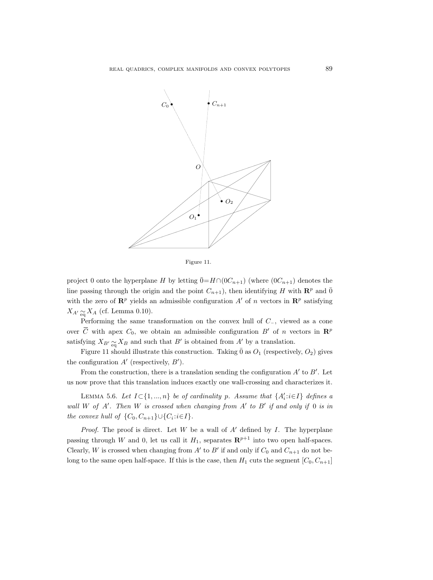

Figure 11.

project 0 onto the hyperplane H by letting  $\bar{0}=H\cap (0C_{n+1})$  (where  $(0C_{n+1})$  denotes the line passing through the origin and the point  $C_{n+1}$ , then identifying H with  $\mathbb{R}^p$  and  $\bar{0}$ with the zero of  $\mathbb{R}^p$  yields an admissible configuration A' of n vectors in  $\mathbb{R}^p$  satisfying  $X_{A'} \underset{\text{eq}}{\sim} X_A$  (cf. Lemma 0.10).

Performing the same transformation on the convex hull of C−, viewed as a cone over  $\overline{C}$  with apex  $C_0$ , we obtain an admissible configuration  $B'$  of n vectors in  $\mathbb{R}^p$ satisfying  $X_{B'} \underset{eq}{\sim} X_B$  and such that  $B'$  is obtained from A' by a translation.

Figure 11 should illustrate this construction. Taking  $\bar{0}$  as  $O_1$  (respectively,  $O_2$ ) gives the configuration  $A'$  (respectively,  $B'$ ).

From the construction, there is a translation sending the configuration  $A'$  to  $B'$ . Let us now prove that this translation induces exactly one wall-crossing and characterizes it.

LEMMA 5.6. Let  $I \subset \{1, ..., n\}$  be of cardinality p. Assume that  $\{A'_i : i \in I\}$  defines a wall W of  $A'$ . Then W is crossed when changing from  $A'$  to  $B'$  if and only if 0 is in the convex hull of  $\{C_0, C_{n+1}\} \cup \{C_i : i \in I\}.$ 

*Proof.* The proof is direct. Let W be a wall of  $A'$  defined by I. The hyperplane passing through W and 0, let us call it  $H_1$ , separates  $\mathbb{R}^{p+1}$  into two open half-spaces. Clearly, W is crossed when changing from  $A'$  to  $B'$  if and only if  $C_0$  and  $C_{n+1}$  do not belong to the same open half-space. If this is the case, then  $H_1$  cuts the segment  $[C_0, C_{n+1}]$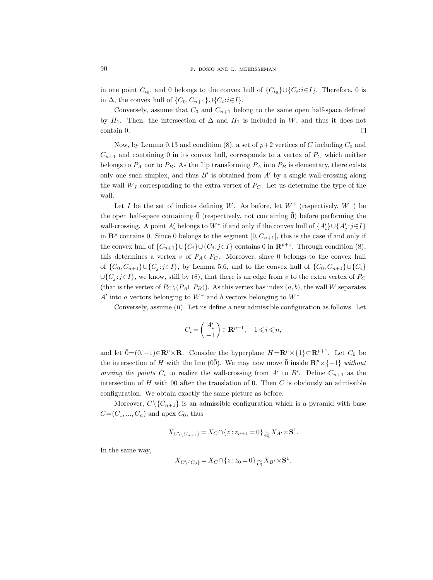in one point  $C_{t_0}$ , and 0 belongs to the convex hull of  $\{C_{t_0}\}\cup\{C_i:i\in I\}$ . Therefore, 0 is in  $\Delta$ , the convex hull of  $\{C_0, C_{n+1}\} \cup \{C_i : i \in I\}$ .

Conversely, assume that  $C_0$  and  $C_{n+1}$  belong to the same open half-space defined by  $H_1$ . Then, the intersection of  $\Delta$  and  $H_1$  is included in W, and thus it does not contain 0.  $\Box$ 

Now, by Lemma 0.13 and condition (8), a set of  $p+2$  vertices of C including  $C_0$  and  $C_{n+1}$  and containing 0 in its convex hull, corresponds to a vertex of  $P<sub>C</sub>$  which neither belongs to  $P_A$  nor to  $P_B$ . As the flip transforming  $P_A$  into  $P_B$  is elementary, there exists only one such simplex, and thus  $B'$  is obtained from  $A'$  by a single wall-crossing along the wall  $W_J$  corresponding to the extra vertex of  $P_C$ . Let us determine the type of the wall.

Let I be the set of indices defining W. As before, let  $W^+$  (respectively,  $W^-$ ) be the open half-space containing  $\bar{0}$  (respectively, not containing  $\bar{0}$ ) before performing the wall-crossing. A point  $A'_i$  belongs to  $W^+$  if and only if the convex hull of  $\{A'_i\} \cup \{A'_j : j \in I\}$ in  $\mathbf{R}^p$  contains  $\overline{0}$ . Since 0 belongs to the segment  $[\overline{0}, C_{n+1}]$ , this is the case if and only if the convex hull of  $\{C_{n+1}\}\cup\{C_i\}\cup\{C_j : j\in I\}$  contains 0 in  $\mathbb{R}^{p+1}$ . Through condition (8), this determines a vertex v of  $P_A \subset P_C$ . Moreover, since 0 belongs to the convex hull of  $\{C_0, C_{n+1}\} \cup \{C_j : j \in I\}$ , by Lemma 5.6, and to the convex hull of  $\{C_0, C_{n+1}\} \cup \{C_i\}$  $\cup$ {C<sub>j</sub>:j∈I}, we know, still by (8), that there is an edge from v to the extra vertex of P<sub>C</sub> (that is the vertex of  $P_C \setminus (P_A \sqcup P_B)$ ). As this vertex has index  $(a, b)$ , the wall W separates A' into a vectors belonging to  $W^+$  and b vectors belonging to  $W^-$ .

Conversely, assume (ii). Let us define a new admissible configuration as follows. Let

$$
C_i = \begin{pmatrix} A'_i \\ -1 \end{pmatrix} \in \mathbf{R}^{p+1}, \quad 1 \leqslant i \leqslant n,
$$

and let  $\bar{0}=(0,-1)\in\mathbf{R}^p\times\mathbf{R}$ . Consider the hyperplane  $H=\mathbf{R}^p\times\{1\}\subset\mathbf{R}^{p+1}$ . Let  $C_0$  be the intersection of H with the line (0 $\overline{0}$ ). We may now move  $\overline{0}$  inside  $\mathbb{R}^p \times \{-1\}$  without moving the points  $C_i$  to realize the wall-crossing from A' to B'. Define  $C_{n+1}$  as the intersection of H with  $\overline{00}$  after the translation of  $\overline{0}$ . Then C is obviously an admissible configuration. We obtain exactly the same picture as before.

Moreover,  $C \setminus \{C_{n+1}\}\$ is an admissible configuration which is a pyramid with base  $\overline{C} = (C_1, ..., C_n)$  and apex  $C_0$ , thus

$$
X_{C \setminus \{C_{n+1}\}} = X_C \cap \{z : z_{n+1} = 0\} \underset{\text{eq}}{\sim} X_{A'} \times \mathbf{S}^1.
$$

In the same way,

$$
X_{C \setminus \{C_0\}} = X_C \cap \{z : z_0 = 0\} \underset{\text{eq}}{\sim} X_{B'} \times \mathbf{S}^1.
$$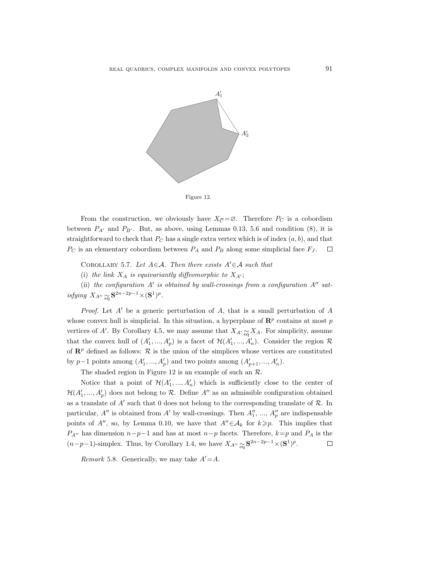

Figure 12.

From the construction, we obviously have  $X_{\overline{C}} = \emptyset$ . Therefore  $P_C$  is a cobordism between  $P_{A'}$  and  $P_{B'}$ . But, as above, using Lemmas 0.13, 5.6 and condition (8), it is straightforward to check that  $P_C$  has a single extra vertex which is of index  $(a, b)$ , and that  $P_C$  is an elementary cobordism between  $P_A$  and  $P_B$  along some simplicial face  $F_J$ .  $\Box$ 

COROLLARY 5.7. Let  $A \in \mathcal{A}$ . Then there exists  $A' \in \mathcal{A}$  such that

(i) the link  $X_A$  is equivariantly diffeomorphic to  $X_{A'}$ ;

(ii) the configuration  $A'$  is obtained by wall-crossings from a configuration  $A''$  satisfying  $X_{A''} \underset{\text{eq}}{\sim} \mathbf{S}^{2n-2p-1} \times (\mathbf{S}^1)^p$ .

*Proof.* Let  $A'$  be a generic perturbation of A, that is a small perturbation of A whose convex hull is simplicial. In this situation, a hyperplane of  $\mathbb{R}^p$  contains at most p vertices of A'. By Corollary 4.5, we may assume that  $X_{A}$ <sub>'</sub>  $\underset{\text{eq}}{\sim} X_A$ . For simplicity, assume that the convex hull of  $(A'_1, ..., A'_p)$  is a facet of  $\mathcal{H}(A'_1, ..., A'_n)$ . Consider the region  $\mathcal{R}$ of  $\mathbb{R}^p$  defined as follows:  $\mathcal R$  is the union of the simplices whose vertices are constituted by p-1 points among  $(A'_1, ..., A'_p)$  and two points among  $(A'_{p+1}, ..., A'_n)$ .

The shaded region in Figure 12 is an example of such an  $\mathcal{R}$ .

Notice that a point of  $\mathcal{H}(A'_1, ..., A'_n)$  which is sufficiently close to the center of  $\mathcal{H}(A'_1, ..., A'_p)$  does not belong to  $\mathcal{R}$ . Define  $A''$  as an admissible configuration obtained as a translate of  $A'$  such that 0 does not belong to the corresponding translate of  $R$ . In particular,  $A''$  is obtained from  $A'$  by wall-crossings. Then  $A''_1$ , ...,  $A''_p$  are indispensable points of A'', so, by Lemma 0.10, we have that  $A''\in\mathcal{A}_k$  for  $k\geq p$ . This implies that  $P_{A}$ <sup>n</sup> has dimension  $n-p-1$  and has at most  $n-p$  facets. Therefore,  $k=p$  and  $P_A$  is the  $(n-p-1)$ -simplex. Thus, by Corollary 1.4, we have  $X_{A''} \underset{\text{eq}}{\sim} \mathbf{S}^{2n-2p-1} \times (\mathbf{S}^1)^p$ .  $\Box$ 

Remark 5.8. Generically, we may take  $A'=A$ .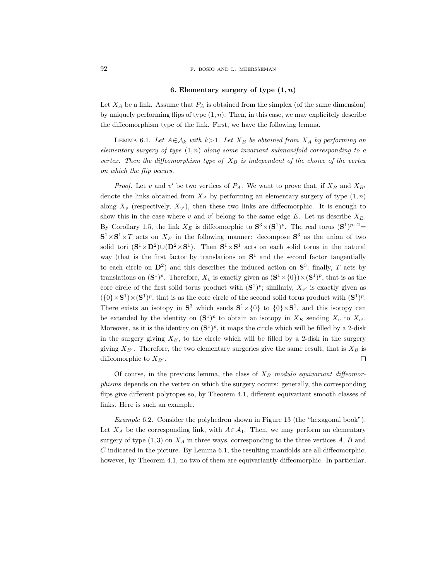### 92 F. BOSIO AND L. MEERSSEMAN

## 6. Elementary surgery of type  $(1, n)$

Let  $X_A$  be a link. Assume that  $P_A$  is obtained from the simplex (of the same dimension) by uniquely performing flips of type  $(1, n)$ . Then, in this case, we may explicitely describe the diffeomorphism type of the link. First, we have the following lemma.

LEMMA 6.1. Let  $A \in \mathcal{A}_k$  with  $k>1$ . Let  $X_B$  be obtained from  $X_A$  by performing an elementary surgery of type  $(1, n)$  along some invariant submanifold corresponding to a vertex. Then the diffeomorphism type of  $X_B$  is independent of the choice of the vertex on which the flip occurs.

*Proof.* Let v and v' be two vertices of  $P_A$ . We want to prove that, if  $X_B$  and  $X_{B'}$ denote the links obtained from  $X_A$  by performing an elementary surgery of type  $(1, n)$ along  $X_v$  (respectively,  $X_{v'}$ ), then these two links are diffeomorphic. It is enough to show this in the case where v and v' belong to the same edge E. Let us describe  $X_E$ . By Corollary 1.5, the link  $X_E$  is diffeomorphic to  $S^3 \times (S^1)^p$ . The real torus  $(S^1)^{p+2}$  $S^1 \times S^1 \times T$  acts on  $X_E$  in the following manner: decompose  $S^3$  as the union of two solid tori  $({\bf S}^1 \times {\bf D}^2) \cup ({\bf D}^2 \times {\bf S}^1)$ . Then  ${\bf S}^1 \times {\bf S}^1$  acts on each solid torus in the natural way (that is the first factor by translations on  $S<sup>1</sup>$  and the second factor tangentially to each circle on  $\mathbf{D}^2$ ) and this describes the induced action on  $\mathbf{S}^3$ ; finally, T acts by translations on  $(\mathbf{S}^1)^p$ . Therefore,  $X_v$  is exactly given as  $(\mathbf{S}^1 \times \{0\}) \times (\mathbf{S}^1)^p$ , that is as the core circle of the first solid torus product with  $({\bf S}^1)^p$ ; similarly,  $X_{v'}$  is exactly given as  $({0} \times S^1) \times (S^1)^p$ , that is as the core circle of the second solid torus product with  $(S^1)^p$ . There exists an isotopy in  $S^3$  which sends  $S^1 \times \{0\}$  to  $\{0\} \times S^1$ , and this isotopy can be extended by the identity on  $({\bf S}^1)^p$  to obtain an isotopy in  $X_E$  sending  $X_v$  to  $X_{v'}$ . Moreover, as it is the identity on  $({\bf S}^1)^p$ , it maps the circle which will be filled by a 2-disk in the surgery giving  $X_B$ , to the circle which will be filled by a 2-disk in the surgery giving  $X_{B'}$ . Therefore, the two elementary surgeries give the same result, that is  $X_B$  is diffeomorphic to  $X_{B}$ .  $\Box$ 

Of course, in the previous lemma, the class of  $X_B$  modulo equivariant diffeomorphisms depends on the vertex on which the surgery occurs: generally, the corresponding flips give different polytopes so, by Theorem 4.1, different equivariant smooth classes of links. Here is such an example.

Example 6.2. Consider the polyhedron shown in Figure 13 (the "hexagonal book"). Let  $X_A$  be the corresponding link, with  $A \in \mathcal{A}_1$ . Then, we may perform an elementary surgery of type  $(1, 3)$  on  $X_A$  in three ways, corresponding to the three vertices A, B and  $C$  indicated in the picture. By Lemma 6.1, the resulting manifolds are all diffeomorphic; however, by Theorem 4.1, no two of them are equivariantly diffeomorphic. In particular,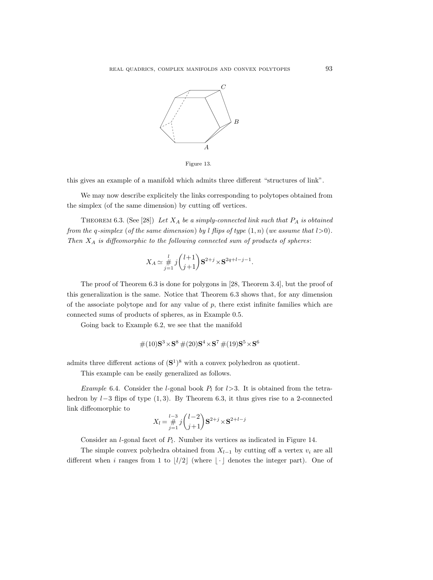

Figure 13.

this gives an example of a manifold which admits three different "structures of link".

We may now describe explicitely the links corresponding to polytopes obtained from the simplex (of the same dimension) by cutting off vertices.

THEOREM 6.3. (See [28]) Let  $X_A$  be a simply-connected link such that  $P_A$  is obtained from the q-simplex (of the same dimension) by l flips of type  $(1, n)$  (we assume that  $l > 0$ ). Then  $X_A$  is diffeomorphic to the following connected sum of products of spheres:

$$
X_A \simeq \frac{l}{j=1} \, j \binom{l+1}{j+1} \mathbf{S}^{2+j} \times \mathbf{S}^{2q+l-j-1}.
$$

The proof of Theorem 6.3 is done for polygons in [28, Theorem 3.4], but the proof of this generalization is the same. Notice that Theorem 6.3 shows that, for any dimension of the associate polytope and for any value of  $p$ , there exist infinite families which are connected sums of products of spheres, as in Example 0.5.

Going back to Example 6.2, we see that the manifold

$$
\#(10)\mathbf{S}^3 \times \mathbf{S}^8 \#(20)\mathbf{S}^4 \times \mathbf{S}^7 \#(19)\mathbf{S}^5 \times \mathbf{S}^6
$$

admits three different actions of  $({\bf S}^1)^8$  with a convex polyhedron as quotient.

This example can be easily generalized as follows.

Example 6.4. Consider the *l*-gonal book  $P_l$  for  $l>3$ . It is obtained from the tetrahedron by  $l-3$  flips of type  $(1, 3)$ . By Theorem 6.3, it thus gives rise to a 2-connected link diffeomorphic to

$$
X_l = \frac{l-3}{j-1} j \binom{l-2}{j+1} \mathbf{S}^{2+j} \times \mathbf{S}^{2+l-j}
$$

Consider an *l*-gonal facet of  $P_l$ . Number its vertices as indicated in Figure 14.

The simple convex polyhedra obtained from  $X_{l-1}$  by cutting off a vertex  $v_i$  are all different when i ranges from 1 to  $|l/2|$  (where  $|\cdot|$  denotes the integer part). One of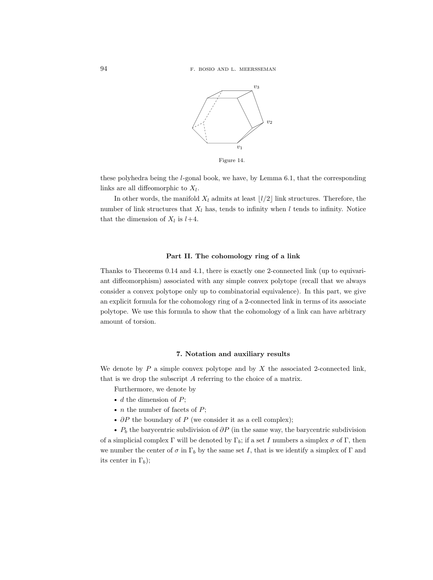

these polyhedra being the  $l$ -gonal book, we have, by Lemma 6.1, that the corresponding links are all diffeomorphic to  $X_l$ .

In other words, the manifold  $X_l$  admits at least  $\lfloor l/2 \rfloor$  link structures. Therefore, the number of link structures that  $X_l$  has, tends to infinity when l tends to infinity. Notice that the dimension of  $X_l$  is  $l+4$ .

# Part II. The cohomology ring of a link

Thanks to Theorems 0.14 and 4.1, there is exactly one 2-connected link (up to equivariant diffeomorphism) associated with any simple convex polytope (recall that we always consider a convex polytope only up to combinatorial equivalence). In this part, we give an explicit formula for the cohomology ring of a 2-connected link in terms of its associate polytope. We use this formula to show that the cohomology of a link can have arbitrary amount of torsion.

# 7. Notation and auxiliary results

We denote by  $P$  a simple convex polytope and by  $X$  the associated 2-connected link, that is we drop the subscript A referring to the choice of a matrix.

Furthermore, we denote by

- $\bullet$  d the dimension of P;
- *n* the number of facets of  $P$ ;
- $\partial P$  the boundary of P (we consider it as a cell complex);

•  $P_b$  the barycentric subdivision of  $\partial P$  (in the same way, the barycentric subdivision of a simplicial complex  $\Gamma$  will be denoted by  $\Gamma_b$ ; if a set I numbers a simplex  $\sigma$  of  $\Gamma$ , then we number the center of  $\sigma$  in  $\Gamma_b$  by the same set I, that is we identify a simplex of  $\Gamma$  and its center in  $\Gamma_b$ );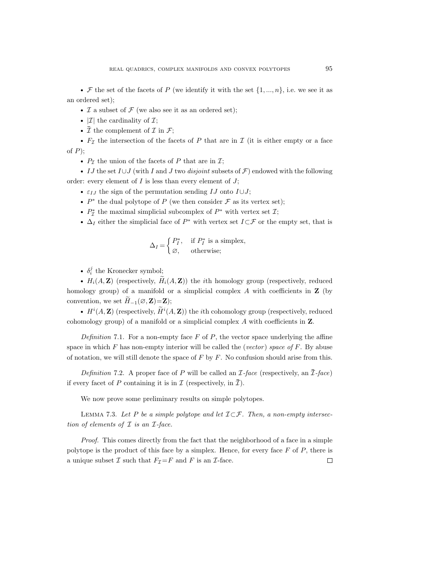F the set of the facets of P (we identify it with the set  $\{1, ..., n\}$ , i.e. we see it as an ordered set);

•  $\mathcal I$  a subset of  $\mathcal F$  (we also see it as an ordered set);

- $|\mathcal{I}|$  the cardinality of  $\mathcal{I};$
- $\overline{\bar{\mathcal{I}}}$  the complement of  $\overline{\mathcal{I}}$  in  $\mathcal{F}$ ;

•  $F_{\mathcal{I}}$  the intersection of the facets of P that are in  $\mathcal{I}$  (it is either empty or a face of  $P$ );

•  $P_{\mathcal{I}}$  the union of the facets of P that are in  $\mathcal{I};$ 

IJ the set  $I\cup J$  (with I and J two *disjoint* subsets of  $\mathcal{F}$ ) endowed with the following order: every element of  $I$  is less than every element of  $J$ ;

- $\varepsilon_{IJ}$  the sign of the permutation sending IJ onto  $I\cup J$ ;
- $P^*$  the dual polytope of P (we then consider  $\mathcal F$  as its vertex set);
- $P^*_{\mathcal{I}}$  the maximal simplicial subcomplex of  $P^*$  with vertex set  $\mathcal{I};$
- $\Delta_I$  either the simplicial face of  $P^*$  with vertex set  $I\subset\mathcal{F}$  or the empty set, that is

$$
\Delta_I = \begin{cases} P_I^*, & \text{if } P_I^* \text{ is a simplex,} \\ \varnothing, & \text{otherwise;} \end{cases}
$$

-  $\delta_i^j$  the Kronecker symbol;

•  $H_i(A, \mathbf{Z})$  (respectively,  $\widetilde{H}_i(A, \mathbf{Z})$ ) the *i*th homology group (respectively, reduced homology group) of a manifold or a simplicial complex  $A$  with coefficients in  $Z$  (by convention, we set  $H_{-1}(\emptyset, \mathbf{Z}) = \mathbf{Z}$ ;

•  $H^i(A, \mathbf{Z})$  (respectively,  $\widetilde{H}^i(A, \mathbf{Z})$ ) the *i*th cohomology group (respectively, reduced cohomology group) of a manifold or a simplicial complex A with coefficients in Z.

Definition 7.1. For a non-empty face  $F$  of  $P$ , the vector space underlying the affine space in which  $F$  has non-empty interior will be called the (vector) space of  $F$ . By abuse of notation, we will still denote the space of  $F$  by  $F$ . No confusion should arise from this.

Definition 7.2. A proper face of P will be called an  $\mathcal{I}\text{-}face$  (respectively, an  $\overline{\mathcal{I}}\text{-}face$ ) if every facet of P containing it is in  $\mathcal I$  (respectively, in  $\mathcal I$ ).

We now prove some preliminary results on simple polytopes.

LEMMA 7.3. Let P be a simple polytope and let  $\mathcal{I}\subset\mathcal{F}$ . Then, a non-empty intersection of elements of  $\mathcal I$  is an  $\mathcal I$ -face.

Proof. This comes directly from the fact that the neighborhood of a face in a simple polytope is the product of this face by a simplex. Hence, for every face  $F$  of  $P$ , there is a unique subset  $\mathcal I$  such that  $F_{\mathcal I}=F$  and  $F$  is an  $\mathcal I$ -face.  $\Box$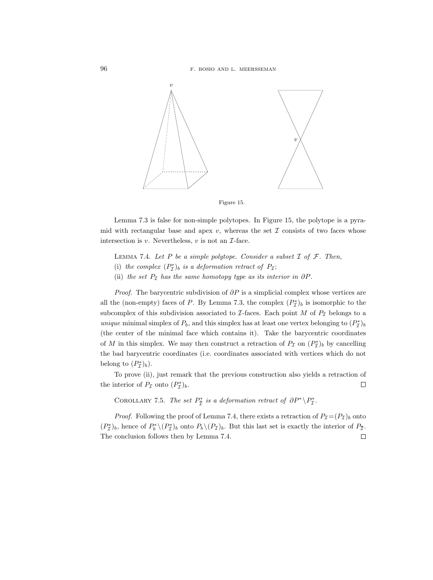

Figure 15.

Lemma 7.3 is false for non-simple polytopes. In Figure 15, the polytope is a pyramid with rectangular base and apex  $v$ , whereas the set  $\mathcal I$  consists of two faces whose intersection is  $v$ . Nevertheless,  $v$  is not an  $\mathcal{I}\text{-face}$ .

LEMMA 7.4. Let P be a simple polytope. Consider a subset  $\mathcal I$  of  $\mathcal F$ . Then,

- (i) the complex  $(P_{\mathcal{I}}^{*})_{b}$  is a deformation retract of  $P_{\mathcal{I}}$ ;
- (ii) the set  $P<sub>I</sub>$  has the same homotopy type as its interior in  $\partial P$ .

*Proof.* The barycentric subdivision of  $\partial P$  is a simplicial complex whose vertices are all the (non-empty) faces of P. By Lemma 7.3, the complex  $(P_{\mathcal{I}}^{*})_{b}$  is isomorphic to the subcomplex of this subdivision associated to  $\mathcal I$ -faces. Each point M of  $P_{\mathcal I}$  belongs to a unique minimal simplex of  $P_b$ , and this simplex has at least one vertex belonging to  $(P_{\mathcal{I}}^*)_b$ (the center of the minimal face which contains it). Take the barycentric coordinates of M in this simplex. We may then construct a retraction of  $P_{\mathcal{I}}$  on  $(P_{\mathcal{I}}^*)_b$  by cancelling the bad barycentric coordinates (i.e. coordinates associated with vertices which do not belong to  $(P_{\mathcal{I}}^{*})_{b}$ ).

To prove (ii), just remark that the previous construction also yields a retraction of the interior of  $P_{\mathcal{I}}$  onto  $(P_{\mathcal{I}}^*)_b$ .  $\Box$ 

COROLLARY 7.5. The set  $P^*_{\overline{\mathcal{I}}}$  is a deformation retract of  $\partial P^* \backslash P^*_{\mathcal{I}}$ .

*Proof.* Following the proof of Lemma 7.4, there exists a retraction of  $P_{\mathcal{I}}=(P_{\mathcal{I}})_b$  onto  $(P_{\mathcal{I}}^{*})_{b}$ , hence of  $P_{b}^{*} \setminus (P_{\mathcal{I}}^{*})_{b}$  onto  $P_{b} \setminus (P_{\mathcal{I}})_{b}$ . But this last set is exactly the interior of  $P_{\mathcal{I}}$ . The conclusion follows then by Lemma 7.4. $\Box$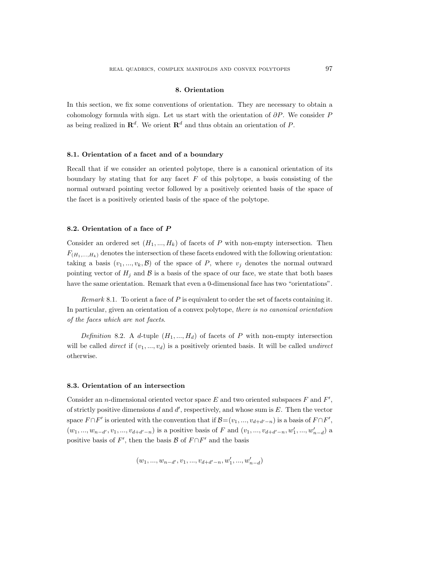### 8. Orientation

In this section, we fix some conventions of orientation. They are necessary to obtain a cohomology formula with sign. Let us start with the orientation of  $\partial P$ . We consider P as being realized in  $\mathbb{R}^d$ . We orient  $\mathbb{R}^d$  and thus obtain an orientation of P.

## 8.1. Orientation of a facet and of a boundary

Recall that if we consider an oriented polytope, there is a canonical orientation of its boundary by stating that for any facet  $F$  of this polytope, a basis consisting of the normal outward pointing vector followed by a positively oriented basis of the space of the facet is a positively oriented basis of the space of the polytope.

# 8.2. Orientation of a face of P

Consider an ordered set  $(H_1, ..., H_k)$  of facets of P with non-empty intersection. Then  $F_{(H_1,...,H_k)}$  denotes the intersection of these facets endowed with the following orientation: taking a basis  $(v_1, ..., v_k, \mathcal{B})$  of the space of P, where  $v_j$  denotes the normal outward pointing vector of  $H_j$  and  $\beta$  is a basis of the space of our face, we state that both bases have the same orientation. Remark that even a 0-dimensional face has two "orientations".

Remark 8.1. To orient a face of  $P$  is equivalent to order the set of facets containing it. In particular, given an orientation of a convex polytope, there is no canonical orientation of the faces which are not facets.

Definition 8.2. A d-tuple  $(H_1, ..., H_d)$  of facets of P with non-empty intersection will be called *direct* if  $(v_1, ..., v_d)$  is a positively oriented basis. It will be called *undirect* otherwise.

## 8.3. Orientation of an intersection

Consider an *n*-dimensional oriented vector space  $E$  and two oriented subspaces  $F$  and  $F'$ , of strictly positive dimensions  $d$  and  $d'$ , respectively, and whose sum is  $E$ . Then the vector space  $F \cap F'$  is oriented with the convention that if  $\mathcal{B}=(v_1, ..., v_{d+d'-n})$  is a basis of  $F \cap F'$ ,  $(w_1, ..., w_{n-d'}, v_1, ..., v_{d+d'-n})$  is a positive basis of F and  $(v_1, ..., v_{d+d'-n}, w'_1, ..., w'_{n-d})$  a positive basis of  $F'$ , then the basis  $\mathcal{B}$  of  $F \cap F'$  and the basis

$$
(w_1,...,w_{n-d'},v_1,...,v_{d+d'-n},w'_1,...,w'_{n-d})\\
$$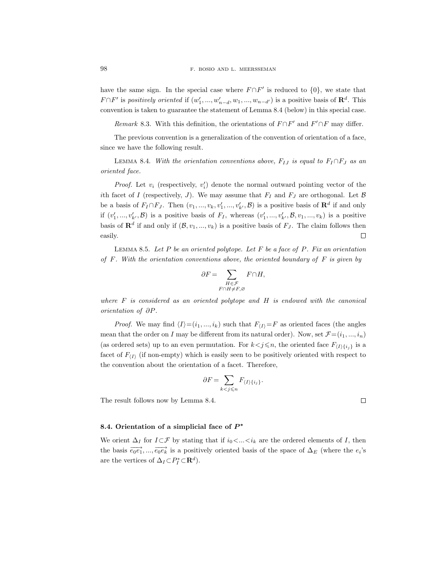have the same sign. In the special case where  $F \cap F'$  is reduced to  $\{0\}$ , we state that  $F \cap F'$  is positively oriented if  $(w'_1, ..., w'_{n-d}, w_1, ..., w_{n-d'})$  is a positive basis of  $\mathbb{R}^d$ . This convention is taken to guarantee the statement of Lemma 8.4 (below) in this special case.

Remark 8.3. With this definition, the orientations of  $F \cap F'$  and  $F' \cap F$  may differ.

The previous convention is a generalization of the convention of orientation of a face, since we have the following result.

LEMMA 8.4. With the orientation conventions above,  $F_{IJ}$  is equal to  $F_I \cap F_J$  as an oriented face.

*Proof.* Let  $v_i$  (respectively,  $v'_i$ ) denote the normal outward pointing vector of the ith facet of I (respectively, J). We may assume that  $F_I$  and  $F_J$  are orthogonal. Let  $\beta$ be a basis of  $F_I \cap F_J$ . Then  $(v_1, ..., v_k, v'_1, ..., v'_{k'}, \mathcal{B})$  is a positive basis of  $\mathbb{R}^d$  if and only if  $(v'_1, ..., v'_{k'}, \mathcal{B})$  is a positive basis of  $F_I$ , whereas  $(v'_1, ..., v'_{k'}, \mathcal{B}, v_1, ..., v_k)$  is a positive basis of  $\mathbf{R}^d$  if and only if  $(\mathcal{B}, v_1, ..., v_k)$  is a positive basis of  $F_J$ . The claim follows then easily.  $\Box$ 

LEMMA 8.5. Let  $P$  be an oriented polytope. Let  $F$  be a face of  $P$ . Fix an orientation of  $F$ . With the orientation conventions above, the oriented boundary of  $F$  is given by

$$
\partial F = \sum_{\substack{H \in \mathcal{F} \\ F \cap H \neq F, \varnothing}} F \cap H,
$$

where  $F$  is considered as an oriented polytope and  $H$  is endowed with the canonical orientation of ∂P.

*Proof.* We may find  $\langle I \rangle = (i_1, ..., i_k)$  such that  $F_{\langle I \rangle} = F$  as oriented faces (the angles mean that the order on I may be different from its natural order). Now, set  $\mathcal{F}=(i_1, ..., i_n)$ (as ordered sets) up to an even permutation. For  $k < j \le n$ , the oriented face  $F_{\{I\}\{i_i\}}$  is a facet of  $F_{\langle I\rangle}$  (if non-empty) which is easily seen to be positively oriented with respect to the convention about the orientation of a facet. Therefore,

$$
\partial F = \sum_{k < j \leqslant n} F_{\langle I\rangle \{i_j\}}.
$$

The result follows now by Lemma 8.4.

8.4. Orientation of a simplicial face of  $P^*$ 

We orient  $\Delta_I$  for  $I\subset\mathcal{F}$  by stating that if  $i_0\lt\ldots\lt i_k$  are the ordered elements of I, then the basis  $\overrightarrow{e_0e_1},...,\overrightarrow{e_0e_k}$  is a positively oriented basis of the space of  $\Delta_E$  (where the  $e_i$ 's are the vertices of  $\Delta_I \subset P_I^* \subset \mathbf{R}^d$ .

 $\Box$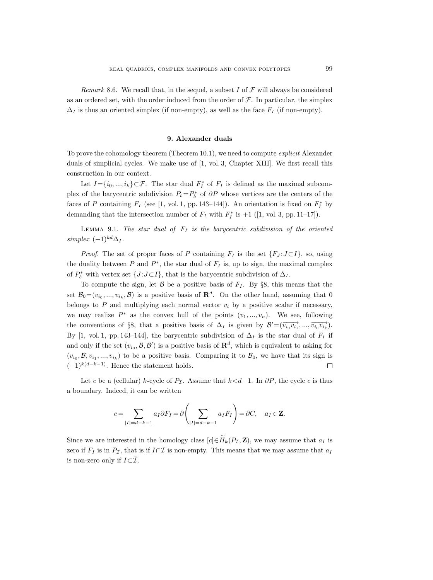Remark 8.6. We recall that, in the sequel, a subset I of  $\mathcal F$  will always be considered as an ordered set, with the order induced from the order of  $\mathcal F$ . In particular, the simplex  $\Delta_I$  is thus an oriented simplex (if non-empty), as well as the face  $F_I$  (if non-empty).

#### 9. Alexander duals

To prove the cohomology theorem (Theorem 10.1), we need to compute explicit Alexander duals of simplicial cycles. We make use of [1, vol. 3, Chapter XIII]. We first recall this construction in our context.

Let  $I = \{i_0, ..., i_k\} \subset \mathcal{F}$ . The star dual  $F_I^*$  of  $F_I$  is defined as the maximal subcomplex of the barycentric subdivision  $P_b = P_b^*$  of  $\partial P$  whose vertices are the centers of the faces of P containing  $F_I$  (see [1, vol. 1, pp. 143–144]). An orientation is fixed on  $F_I^*$  by demanding that the intersection number of  $F_I$  with  $F_I^*$  is  $+1$  ([1, vol. 3, pp. 11–17]).

LEMMA 9.1. The star dual of  $F_I$  is the barycentric subdivision of the oriented simplex  $(-1)^{kd} \Delta_I$ .

*Proof.* The set of proper faces of P containing  $F_I$  is the set  $\{F_J : J \subset I\}$ , so, using the duality between  $P$  and  $P^*$ , the star dual of  $F_I$  is, up to sign, the maximal complex of  $P_b^*$  with vertex set  $\{J : J \subset I\}$ , that is the barycentric subdivision of  $\Delta_I$ .

To compute the sign, let B be a positive basis of  $F_I$ . By §8, this means that the set  $\mathcal{B}_0 = (v_{i_0}, ..., v_{i_k}, \mathcal{B})$  is a positive basis of  $\mathbb{R}^d$ . On the other hand, assuming that 0 belongs to P and multiplying each normal vector  $v_i$  by a positive scalar if necessary, we may realize  $P^*$  as the convex hull of the points  $(v_1, ..., v_n)$ . We see, following the conventions of §8, that a positive basis of  $\Delta_I$  is given by  $\mathcal{B}' = (\overrightarrow{v_{i_0} v_{i_1}}, ..., \overrightarrow{v_{i_0} v_{i_k}})$ . By [1, vol. 1, pp. 143–144], the barycentric subdivision of  $\Delta_I$  is the star dual of  $F_I$  if and only if the set  $(v_{i_0}, \mathcal{B}, \mathcal{B}')$  is a positive basis of  $\mathbb{R}^d$ , which is equivalent to asking for  $(v_{i_0}, \mathcal{B}, v_{i_1}, ..., v_{i_k})$  to be a positive basis. Comparing it to  $\mathcal{B}_0$ , we have that its sign is  $(-1)^{k(d-k-1)}$ . Hence the statement holds.  $\Box$ 

Let c be a (cellular) k-cycle of  $P_{\mathcal{I}}$ . Assume that  $k < d-1$ . In  $\partial P$ , the cycle c is thus a boundary. Indeed, it can be written

$$
c = \sum_{|I|=d-k-1} a_I \partial F_I = \partial \left( \sum_{|I|=d-k-1} a_I F_I \right) = \partial C, \quad a_I \in \mathbf{Z}.
$$

Since we are interested in the homology class  $[c] \in \widetilde{H}_k(P_{\mathcal{I}}, \mathbf{Z})$ , we may assume that  $a_I$  is zero if  $F_I$  is in  $P_I$ , that is if  $I \cap \mathcal{I}$  is non-empty. This means that we may assume that  $a_I$ is non-zero only if  $I\subset\overline{\mathcal{I}}$ .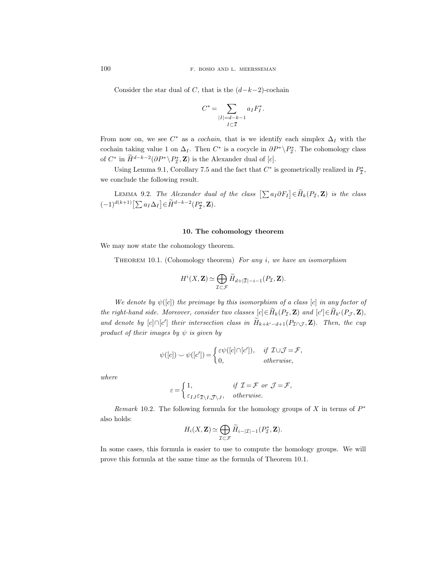Consider the star dual of C, that is the  $(d-k-2)$ -cochain

$$
C^* = \sum_{\substack{|I|=d-k-1\\I\subset \overline{\mathcal{I}}}} a_I F_I^*.
$$

From now on, we see  $C^*$  as a *cochain*, that is we identify each simplex  $\Delta_I$  with the cochain taking value 1 on  $\Delta_I$ . Then  $C^*$  is a cocycle in  $\partial P^* \backslash P^*_{\mathcal{I}}$ . The cohomology class of  $C^*$  in  $\overline{H}^{d-k-2}(\partial P^*\backslash P_{\mathcal{I}}^*,\mathbf{Z})$  is the Alexander dual of [c].

Using Lemma 9.1, Corollary 7.5 and the fact that  $C^*$  is geometrically realized in  $P_{\overline{\mathcal{I}}}^*$ , we conclude the following result.

LEMMA 9.2. The Alexander dual of the class  $[\sum a_I \partial F_I] \in \widetilde{H}_k(P_{\mathcal{I}}, \mathbf{Z})$  is the class  $(-1)^{d(k+1)} \left[ \sum a_I \Delta_I \right] \in \tilde{H}^{d-k-2}(P^*_{\tilde{I}}, \mathbf{Z}).$ 

## 10. The cohomology theorem

We may now state the cohomology theorem.

THEOREM 10.1. (Cohomology theorem) For any  $i$ , we have an isomorphism

$$
H^{i}(X,\mathbf{Z}) \simeq \bigoplus_{\mathcal{I}\subset\mathcal{F}}\widetilde{H}_{d+|\mathcal{I}|-i-1}(P_{\mathcal{I}},\mathbf{Z}).
$$

We denote by  $\psi([c])$  the preimage by this isomorphism of a class [c] in any factor of the right-hand side. Moreover, consider two classes  $[c] \in \overline{H}_k(P_{\mathcal{I}}, \mathbf{Z})$  and  $[c'] \in \overline{H}_{k'}(P_{\mathcal{J}}, \mathbf{Z})$ , and denote by [c]∩[c'] their intersection class in  $H_{k+k'-d+1}(P_{\mathcal{I}\cap\mathcal{J}}, \mathbf{Z})$ . Then, the cup product of their images by  $\psi$  is given by

$$
\psi([c]) \smile \psi([c']) = \begin{cases} \varepsilon \psi([c] \cap [c']). & \text{if } \mathcal{I} \cup \mathcal{J} = \mathcal{F}, \\ 0, & \text{otherwise,} \end{cases}
$$

where

$$
\varepsilon = \begin{cases} 1, & \text{if } \mathcal{I} = \mathcal{F} \text{ or } \mathcal{J} = \mathcal{F}, \\ \varepsilon_{IJ} \varepsilon_{\overline{\mathcal{I}} \setminus I, \overline{\mathcal{J}} \setminus J}, & \text{otherwise.} \end{cases}
$$

Remark 10.2. The following formula for the homology groups of  $X$  in terms of  $P^*$ also holds:

$$
H_i(X,\mathbf{Z}) \simeq \bigoplus_{\mathcal{I}\subset \mathcal{F}} \widetilde{H}_{i-|\mathcal{I}|-1}(P_{\mathcal{I}}^*,\mathbf{Z}).
$$

In some cases, this formula is easier to use to compute the homology groups. We will prove this formula at the same time as the formula of Theorem 10.1.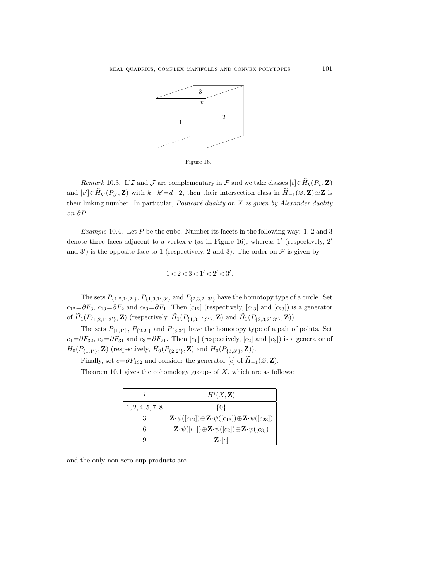

Figure 16.

Remark 10.3. If  $\mathcal I$  and  $\mathcal J$  are complementary in  $\mathcal F$  and we take classes  $[c] \in \widetilde{H}_k(P_{\mathcal I}, \mathbf Z)$ and  $[c'] \in \widetilde{H}_{k'}(P_{\mathcal{J}}, \mathbf{Z})$  with  $k+k'=d-2$ , then their intersection class in  $\widetilde{H}_{-1}(\emptyset, \mathbf{Z}) \simeq \mathbf{Z}$  is their linking number. In particular, *Poincaré duality on*  $X$  is given by Alexander duality on ∂P.

Example 10.4. Let P be the cube. Number its facets in the following way: 1, 2 and 3 denote three faces adjacent to a vertex  $v$  (as in Figure 16), whereas 1' (respectively, 2' and 3') is the opposite face to 1 (respectively, 2 and 3). The order on  $\mathcal F$  is given by

$$
1 < 2 < 3 < 1' < 2' < 3'.
$$

The sets  $P_{\{1,2,1',2'\}}$ ,  $P_{\{1,3,1',3'\}}$  and  $P_{\{2,3,2',3'\}}$  have the homotopy type of a circle. Set  $c_{12}=\partial F_3$ ,  $c_{13}=\partial F_2$  and  $c_{23}=\partial F_1$ . Then  $[c_{12}]$  (respectively,  $[c_{13}]$  and  $[c_{23}]$ ) is a generator of  $H_1(P_{\{1,2,1',2'\}}, \mathbf{Z})$  (respectively,  $H_1(P_{\{1,3,1',3'\}}, \mathbf{Z})$  and  $H_1(P_{\{2,3,2',3'\}}, \mathbf{Z}))$ ).

The sets  $P_{\{1,1'\}}$ ,  $P_{\{2,2'\}}$  and  $P_{\{3,3'\}}$  have the homotopy type of a pair of points. Set  $c_1=\partial F_{32}, c_2=\partial F_{31}$  and  $c_3=\partial F_{21}$ . Then  $[c_1]$  (respectively,  $[c_2]$  and  $[c_3]$ ) is a generator of  $H_0(P_{\{1,1'\}}, \mathbf{Z})$  (respectively,  $H_0(P_{\{2,2'\}}, \mathbf{Z})$  and  $H_0(P_{\{3,3'\}}, \mathbf{Z})$ ).

Finally, set  $c=\partial F_{132}$  and consider the generator [c] of  $H_{-1}(\varnothing, \mathbf{Z})$ .

Theorem 10.1 gives the cohomology groups of  $X$ , which are as follows:

|                  | $\widetilde{H}^i(X,\mathbf{Z})$                                                                                 |
|------------------|-----------------------------------------------------------------------------------------------------------------|
| 1, 2, 4, 5, 7, 8 | 10}                                                                                                             |
|                  | $\mathbf{Z} \cdot \psi([c_{12}]) \oplus \mathbf{Z} \cdot \psi([c_{13}]) \oplus \mathbf{Z} \cdot \psi([c_{23}])$ |
| 6                | $\mathbf{Z}\cdot \psi([c_1])\oplus \mathbf{Z}\cdot \psi([c_2])\oplus \mathbf{Z}\cdot \psi([c_3])$               |
| Q                | $\mathbf{Z} \cdot  c $                                                                                          |

and the only non-zero cup products are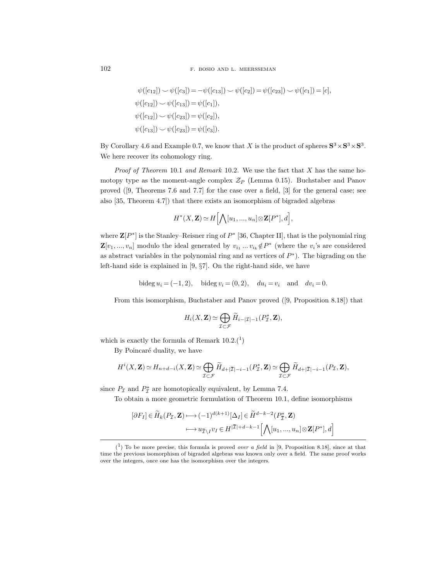102 F. BOSIO AND L. MEERSSEMAN

$$
\psi([c_{12}]) \sim \psi([c_3]) = -\psi([c_{13}]) \sim \psi([c_2]) = \psi([c_{23}]) \sim \psi([c_1]) = [c],
$$
  

$$
\psi([c_{12}]) \sim \psi([c_{13}]) = \psi([c_1]),
$$
  

$$
\psi([c_{12}]) \sim \psi([c_{23}]) = \psi([c_2]),
$$
  

$$
\psi([c_{13}]) \sim \psi([c_{23}]) = \psi([c_3]).
$$

By Corollary 4.6 and Example 0.7, we know that X is the product of spheres  $S^3 \times S^3 \times S^3$ . We here recover its cohomology ring.

*Proof of Theorem* 10.1 and Remark 10.2. We use the fact that  $X$  has the same homotopy type as the moment-angle complex  $\mathcal{Z}_P$  (Lemma 0.15). Buchstaber and Panov proved ([9, Theorems 7.6 and 7.7] for the case over a field, [3] for the general case; see also [35, Theorem 4.7]) that there exists an isomorphism of bigraded algebras

$$
H^*(X,\mathbf{Z})\simeq H\Big[\bigwedge[u_1,...,u_n]\otimes \mathbf{Z}[P^*],d\Big],
$$

where  $\mathbf{Z}[P^*]$  is the Stanley–Reisner ring of  $P^*$  [36, Chapter II], that is the polynomial ring  $\mathbf{Z}[v_1, ..., v_n]$  modulo the ideal generated by  $v_{i_1} \dots v_{i_k} \notin P^*$  (where the  $v_i$ 's are considered as abstract variables in the polynomial ring and as vertices of  $P^*$ ). The bigrading on the left-hand side is explained in [9, §7]. On the right-hand side, we have

bideg  $u_i = (-1, 2)$ , bideg  $v_i = (0, 2)$ ,  $du_i = v_i$  and  $dv_i = 0$ .

From this isomorphism, Buchstaber and Panov proved ([9, Proposition 8.18]) that

$$
H_i(X,\mathbf{Z})\simeq \bigoplus_{\mathcal{I}\subset \mathcal{F}}\widetilde{H}_{i-|\mathcal{I}|-1}(P_{\mathcal{I}}^*,\mathbf{Z}),
$$

which is exactly the formula of Remark  $10.2^{1}$ 

By Poincaré duality, we have

$$
H^i(X, \mathbf{Z}) \simeq H_{n+d-i}(X, \mathbf{Z}) \simeq \bigoplus_{\mathcal{I} \subset \mathcal{F}} \widetilde{H}_{d+|\overline{\mathcal{I}}|-i-1}(P_{\mathcal{I}}^*, \mathbf{Z}) \simeq \bigoplus_{\mathcal{I} \subset \mathcal{F}} \widetilde{H}_{d+|\overline{\mathcal{I}}|-i-1}(P_{\mathcal{I}}, \mathbf{Z}),
$$

since  $P_{\mathcal{I}}$  and  $P_{\mathcal{I}}^*$  are homotopically equivalent, by Lemma 7.4.

To obtain a more geometric formulation of Theorem 10.1, define isomorphisms

$$
[\partial F_I] \in \widetilde{H}_k(P_{\mathcal{I}}, \mathbf{Z}) \longmapsto (-1)^{d(k+1)} [\Delta_I] \in \widetilde{H}^{d-k-2}(P_{\overline{\mathcal{I}}}^*, \mathbf{Z})
$$

$$
\longmapsto u_{\overline{\mathcal{I}} \setminus I} v_I \in H^{|\overline{\mathcal{I}}|+d-k-1} [\bigwedge [u_1, ..., u_n] \otimes \mathbf{Z}[P^*], d]
$$

 $(1)$  To be more precise, this formula is proved *over a field* in [9, Proposition 8.18], since at that time the previous isomorphism of bigraded algebras was known only over a field. The same proof works over the integers, once one has the isomorphism over the integers.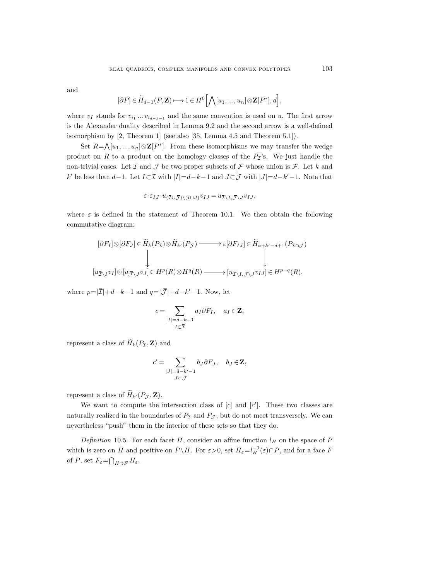and

$$
[\partial P] \in \widetilde{H}_{d-1}(P, \mathbf{Z}) \longmapsto 1 \in H^0\Big[\bigwedge [u_1, ..., u_n] \otimes \mathbf{Z}[P^*], d\Big],
$$

where  $v_I$  stands for  $v_{i_1} \dots v_{i_{d-k-1}}$  and the same convention is used on u. The first arrow is the Alexander duality described in Lemma 9.2 and the second arrow is a well-defined isomorphism by [2, Theorem 1] (see also [35, Lemma 4.5 and Theorem 5.1]).

Set  $R = \bigwedge [u_1, ..., u_n] \otimes \mathbf{Z}[P^*]$ . From these isomorphisms we may transfer the wedge product on R to a product on the homology classes of the  $P<sub>\mathcal{I}</sub>$ 's. We just handle the non-trivial cases. Let  $\mathcal I$  and  $\mathcal J$  be two proper subsets of  $\mathcal F$  whose union is  $\mathcal F$ . Let k and k' be less than d−1. Let  $I \subset \overline{I}$  with  $|I| = d-k-1$  and  $J \subset \overline{J}$  with  $|J| = d-k'-1$ . Note that

$$
\varepsilon \cdot \varepsilon_{IJ} \cdot u_{(\overline{\mathcal{I}} \cup \overline{\mathcal{J}}) \setminus (I \cup J)} v_{IJ} = u_{\overline{\mathcal{I}} \setminus I, \overline{\mathcal{J}} \setminus J} v_{IJ},
$$

where  $\varepsilon$  is defined in the statement of Theorem 10.1. We then obtain the following commutative diagram:

$$
\begin{aligned}\n[\partial F_I] \otimes [\partial F_J] &\in \widetilde{H}_k(P_{\mathcal{I}}) \otimes \widetilde{H}_{k'}(P_{\mathcal{J}}) \longrightarrow \varepsilon[\partial F_{IJ}] \in \widetilde{H}_{k+k'-d+1}(P_{\mathcal{I}\cap\mathcal{J}}) \\
&\downarrow \downarrow \\
[u_{\overline{\mathcal{I}} \setminus I} v_I] \otimes [u_{\overline{\mathcal{J}} \setminus J} v_J] \in H^p(R) \otimes H^q(R) \longrightarrow [u_{\overline{\mathcal{I}} \setminus I, \overline{\mathcal{J}} \setminus J} v_{IJ}] \in H^{p+q}(R),\n\end{aligned}
$$

where  $p = |\overline{\mathcal{I}}| + d - k - 1$  and  $q = |\overline{\mathcal{J}}| + d - k' - 1$ . Now, let

$$
c = \sum_{\substack{|I| = d-k-1 \\ I \subset \overline{\mathcal{I}}}} a_I \partial F_I, \quad a_I \in \mathbf{Z},
$$

represent a class of  $\widetilde{H}_k(P_{\mathcal{I}}, \mathbf{Z})$  and

$$
c' = \sum_{\substack{|J| = d - k' - 1 \\ J \subset \overline{J}}} b_J \partial F_J, \quad b_J \in \mathbf{Z},
$$

represent a class of  $\widetilde{H}_{k'}(P_{\mathcal{J}}, \mathbf{Z}).$ 

We want to compute the intersection class of  $[c]$  and  $[c']$ . These two classes are naturally realized in the boundaries of  $P<sub>\mathcal{I}</sub>$  and  $P<sub>\mathcal{J}</sub>$ , but do not meet transversely. We can nevertheless "push" them in the interior of these sets so that they do.

Definition 10.5. For each facet H, consider an affine function  $l_H$  on the space of P which is zero on H and positive on  $P \backslash H$ . For  $\varepsilon > 0$ , set  $H_{\varepsilon} = l_H^{-1}(\varepsilon) \cap P$ , and for a face H of P, set  $F_{\varepsilon} = \bigcap_{H \supset F} H_{\varepsilon}$ .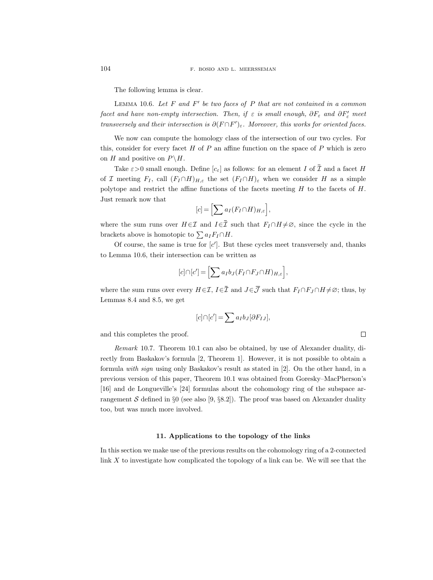The following lemma is clear.

LEMMA 10.6. Let  $F$  and  $F'$  be two faces of  $P$  that are not contained in a common facet and have non-empty intersection. Then, if  $\varepsilon$  is small enough,  $\partial F_{\varepsilon}$  and  $\partial F_{\varepsilon}'$  meet transversely and their intersection is  $\partial (F \cap F')_{\varepsilon}$ . Moreover, this works for oriented faces.

We now can compute the homology class of the intersection of our two cycles. For this, consider for every facet  $H$  of  $P$  an affine function on the space of  $P$  which is zero on H and positive on  $P \backslash H$ .

Take  $\varepsilon > 0$  small enough. Define  $[c_{\varepsilon}]$  as follows: for an element I of  $\overline{I}$  and a facet H of I meeting  $F_I$ , call  $(F_I \cap H)_{H,\varepsilon}$  the set  $(F_I \cap H)_{\varepsilon}$  when we consider H as a simple polytope and restrict the affine functions of the facets meeting  $H$  to the facets of  $H$ . Just remark now that

$$
[c] = \Big[ \sum a_I (F_I \cap H)_{H,\varepsilon} \Big],
$$

where the sum runs over  $H \in \mathcal{I}$  and  $I \in \bar{\mathcal{I}}$  such that  $F_I \cap H \neq \emptyset$ , since the cycle in the brackets above is homotopic to  $\sum a_I F_I \cap H$ .

Of course, the same is true for  $[c']$ . But these cycles meet transversely and, thanks to Lemma 10.6, their intersection can be written as

$$
[c] \cap [c'] = \Big[ \sum a_I b_J (F_I \cap F_J \cap H)_{H,\varepsilon} \Big],
$$

where the sum runs over every  $H \in \mathcal{I}$ ,  $I \in \overline{\mathcal{I}}$  and  $J \in \overline{\mathcal{J}}$  such that  $F_I \cap F_J \cap H \neq \emptyset$ ; thus, by Lemmas 8.4 and 8.5, we get

$$
[c] \cap [c'] = \sum a_I b_J [\partial F_{IJ}],
$$

 $\Box$ 

and this completes the proof.

Remark 10.7. Theorem 10.1 can also be obtained, by use of Alexander duality, directly from Baskakov's formula [2, Theorem 1]. However, it is not possible to obtain a formula with sign using only Baskakov's result as stated in [2]. On the other hand, in a previous version of this paper, Theorem 10.1 was obtained from Goresky–MacPherson's [16] and de Longueville's [24] formulas about the cohomology ring of the subspace arrangement S defined in §0 (see also [9, §8.2]). The proof was based on Alexander duality too, but was much more involved.

#### 11. Applications to the topology of the links

In this section we make use of the previous results on the cohomology ring of a 2-connected link  $X$  to investigate how complicated the topology of a link can be. We will see that the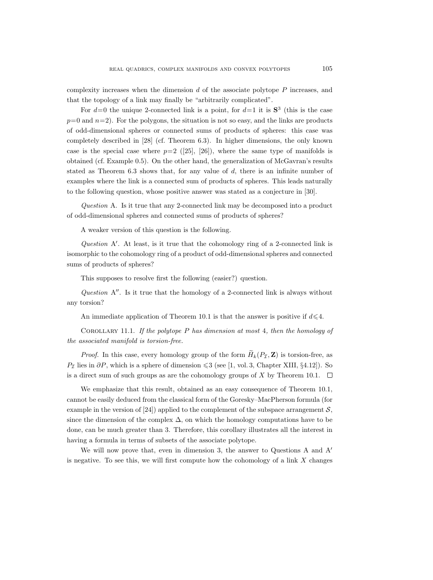complexity increases when the dimension  $d$  of the associate polytope  $P$  increases, and that the topology of a link may finally be "arbitrarily complicated".

For  $d=0$  the unique 2-connected link is a point, for  $d=1$  it is  $S^3$  (this is the case  $p=0$  and  $n=2$ ). For the polygons, the situation is not so easy, and the links are products of odd-dimensional spheres or connected sums of products of spheres: this case was completely described in [28] (cf. Theorem 6.3). In higher dimensions, the only known case is the special case where  $p=2$  ([25], [26]), where the same type of manifolds is obtained (cf. Example 0.5). On the other hand, the generalization of McGavran's results stated as Theorem  $6.3$  shows that, for any value of  $d$ , there is an infinite number of examples where the link is a connected sum of products of spheres. This leads naturally to the following question, whose positive answer was stated as a conjecture in [30].

Question A. Is it true that any 2-connected link may be decomposed into a product of odd-dimensional spheres and connected sums of products of spheres?

A weaker version of this question is the following.

Question  $A'$ . At least, is it true that the cohomology ring of a 2-connected link is isomorphic to the cohomology ring of a product of odd-dimensional spheres and connected sums of products of spheres?

This supposes to resolve first the following (easier?) question.

Question  $A''$ . Is it true that the homology of a 2-connected link is always without any torsion?

An immediate application of Theorem 10.1 is that the answer is positive if  $d \leq 4$ .

COROLLARY 11.1. If the polytope  $P$  has dimension at most 4, then the homology of the associated manifold is torsion-free.

*Proof.* In this case, every homology group of the form  $\widetilde{H}_k(P_{\mathcal{I}}, \mathbf{Z})$  is torsion-free, as  $P<sub>\mathcal{T}</sub>$  lies in  $\partial P$ , which is a sphere of dimension  $\leqslant 3$  (see [1, vol. 3, Chapter XIII, §4.12]). So is a direct sum of such groups as are the cohomology groups of X by Theorem 10.1.  $\Box$ 

We emphasize that this result, obtained as an easy consequence of Theorem 10.1, cannot be easily deduced from the classical form of the Goresky–MacPherson formula (for example in the version of [24]) applied to the complement of the subspace arrangement  $\mathcal{S}$ , since the dimension of the complex  $\Delta$ , on which the homology computations have to be done, can be much greater than 3. Therefore, this corollary illustrates all the interest in having a formula in terms of subsets of the associate polytope.

We will now prove that, even in dimension 3, the answer to Questions A and  $A'$ is negative. To see this, we will first compute how the cohomology of a link  $X$  changes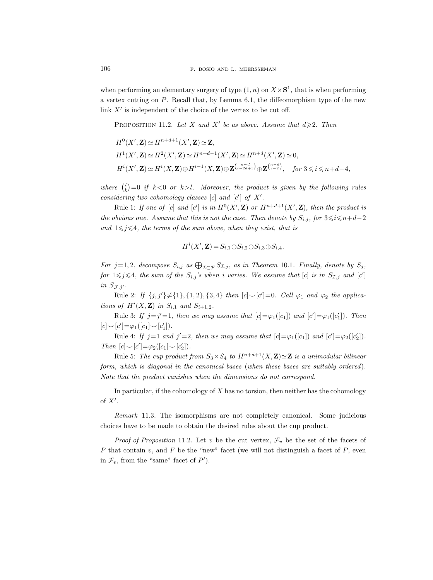when performing an elementary surgery of type  $(1, n)$  on  $X \times S<sup>1</sup>$ , that is when performing a vertex cutting on P. Recall that, by Lemma 6.1, the diffeomorphism type of the new link  $X'$  is independent of the choice of the vertex to be cut off.

PROPOSITION 11.2. Let X and X' be as above. Assume that  $d \geq 2$ . Then

$$
H^{0}(X', \mathbf{Z}) \simeq H^{n+d+1}(X', \mathbf{Z}) \simeq \mathbf{Z},
$$
  
\n
$$
H^{1}(X', \mathbf{Z}) \simeq H^{2}(X', \mathbf{Z}) \simeq H^{n+d-1}(X', \mathbf{Z}) \simeq H^{n+d}(X', \mathbf{Z}) \simeq 0,
$$
  
\n
$$
H^{i}(X', \mathbf{Z}) \simeq H^{i}(X, \mathbf{Z}) \oplus H^{i-1}(X, \mathbf{Z}) \oplus \mathbf{Z}^{\binom{n-d}{i-2d+1}} \oplus \mathbf{Z}^{\binom{n-d}{i-2d}}, \quad \text{for } 3 \leq i \leq n+d-4,
$$

where  $\binom{l}{k} = 0$  if  $k < 0$  or  $k > l$ . Moreover, the product is given by the following rules considering two cohomology classes  $[c]$  and  $[c']$  of  $X'$ .

Rule 1: If one of [c] and [c'] is in  $H^0(X',\mathbf{Z})$  or  $H^{n+d+1}(X',\mathbf{Z})$ , then the product is the obvious one. Assume that this is not the case. Then denote by  $S_{i,j}$ , for  $3 \leq i \leq n+d-2$ and  $1 \leq j \leq 4$ , the terms of the sum above, when they exist, that is

$$
H^i(X',\mathbf{Z}) = S_{i,1} \oplus S_{i,2} \oplus S_{i,3} \oplus S_{i,4}.
$$

For  $j=1,2$ , decompose  $S_{i,j}$  as  $\bigoplus_{\mathcal{I}\subset\mathcal{F}} S_{\mathcal{I},j}$ , as in Theorem 10.1. Finally, denote by  $S_j$ , for  $1 \leq j \leq 4$ , the sum of the  $S_{i,j}$ 's when i varies. We assume that [c] is in  $S_{\mathcal{I},j}$  and [c'] in  $S_{\mathcal{J},j'}$ .

Rule 2: If  $\{j, j'\}\neq \{1\}, \{1, 2\}, \{3, 4\}$  then  $[c] \setminus [c'] = 0$ . Call  $\varphi_1$  and  $\varphi_2$  the applications of  $H^i(X, \mathbf{Z})$  in  $S_{i,1}$  and  $S_{i+1,2}$ .

Rule 3: If  $j=j'=1$ , then we may assume that  $[c]=\varphi_1([c_1])$  and  $[c']=\varphi_1([c_1'])$ . Then  $[c] \smile [c'] = \varphi_1([c_1] \smile [c_1'])$ .

Rule 4: If  $j=1$  and  $j'=2$ , then we may assume that  $[c]=\varphi_1([c_1])$  and  $[c']=\varphi_2([c_2'])$ . Then  $[c] \smile [c'] = \varphi_2([c_1] \smile [c_2'])$ .

Rule 5: The cup product from  $S_3 \times S_4$  to  $H^{n+d+1}(X,\mathbf{Z}) \simeq \mathbf{Z}$  is a unimodular bilinear form, which is diagonal in the canonical bases (when these bases are suitably ordered). Note that the product vanishes when the dimensions do not correspond.

In particular, if the cohomology of  $X$  has no torsion, then neither has the cohomology of  $X'$ .

Remark 11.3. The isomorphisms are not completely canonical. Some judicious choices have to be made to obtain the desired rules about the cup product.

*Proof of Proposition 11.2.* Let v be the cut vertex,  $\mathcal{F}_v$  be the set of the facets of P that contain v, and F be the "new" facet (we will not distinguish a facet of  $P$ , even in  $\mathcal{F}_v$ , from the "same" facet of  $P'$ ).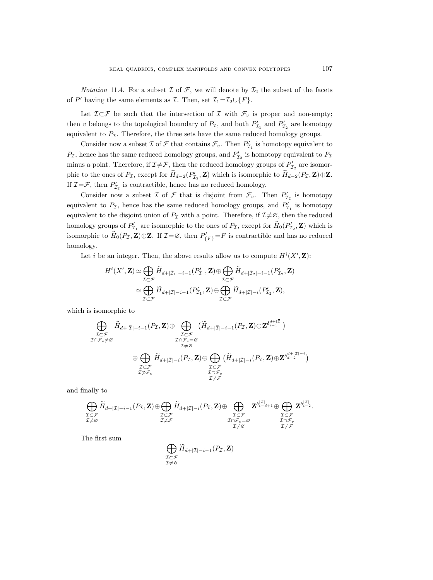*Notation* 11.4. For a subset  $\mathcal I$  of  $\mathcal F$ , we will denote by  $\mathcal I_2$  the subset of the facets of P' having the same elements as  $\mathcal{I}$ . Then, set  $\mathcal{I}_1 = \mathcal{I}_2 \cup \{F\}$ .

Let  $\mathcal{I}\subset\mathcal{F}$  be such that the intersection of  $\mathcal I$  with  $\mathcal{F}_v$  is proper and non-empty; then v belongs to the topological boundary of  $P_{\mathcal{I}}$ , and both  $P'_{\mathcal{I}_1}$  and  $P'_{\mathcal{I}_2}$  are homotopy equivalent to  $P_{\mathcal{I}}$ . Therefore, the three sets have the same reduced homology groups.

Consider now a subset  $\mathcal I$  of  $\mathcal F$  that contains  $\mathcal F_v$ . Then  $P'_{\mathcal I_1}$  is homotopy equivalent to  $P_{\mathcal{I}}$ , hence has the same reduced homology groups, and  $P'_{\mathcal{I}_2}$  is homotopy equivalent to  $P_{\mathcal{I}}$ minus a point. Therefore, if  $\mathcal{I} \neq \mathcal{F}$ , then the reduced homology groups of  $P'_{\mathcal{I}_2}$  are isomorphic to the ones of  $P_{\mathcal{I}}$ , except for  $H_{d-2}(P'_{\mathcal{I}_2}, \mathbf{Z})$  which is isomorphic to  $H_{d-2}(P_{\mathcal{I}}, \mathbf{Z}) \oplus \mathbf{Z}$ . If  $\mathcal{I} = \mathcal{F}$ , then  $P'_{\mathcal{I}_2}$  is contractible, hence has no reduced homology.

Consider now a subset  $\mathcal I$  of  $\mathcal F$  that is disjoint from  $\mathcal F_v$ . Then  $P'_{\mathcal I_2}$  is homotopy equivalent to  $P_{\mathcal{I}}$ , hence has the same reduced homology groups, and  $P'_{\mathcal{I}_1}$  is homotopy equivalent to the disjoint union of  $P_{\mathcal{I}}$  with a point. Therefore, if  $\mathcal{I}\neq\emptyset$ , then the reduced homology groups of  $P'_{\mathcal{I}_1}$  are isomorphic to the ones of  $P_{\mathcal{I}}$ , except for  $H_0(P'_{\mathcal{I}_2}, \mathbf{Z})$  which is isomorphic to  $\widetilde{H}_0(P_{\mathcal{I}}, \mathbf{Z}) \oplus \mathbf{Z}$ . If  $\mathcal{I} = \varnothing$ , then  $P'_{\{F\}} = F$  is contractible and has no reduced homology.

Let *i* be an integer. Then, the above results allow us to compute  $H^{i}(X', \mathbf{Z})$ :

$$
H^{i}(X', \mathbf{Z}) \simeq \bigoplus_{\mathcal{I} \subset \mathcal{F}} \widetilde{H}_{d+|\overline{\mathcal{I}}_{1}|-i-1}(P'_{\mathcal{I}_{1}}, \mathbf{Z}) \oplus \bigoplus_{\mathcal{I} \subset \mathcal{F}} \widetilde{H}_{d+|\overline{\mathcal{I}}_{2}|-i-1}(P'_{\mathcal{I}_{2}}, \mathbf{Z})
$$

$$
\simeq \bigoplus_{\mathcal{I} \subset \mathcal{F}} \widetilde{H}_{d+|\overline{\mathcal{I}}|-i-1}(P'_{\mathcal{I}_{1}}, \mathbf{Z}) \oplus \bigoplus_{\mathcal{I} \subset \mathcal{F}} \widetilde{H}_{d+|\overline{\mathcal{I}}|-i}(P'_{\mathcal{I}_{2}}, \mathbf{Z}),
$$
norphic to

which is isomorphic to

Example 6. Show that

\n
$$
\bigoplus_{\substack{\mathcal{I}\subset\mathcal{F}\\ \mathcal{I}\cap\mathcal{F}_{v}\neq\varnothing}} \widetilde{H}_{d+|\overline{\mathcal{I}}|-i-1}(P_{\mathcal{I}},\mathbf{Z})\oplus \bigoplus_{\substack{\mathcal{I}\subset\mathcal{F}\\ \mathcal{I}\neq\varnothing}} (\widetilde{H}_{d+|\overline{\mathcal{I}}|-i-1}(P_{\mathcal{I}},\mathbf{Z})\oplus \mathbf{Z}^{\delta_{i+1}^{d+|\overline{\mathcal{I}}|}})
$$
\n
$$
\oplus \bigoplus_{\substack{\mathcal{I}\subset\mathcal{F}\\ \mathcal{I}\subset\mathcal{F}\\ \mathcal{I}\supset\mathcal{F}_{v}}} \widetilde{H}_{d+|\overline{\mathcal{I}}|-i}(P_{\mathcal{I}},\mathbf{Z})\oplus \bigoplus_{\substack{\mathcal{I}\subset\mathcal{F}\\ \mathcal{I}\subset\mathcal{F}\\ \mathcal{I}\neq\mathcal{F}}} (\widetilde{H}_{d+|\overline{\mathcal{I}}|-i}(P_{\mathcal{I}},\mathbf{Z})\oplus \mathbf{Z}^{\delta_{d-2}^{d+|\overline{\mathcal{I}}|-i}})
$$
\nally to

\n
$$
\widehat{\mathbf{P}} \cong \bigoplus_{\substack{\mathcal{I}\subset\mathcal{I}\\ \mathcal{I}\neq\mathcal{F}}} \widehat{\mathbf{P}} \cong \bigoplus_{\substack{\mathcal{I}\subset\mathcal{I}\\ \mathcal{I}\neq\mathcal{F}}} \widehat{\mathbf{P}} \cong \bigoplus_{\substack{\mathcal{I}\subset\mathcal{I}\\ \mathcal{I}\neq\mathcal{I}}} \widehat{\mathbf{P}} \cong \bigoplus_{\substack{\mathcal{I}\subset\mathcal{I}\\ \mathcal{I}\neq\mathcal{I}}} \widehat{\mathbf{P}} \cong \bigoplus_{\substack{\mathcal{I}\subset\mathcal{I}\\ \mathcal{I}\neq\mathcal{I}}} \widehat{\mathbf{P}} \cong \bigoplus_{\substack{\mathcal{I}\subset\mathcal{I}\\ \mathcal{I}\neq\mathcal{I}}} \widehat{\mathbf{P}} \cong \bigoplus_{\substack{\mathcal{I}\subset\mathcal{I}\\ \mathcal{I}\neq\mathcal{I}}} \widehat{\
$$

and finally to

$$
\bigoplus_{\substack{\mathcal{I}\subset\mathcal{F}\\ \mathcal{I}\neq\varnothing}} \widetilde{H}_{d+|\mathcal{\bar I}|-i-1}(P_{\mathcal{I}},\mathbf{Z})\oplus\bigoplus_{\substack{\mathcal{I}\subset\mathcal{F}\\ \mathcal{I}\neq\mathcal{F}}} \widetilde{H}_{d+|\mathcal{\bar I}|-i}(P_{\mathcal{I}},\mathbf{Z})\oplus\bigoplus_{\substack{\mathcal{I}\subset\mathcal{F}\\ \mathcal{I}\cap\mathcal{F}_v=\varnothing}}\mathbf{Z}^{\delta_{i-d+1}^{\mid\mathcal{I}\mid}\oplus}\bigoplus_{\substack{\mathcal{I}\subset\mathcal{F}\\ \mathcal{I}\supset\mathcal{F}_v\\ \mathcal{I}\neq\varnothing}}\mathbf{Z}^{\delta_{i-d+1}^{\mid\mathcal{I}\mid}\oplus}\bigoplus_{\substack{\mathcal{I}\subset\mathcal{F}\\ \mathcal{I}\supset\mathcal{F}_v\\ \mathcal{I}\neq\varnothing}}\mathbf{Z}^{\delta_{i-d+2}^{\mid\mathcal{I}\mid}.
$$

The first sum

$$
\bigoplus_{\substack{\mathcal{I}\subset\mathcal{F}\\ \mathcal{I}\neq\varnothing}} \widetilde{H}_{d+|\bar{\mathcal{I}}|-i-1}(P_{\mathcal{I}},\mathbf{Z})
$$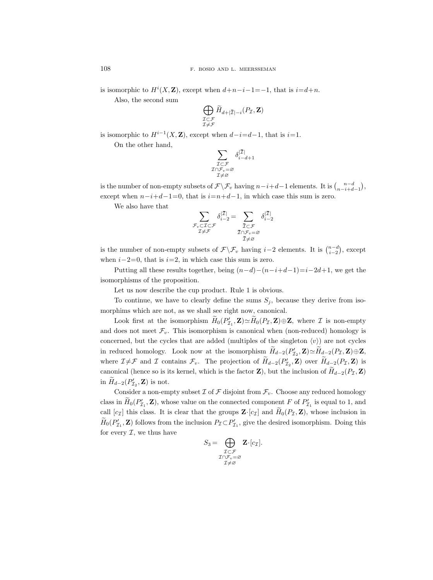is isomorphic to  $H^i(X, \mathbf{Z})$ , except when  $d+n-i-1=-1$ , that is  $i=d+n$ . Also, the second sum

> Æ I⊂F  $\mathcal{I} \!\neq\! \mathcal{F}$  $H_{d+|\bar{\mathcal{I}}|-i}(P_{\mathcal{I}},\mathbf{Z})$

is isomorphic to  $H^{i-1}(X, \mathbf{Z})$ , except when  $d-i=d-1$ , that is  $i=1$ .

On the other hand,

$$
\sum_{\substack{\mathcal{I}\subset\mathcal{F}\\ \mathcal{I}\cap\mathcal{F}_v=\varnothing\\ \mathcal{I}\neq\varnothing}} \delta_{i-d+1}^{|\mathcal{\bar I}|}
$$

is the number of non-empty subsets of  $\mathcal{F} \backslash \mathcal{F}_v$  having  $n-i+d-1$  elements. It is  $\binom{n-d}{n-i+d-1}$ , except when  $n-i+d-1=0$ , that is  $i=n+d-1$ , in which case this sum is zero.

We also have that

$$
\sum_{\substack{\mathcal{F}_v \subset \mathcal{I} \subset \mathcal{F}\\ \mathcal{I} \neq \mathcal{F}}} \delta_{i-2}^{|\mathcal{\bar I}|} = \sum_{\substack{\mathcal{\bar I} \subset \mathcal{F}\\ \mathcal{\bar I} \cap \mathcal{F}_v = \varnothing}} \delta_{i-2}^{|\mathcal{\bar I}|}
$$

is the number of non-empty subsets of  $\mathcal{F}\backslash\mathcal{F}_v$  having  $i-2$  elements. It is  $\binom{n-d}{i-2}$ , except when  $i-2=0$ , that is  $i=2$ , in which case this sum is zero.

Putting all these results together, being  $(n-d)-(n-i+d-1)=i-2d+1$ , we get the isomorphisms of the proposition.

Let us now describe the cup product. Rule 1 is obvious.

To continue, we have to clearly define the sums  $S_j$ , because they derive from isomorphims which are not, as we shall see right now, canonical.

Look first at the isomorphism  $H_0(P'_{\mathcal{I}_1}, \mathbf{Z}) \simeq H_0(P_{\mathcal{I}}, \mathbf{Z}) \oplus \mathbf{Z}$ , where  $\mathcal I$  is non-empty and does not meet  $\mathcal{F}_v$ . This isomorphism is canonical when (non-reduced) homology is concerned, but the cycles that are added (multiples of the singleton  $\langle v \rangle$ ) are not cycles in reduced homology. Look now at the isomorphism  $\overline{H}_{d-2}(P'_{\mathcal{I}_2}, \mathbf{Z}) \simeq \overline{H}_{d-2}(P_{\mathcal{I}}, \mathbf{Z}) \oplus \mathbf{Z}$ , where  $\mathcal{I} \neq \mathcal{F}$  and  $\mathcal{I}$  contains  $\mathcal{F}_v$ . The projection of  $H_{d-2}(P_{\mathcal{I}_2}, \mathbf{Z})$  over  $H_{d-2}(P_{\mathcal{I}}, \mathbf{Z})$  is canonical (hence so is its kernel, which is the factor **Z**), but the inclusion of  $H_{d-2}(P_{\mathcal{I}}, \mathbf{Z})$ in  $\widetilde{H}_{d-2}(P'_{\mathcal{I}_2}, \mathbf{Z})$  is not.

Consider a non-empty subset  $\mathcal I$  of  $\mathcal F$  disjoint from  $\mathcal F_v$ . Choose any reduced homology class in  $\widetilde{H}_0(P'_{\mathcal{I}_1}, \mathbf{Z})$ , whose value on the connected component F of  $P'_{\mathcal{I}_1}$  is equal to 1, and call  $[c_1]$  this class. It is clear that the groups  $\mathbf{Z} \cdot [c_1]$  and  $H_0(P_\mathcal{I}, \mathbf{Z})$ , whose inclusion in  $\widetilde{H}_0(P'_{\mathcal{I}_1}, \mathbf{Z})$  follows from the inclusion  $P_{\mathcal{I}} \subset P'_{\mathcal{I}_1}$ , give the desired isomorphism. Doing this for every  $\mathcal{I}$ , we thus have

$$
S_3 = \bigoplus_{\substack{\mathcal{I} \subset \mathcal{F} \\ \mathcal{I} \cap \mathcal{F}_v = \varnothing \\ \mathcal{I} \neq \varnothing}} \mathbf{Z} \cdot [c_{\mathcal{I}}].
$$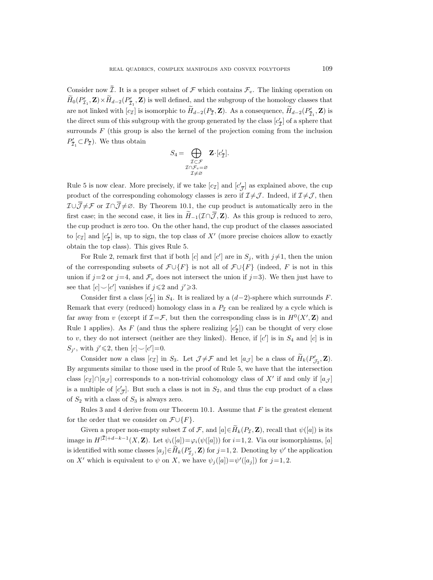Consider now  $\overline{\mathcal{I}}$ . It is a proper subset of  $\mathcal{F}$  which contains  $\mathcal{F}_v$ . The linking operation on  $\hat{H}_0(P'_{\mathcal{I}_1}, \mathbf{Z}) \times \hat{H}_{d-2}(P'_{\bar{\mathcal{I}}_1}, \mathbf{Z})$  is well defined, and the subgroup of the homology classes that are not linked with  $[c_1]$  is isomorphic to  $H_{d-2}(P_{\bar{T}}, \mathbf{Z})$ . As a consequence,  $H_{d-2}(P_{\bar{T}_1}, \mathbf{Z})$  is the direct sum of this subgroup with the group generated by the class  $[c'_{\overline{Z}}]$  of a sphere that surrounds  $F$  (this group is also the kernel of the projection coming from the inclusion  $P'_{\overline{\mathcal{I}}_1} \subset P_{\overline{\mathcal{I}}}$ ). We thus obtain

$$
S_4 = \bigoplus_{\substack{\mathcal{I} \subset \mathcal{F} \\ \mathcal{I} \cap \mathcal{F}_v = \varnothing \\ \mathcal{I} \neq \varnothing}} \mathbf{Z} \cdot [c_{\mathcal{I}}'].
$$

Rule 5 is now clear. More precisely, if we take  $[c_{\mathcal{I}}]$  and  $[c'_{\overline{\mathcal{J}}}]$  as explained above, the cup product of the corresponding cohomology classes is zero if  $\mathcal{I}\neq\mathcal{J}$ . Indeed, if  $\mathcal{I}\neq\mathcal{J}$ , then  $I \cup \overline{\mathcal{J}} \neq \mathcal{F}$  or  $\mathcal{I} \cap \overline{\mathcal{J}} \neq \emptyset$ . By Theorem 10.1, the cup product is automatically zero in the first case; in the second case, it lies in  $\widetilde{H}_{-1}(\mathcal{I}\cap\overline{\mathcal{J}},\mathbf{Z})$ . As this group is reduced to zero, the cup product is zero too. On the other hand, the cup product of the classes associated to  $[c<sub>\mathcal{I}</sub>]$  and  $[c'_{\overline{\mathcal{I}}}]$  is, up to sign, the top class of  $X'$  (more precise choices allow to exactly obtain the top class). This gives Rule 5.

For Rule 2, remark first that if both [c] and [c'] are in  $S_j$ , with  $j\neq 1$ , then the union of the corresponding subsets of  $\mathcal{F} \cup \{F\}$  is not all of  $\mathcal{F} \cup \{F\}$  (indeed, F is not in this union if  $j=2$  or  $j=4$ , and  $\mathcal{F}_v$  does not intersect the union if  $j=3$ ). We then just have to see that  $[c] \setminus [c']$  vanishes if  $j \leq 2$  and  $j' \geq 3$ .

Consider first a class  $[c'_{\overline{I}}]$  in  $S_4$ . It is realized by a  $(d-2)$ -sphere which surrounds F. Remark that every (reduced) homology class in a  $P<sub>\mathcal{I}</sub>$  can be realized by a cycle which is far away from v (except if  $\mathcal{I} = \mathcal{F}$ , but then the corresponding class is in  $H^0(X', \mathbf{Z})$  and Rule 1 applies). As F (and thus the sphere realizing  $[c'_{\overline{I}}]$ ) can be thought of very close to v, they do not intersect (neither are they linked). Hence, if  $[c']$  is in  $S_4$  and  $[c]$  is in  $S_{j'}$ , with  $j' \leq 2$ , then  $[c] \smile [c'] = 0$ .

Consider now a class  $[c_{\mathcal{I}}]$  in  $S_3$ . Let  $\mathcal{J} \neq \mathcal{F}$  and let  $[a_{\mathcal{J}}]$  be a class of  $\widetilde{H}_k(P'_{\mathcal{J}_2}, \mathbf{Z})$ . By arguments similar to those used in the proof of Rule 5, we have that the intersection class  $[c_{\mathcal{I}}] \cap [a_{\mathcal{J}}]$  corresponds to a non-trivial cohomology class of X' if and only if  $[a_{\mathcal{J}}]$ is a multiple of  $[c'_{\overline{J}}]$ . But such a class is not in  $S_2$ , and thus the cup product of a class of  $S_2$  with a class of  $S_3$  is always zero.

Rules 3 and 4 derive from our Theorem 10.1. Assume that  $F$  is the greatest element for the order that we consider on  $\mathcal{F} \cup \{F\}.$ 

Given a proper non-empty subset I of F, and  $[a] \in \widetilde{H}_k(P_{\mathcal{I}}, \mathbf{Z})$ , recall that  $\psi([a])$  is its image in  $H^{|\mathcal{I}|+d-k-1}(X,\mathbf{Z})$ . Let  $\psi_i([a])=\varphi_i(\psi([a]))$  for  $i=1,2$ . Via our isomorphisms, [a] is identified with some classes  $[a_j] \in \overline{H}_k(P'_{\mathcal{I}_j}, \mathbf{Z})$  for  $j = 1, 2$ . Denoting by  $\psi'$  the application on X' which is equivalent to  $\psi$  on X, we have  $\psi_j([a]) = \psi'([a_j])$  for  $j = 1, 2$ .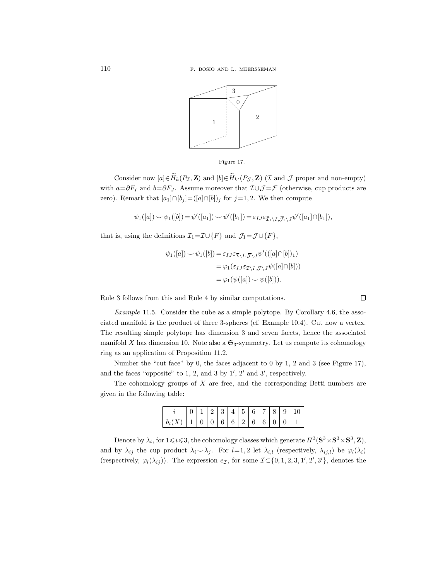



Consider now  $[a] \in \widetilde{H}_k(P_{\mathcal{I}}, \mathbf{Z})$  and  $[b] \in \widetilde{H}_{k'}(P_{\mathcal{J}}, \mathbf{Z})$  (*I* and *J* proper and non-empty) with  $a=\partial F_I$  and  $b=\partial F_J$ . Assume moreover that  $\mathcal{I}\cup\mathcal{J}=\mathcal{F}$  (otherwise, cup products are zero). Remark that  $[a_1] \cap [b_j] = ([a] \cap [b])_j$  for  $j=1,2$ . We then compute

$$
\psi_1([a]) \smile \psi_1([b]) = \psi'([a_1]) \smile \psi'([b_1]) = \varepsilon_{IJ} \varepsilon_{\bar{\mathcal{I}}_1 \backslash I, \bar{\mathcal{J}}_1 \backslash J} \psi'([a_1] \cap [b_1]),
$$

that is, using the definitions  $\mathcal{I}_1 = \mathcal{I} \cup \{F\}$  and  $\mathcal{J}_1 = \mathcal{J} \cup \{F\}$ ,

$$
\psi_1([a]) \smile \psi_1([b]) = \varepsilon_{IJ} \varepsilon_{\overline{I} \setminus I, \overline{J} \setminus J} \psi'(([a] \cap [b])_1)
$$
  
= 
$$
\varphi_1(\varepsilon_{IJ} \varepsilon_{\overline{I} \setminus I, \overline{J} \setminus J} \psi([a] \cap [b]))
$$
  
= 
$$
\varphi_1(\psi([a]) \smile \psi([b])).
$$

Rule 3 follows from this and Rule 4 by similar computations.

Example 11.5. Consider the cube as a simple polytope. By Corollary 4.6, the associated manifold is the product of three 3-spheres (cf. Example 10.4). Cut now a vertex. The resulting simple polytope has dimension 3 and seven facets, hence the associated manifold X has dimension 10. Note also a  $\mathfrak{S}_3$ -symmetry. Let us compute its cohomology ring as an application of Proposition 11.2.

Number the "cut face" by 0, the faces adjacent to 0 by 1, 2 and 3 (see Figure 17), and the faces "opposite" to 1, 2, and 3 by  $1', 2'$  and 3', respectively.

The cohomology groups of  $X$  are free, and the corresponding Betti numbers are given in the following table:

|                                                                               |  |  |  |  |  | 11234456789101 |
|-------------------------------------------------------------------------------|--|--|--|--|--|----------------|
| $\mid b_i(X)\mid 1\mid 0\mid 0\mid 6\mid 6\mid 2\mid 6\mid 6\mid 0\mid 0\mid$ |  |  |  |  |  |                |

Denote by  $\lambda_i$ , for  $1 \leq i \leq 3$ , the cohomology classes which generate  $H^3(\mathbf{S}^3 \times \mathbf{S}^3 \times \mathbf{S}^3, \mathbf{Z})$ , and by  $\lambda_{ij}$  the cup product  $\lambda_i \sim \lambda_j$ . For l=1,2 let  $\lambda_{i,l}$  (respectively,  $\lambda_{ij,l}$ ) be  $\varphi_l(\lambda_i)$ (respectively,  $\varphi_l(\lambda_{ij})$ ). The expression  $e_{\mathcal{I}}$ , for some  $\mathcal{I} \subset \{0, 1, 2, 3, 1', 2', 3'\}$ , denotes the

 $\Box$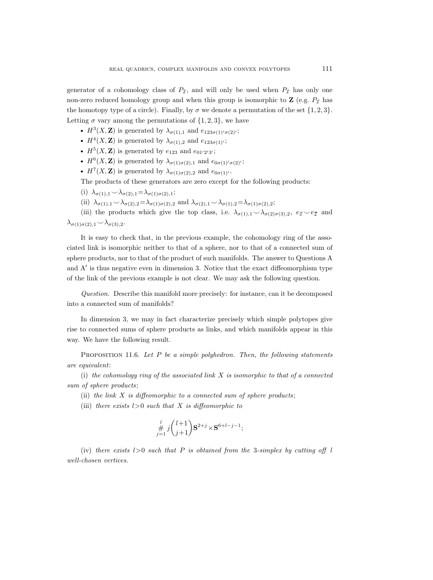generator of a cohomology class of  $P<sub>\mathcal{I}</sub>$ , and will only be used when  $P<sub>\mathcal{I}</sub>$  has only one non-zero reduced homology group and when this group is isomorphic to  $\mathbf{Z}$  (e.g.  $P_{\mathcal{I}}$  has the homotopy type of a circle). Finally, by  $\sigma$  we denote a permutation of the set  $\{1, 2, 3\}$ . Letting  $\sigma$  vary among the permutations of  $\{1, 2, 3\}$ , we have

- $H^3(X, \mathbf{Z})$  is generated by  $\lambda_{\sigma(1),1}$  and  $e_{123\sigma(1)/\sigma(2)}$ ;
- $H^4(X, \mathbf{Z})$  is generated by  $\lambda_{\sigma(1),2}$  and  $e_{123\sigma(1)}$ ;
- $H^5(X, \mathbf{Z})$  is generated by  $e_{123}$  and  $e_{01'2'3'}$ ;
- $H^6(X, \mathbf{Z})$  is generated by  $\lambda_{\sigma(1)\sigma(2),1}$  and  $e_{0\sigma(1)'\sigma(2)'}$ ;
- $H^7(X, \mathbf{Z})$  is generated by  $\lambda_{\sigma(1)\sigma(2),2}$  and  $e_{0\sigma(1)}$ .

The products of these generators are zero except for the following products:

- (i)  $\lambda_{\sigma(1),1} \! \smile \! \lambda_{\sigma(2),1} = \! \lambda_{\sigma(1)\sigma(2),1};$
- (ii)  $\lambda_{\sigma(1),1}\smile \lambda_{\sigma(2),2}=\lambda_{\sigma(1)\sigma(2),2}$  and  $\lambda_{\sigma(2),1}\smile \lambda_{\sigma(1),2}=\lambda_{\sigma(1)\sigma(2),2};$

(iii) the products which give the top class, i.e.  $\lambda_{\sigma(1),1} \sim \lambda_{\sigma(2)\sigma(3),2}$ ,  $e_{\mathcal{I}} \sim e_{\bar{\mathcal{I}}}$  and  $\lambda_{\sigma(1)\sigma(2),1}\smile\lambda_{\sigma(3),2}.$ 

It is easy to check that, in the previous example, the cohomology ring of the associated link is isomorphic neither to that of a sphere, nor to that of a connected sum of sphere products, nor to that of the product of such manifolds. The answer to Questions A and  $A'$  is thus negative even in dimension 3. Notice that the exact diffeomorphism type of the link of the previous example is not clear. We may ask the following question.

Question. Describe this manifold more precisely: for instance, can it be decomposed into a connected sum of manifolds?

In dimension 3, we may in fact characterize precisely which simple polytopes give rise to connected sums of sphere products as links, and which manifolds appear in this way. We have the following result.

PROPOSITION 11.6. Let  $P$  be a simple polyhedron. Then, the following statements are equivalent:

(i) the cohomology ring of the associated link  $X$  is isomorphic to that of a connected sum of sphere products;

- (ii) the link  $X$  is diffeomorphic to a connected sum of sphere products;
- (iii) there exists  $l>0$  such that X is diffeomorphic to

$$
\frac{1}{j=1} \, j \binom{l+1}{j+1} \mathbf{S}^{2+j} \times \mathbf{S}^{6+l-j-1};
$$

(iv) there exists  $l>0$  such that P is obtained from the 3-simplex by cutting off l well-chosen vertices.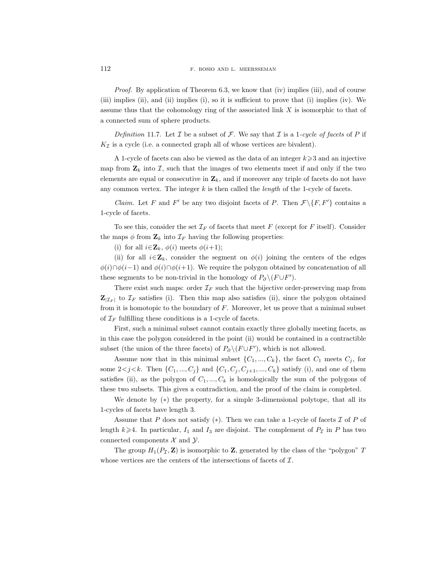*Proof.* By application of Theorem 6.3, we know that (iv) implies (iii), and of course (iii) implies (ii), and (ii) implies (i), so it is sufficient to prove that (i) implies (iv). We assume thus that the cohomology ring of the associated link  $X$  is isomorphic to that of a connected sum of sphere products.

Definition 11.7. Let  $\mathcal I$  be a subset of  $\mathcal F$ . We say that  $\mathcal I$  is a 1-cycle of facets of  $P$  if  $K_{\mathcal{I}}$  is a cycle (i.e. a connected graph all of whose vertices are bivalent).

A 1-cycle of facets can also be viewed as the data of an integer  $k \geqslant 3$  and an injective map from  $\mathbf{Z}_k$  into I, such that the images of two elements meet if and only if the two elements are equal or consecutive in  $\mathbf{Z}_k$ , and if moreover any triple of facets do not have any common vertex. The integer  $k$  is then called the *length* of the 1-cycle of facets.

*Claim.* Let F and F' be any two disjoint facets of P. Then  $\mathcal{F} \setminus \{F, F'\}$  contains a 1-cycle of facets.

To see this, consider the set  $\mathcal{I}_F$  of facets that meet F (except for F itself). Consider the maps  $\phi$  from  $\mathbf{Z}_k$  into  $\mathcal{I}_F$  having the following properties:

(i) for all  $i \in \mathbf{Z}_k$ ,  $\phi(i)$  meets  $\phi(i+1)$ ;

(ii) for all  $i \in \mathbf{Z}_k$ , consider the segment on  $\phi(i)$  joining the centers of the edges  $\phi(i)\cap\phi(i-1)$  and  $\phi(i)\cap\phi(i+1)$ . We require the polygon obtained by concatenation of all these segments to be non-trivial in the homology of  $P_{\partial} \setminus (F \cup F')$ .

There exist such maps: order  $\mathcal{I}_F$  such that the bijective order-preserving map from  $\mathbf{Z}_{|\mathcal{I}_F|}$  to  $\mathcal{I}_F$  satisfies (i). Then this map also satisfies (ii), since the polygon obtained from it is homotopic to the boundary of F. Moreover, let us prove that a minimal subset of  $\mathcal{I}_F$  fulfilling these conditions is a 1-cycle of facets.

First, such a minimal subset cannot contain exactly three globally meeting facets, as in this case the polygon considered in the point (ii) would be contained in a contractible subset (the union of the three facets) of  $P_{\partial} \setminus (F \cup F')$ , which is not allowed.

Assume now that in this minimal subset  $\{C_1, ..., C_k\}$ , the facet  $C_1$  meets  $C_j$ , for some  $2 < j < k$ . Then  $\{C_1, ..., C_j\}$  and  $\{C_1, C_j, C_{j+1}, ..., C_k\}$  satisfy (i), and one of them satisfies (ii), as the polygon of  $C_1, ..., C_k$  is homologically the sum of the polygons of these two subsets. This gives a contradiction, and the proof of the claim is completed.

We denote by  $(*)$  the property, for a simple 3-dimensional polytope, that all its 1-cycles of facets have length 3.

Assume that P does not satisfy  $(*)$ . Then we can take a 1-cycle of facets  $\mathcal I$  of P of length  $k\geqslant 4$ . In particular,  $I_1$  and  $I_3$  are disjoint. The complement of  $P_{\mathcal{I}}$  in P has two connected components  $\mathcal X$  and  $\mathcal Y$ .

The group  $H_1(P_\mathcal{I}, \mathbf{Z})$  is isomorphic to  $\mathbf{Z}$ , generated by the class of the "polygon"  $T$ whose vertices are the centers of the intersections of facets of  $\mathcal{I}$ .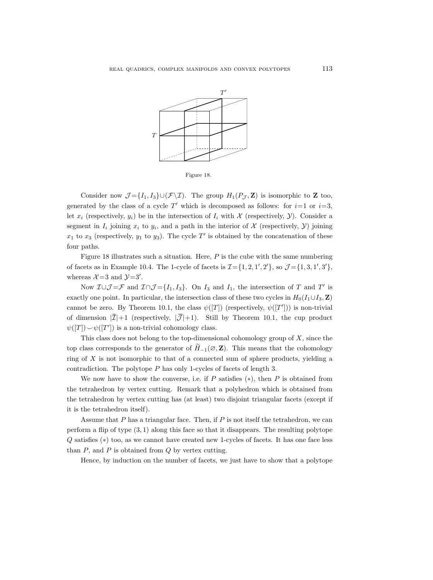

Figure 18.

Consider now  $\mathcal{J} = \{I_1, I_3\} \cup (\mathcal{F} \setminus \mathcal{I})$ . The group  $H_1(P_{\mathcal{J}}, \mathbf{Z})$  is isomorphic to **Z** too, generated by the class of a cycle  $T'$  which is decomposed as follows: for  $i=1$  or  $i=3$ , let  $x_i$  (respectively,  $y_i$ ) be in the intersection of  $I_i$  with  $\mathcal X$  (respectively,  $\mathcal Y$ ). Consider a segment in  $I_i$  joining  $x_i$  to  $y_i$ , and a path in the interior of  $\mathcal X$  (respectively,  $\mathcal Y$ ) joining  $x_1$  to  $x_3$  (respectively,  $y_1$  to  $y_3$ ). The cycle T' is obtained by the concatenation of these four paths.

Figure 18 illustrates such a situation. Here,  $P$  is the cube with the same numbering of facets as in Example 10.4. The 1-cycle of facets is  $\mathcal{I} = \{1, 2, 1', 2'\}$ , so  $\mathcal{J} = \{1, 3, 1', 3'\}$ , whereas  $\mathcal{X}=3$  and  $\mathcal{Y}=3'$ .

Now  $\mathcal{I} \cup \mathcal{J} = \mathcal{F}$  and  $\mathcal{I} \cap \mathcal{J} = \{I_1, I_3\}$ . On  $I_3$  and  $I_1$ , the intersection of T and T' is exactly one point. In particular, the intersection class of these two cycles in  $H_0(I_1\cup I_3, \mathbf{Z})$ cannot be zero. By Theorem 10.1, the class  $\psi([T])$  (respectively,  $\psi([T'])$ ) is non-trivial of dimension  $|\bar{\mathcal{I}}|+1$  (respectively,  $|\bar{\mathcal{J}}|+1$ ). Still by Theorem 10.1, the cup product  $\psi([T]) \smile \psi([T'])$  is a non-trivial cohomology class.

This class does not belong to the top-dimensional cohomology group of  $X$ , since the top class corresponds to the generator of  $H_{-1}(\mathcal{O}, \mathbf{Z})$ . This means that the cohomology ring of X is not isomorphic to that of a connected sum of sphere products, yielding a contradiction. The polytope P has only 1-cycles of facets of length 3.

We now have to show the converse, i.e. if P satisfies  $(*)$ , then P is obtained from the tetrahedron by vertex cutting. Remark that a polyhedron which is obtained from the tetrahedron by vertex cutting has (at least) two disjoint triangular facets (except if it is the tetrahedron itself).

Assume that  $P$  has a triangular face. Then, if  $P$  is not itself the tetrahedron, we can perform a flip of type  $(3,1)$  along this face so that it disappears. The resulting polytope Q satisfies (∗) too, as we cannot have created new 1-cycles of facets. It has one face less than  $P$ , and  $P$  is obtained from  $Q$  by vertex cutting.

Hence, by induction on the number of facets, we just have to show that a polytope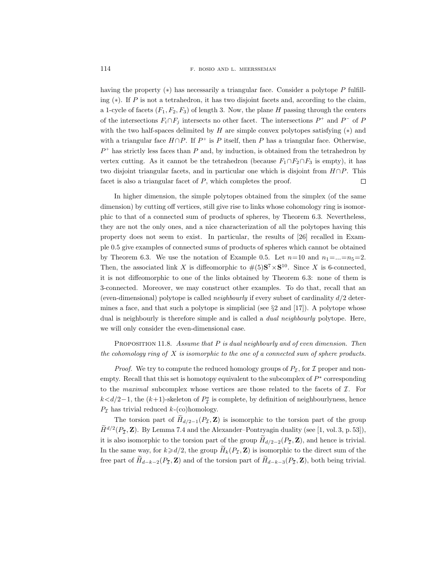having the property  $(*)$  has necessarily a triangular face. Consider a polytope P fulfilling  $(*)$ . If P is not a tetrahedron, it has two disjoint facets and, according to the claim, a 1-cycle of facets  $(F_1, F_2, F_3)$  of length 3. Now, the plane H passing through the centers of the intersections  $F_i \cap F_j$  intersects no other facet. The intersections  $P^+$  and  $P^-$  of P with the two half-spaces delimited by  $H$  are simple convex polytopes satisfying  $(*)$  and with a triangular face  $H \cap P$ . If  $P^+$  is P itself, then P has a triangular face. Otherwise,  $P^+$  has strictly less faces than P and, by induction, is obtained from the tetrahedron by vertex cutting. As it cannot be the tetrahedron (because  $F_1 \cap F_2 \cap F_3$  is empty), it has two disjoint triangular facets, and in particular one which is disjoint from  $H \cap P$ . This facet is also a triangular facet of  $P$ , which completes the proof.  $\Box$ 

In higher dimension, the simple polytopes obtained from the simplex (of the same dimension) by cutting off vertices, still give rise to links whose cohomology ring is isomorphic to that of a connected sum of products of spheres, by Theorem 6.3. Nevertheless, they are not the only ones, and a nice characterization of all the polytopes having this property does not seem to exist. In particular, the results of [26] recalled in Example 0.5 give examples of connected sums of products of spheres which cannot be obtained by Theorem 6.3. We use the notation of Example 0.5. Let  $n=10$  and  $n_1=\dots=n_5=2$ . Then, the associated link X is diffeomorphic to  $\#(5)S^7 \times S^{10}$ . Since X is 6-connected, it is not diffeomorphic to one of the links obtained by Theorem 6.3: none of them is 3-connected. Moreover, we may construct other examples. To do that, recall that an (even-dimensional) polytope is called *neighbourly* if every subset of cardinality  $d/2$  determines a face, and that such a polytope is simplicial (see  $\S 2$  and  $[17]$ ). A polytope whose dual is neighbourly is therefore simple and is called a *dual neighbourly* polytope. Here, we will only consider the even-dimensional case.

PROPOSITION 11.8. Assume that  $P$  is dual neighbourly and of even dimension. Then the cohomology ring of  $X$  is isomorphic to the one of a connected sum of sphere products.

*Proof.* We try to compute the reduced homology groups of  $P_{\mathcal{I}}$ , for  $\mathcal I$  proper and nonempty. Recall that this set is homotopy equivalent to the subcomplex of  $P^*$  corresponding to the maximal subcomplex whose vertices are those related to the facets of  $\mathcal{I}$ . For  $k< d/2-1$ , the  $(k+1)$ -skeleton of  $P^*$  is complete, by definition of neighbourlyness, hence  $P_{\mathcal{I}}$  has trivial reduced  $k$ -(co)homology.

The torsion part of  $H_{d/2-1}(P_{\mathcal{I}}, \mathbf{Z})$  is isomorphic to the torsion part of the group  $\hat{H}^{d/2}(P_{\mathcal{I}}, \mathbf{Z})$ . By Lemma 7.4 and the Alexander–Pontryagin duality (see [1, vol. 3, p. 53]), it is also isomorphic to the torsion part of the group  $H_{d/2-2}(P_{\bar{\mathcal{I}}}, \mathbf{Z})$ , and hence is trivial. In the same way, for  $k\geq d/2$ , the group  $H_k(P_{\mathcal{I}}, \mathbf{Z})$  is isomorphic to the direct sum of the free part of  $\widetilde{H}_{d-k-2}(P_{\overline{I}}, \mathbf{Z})$  and of the torsion part of  $\widetilde{H}_{d-k-3}(P_{\overline{I}}, \mathbf{Z})$ , both being trivial.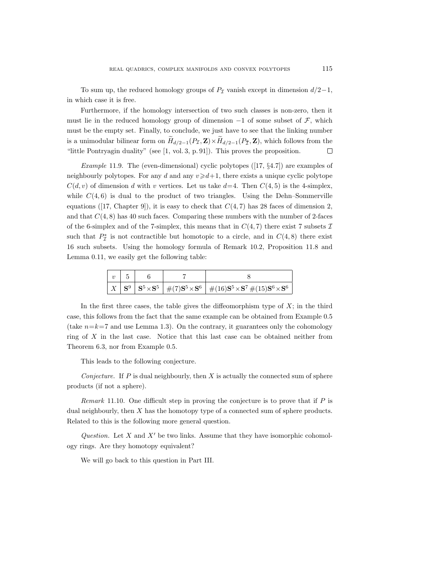To sum up, the reduced homology groups of  $P<sub>I</sub>$  vanish except in dimension  $d/2-1$ , in which case it is free.

Furthermore, if the homology intersection of two such classes is non-zero, then it must lie in the reduced homology group of dimension  $-1$  of some subset of  $\mathcal{F}$ , which must be the empty set. Finally, to conclude, we just have to see that the linking number is a unimodular bilinear form on  $H_{d/2-1}(P_{\mathcal{I}}, \mathbf{Z}) \times H_{d/2-1}(P_{\mathcal{I}}, \mathbf{Z})$ , which follows from the "little Pontryagin duality" (see [1, vol. 3, p. 91]). This proves the proposition.  $\Box$ 

*Example* 11.9. The (even-dimensional) cyclic polytopes  $(17, \S4.7)$  are examples of neighbourly polytopes. For any d and any  $v \ge d+1$ , there exists a unique cyclic polytope  $C(d, v)$  of dimension d with v vertices. Let us take  $d=4$ . Then  $C(4, 5)$  is the 4-simplex, while  $C(4, 6)$  is dual to the product of two triangles. Using the Dehn–Sommerville equations ([17, Chapter 9]), it is easy to check that  $C(4, 7)$  has 28 faces of dimension 2, and that  $C(4, 8)$  has 40 such faces. Comparing these numbers with the number of 2-faces of the 6-simplex and of the 7-simplex, this means that in  $C(4, 7)$  there exist 7 subsets  $\mathcal I$ such that  $P^*_{\mathcal{I}}$  is not contractible but homotopic to a circle, and in  $C(4, 8)$  there exist 16 such subsets. Using the homology formula of Remark 10.2, Proposition 11.8 and Lemma 0.11, we easily get the following table:

|  |  | $\mid X \mid \mathbf{S}^9 \mid \mathbf{S}^5 \times \mathbf{S}^5 \mid \#(7)\mathbf{S}^5 \times \mathbf{S}^6 \mid \#(16)\mathbf{S}^5 \times \mathbf{S}^7 \, \#(15)\mathbf{S}^6 \times \mathbf{S}^6$ |  |  |  |  |  |
|--|--|---------------------------------------------------------------------------------------------------------------------------------------------------------------------------------------------------|--|--|--|--|--|

In the first three cases, the table gives the diffeomorphism type of  $X$ ; in the third case, this follows from the fact that the same example can be obtained from Example 0.5 (take  $n=k=7$  and use Lemma 1.3). On the contrary, it guarantees only the cohomology ring of X in the last case. Notice that this last case can be obtained neither from Theorem 6.3, nor from Example 0.5.

This leads to the following conjecture.

Conjecture. If  $P$  is dual neighbourly, then  $X$  is actually the connected sum of sphere products (if not a sphere).

*Remark* 11.10. One difficult step in proving the conjecture is to prove that if  $P$  is dual neighbourly, then X has the homotopy type of a connected sum of sphere products. Related to this is the following more general question.

Question. Let X and  $X'$  be two links. Assume that they have isomorphic cohomology rings. Are they homotopy equivalent?

We will go back to this question in Part III.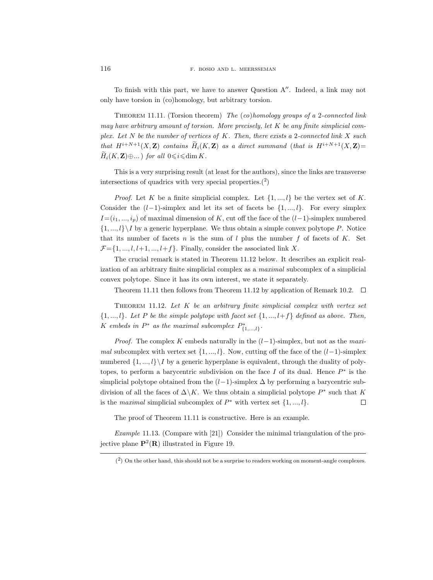To finish with this part, we have to answer Question  $A''$ . Indeed, a link may not only have torsion in (co)homology, but arbitrary torsion.

THEOREM 11.11. (Torsion theorem) The  $(co)$ homology groups of a 2-connected link may have arbitrary amount of torsion. More precisely, let  $K$  be any finite simplicial complex. Let  $N$  be the number of vertices of  $K$ . Then, there exists a 2-connected link  $X$  such that  $H^{i+N+1}(X,\mathbf{Z})$  contains  $\widetilde{H}_i(K,\mathbf{Z})$  as a direct summand (that is  $H^{i+N+1}(X,\mathbf{Z})=$  $H_i(K, \mathbf{Z}) \oplus ...$  for all  $0 \leqslant i \leqslant \dim K$ .

This is a very surprising result (at least for the authors), since the links are transverse intersections of quadrics with very special properties. $(2)$ 

*Proof.* Let K be a finite simplicial complex. Let  $\{1, ..., l\}$  be the vertex set of K. Consider the  $(l-1)$ -simplex and let its set of facets be  $\{1, ..., l\}$ . For every simplex  $I=(i_1, ..., i_p)$  of maximal dimension of K, cut off the face of the  $(l-1)$ -simplex numbered  $\{1, ..., l\}$  by a generic hyperplane. We thus obtain a simple convex polytope P. Notice that its number of facets n is the sum of  $l$  plus the number  $f$  of facets of  $K$ . Set  $\mathcal{F} = \{1, ..., l, l+1, ..., l+f\}$ . Finally, consider the associated link X.

The crucial remark is stated in Theorem 11.12 below. It describes an explicit realization of an arbitrary finite simplicial complex as a maximal subcomplex of a simplicial convex polytope. Since it has its own interest, we state it separately.

Theorem 11.11 then follows from Theorem 11.12 by application of Remark 10.2.  $\Box$ 

THEOREM 11.12. Let  $K$  be an arbitrary finite simplicial complex with vertex set  $\{1, ..., l\}$ . Let P be the simple polytope with facet set  $\{1, ..., l+f\}$  defined as above. Then, K embeds in  $P^*$  as the maximal subcomplex  $P_{\{1,\ldots,l\}}^*$ .

*Proof.* The complex K embeds naturally in the  $(l-1)$ -simplex, but not as the maximal subcomplex with vertex set  $\{1, ..., l\}$ . Now, cutting off the face of the  $(l-1)$ -simplex numbered  $\{1, ..., l\}$  by a generic hyperplane is equivalent, through the duality of polytopes, to perform a barycentric subdivision on the face  $I$  of its dual. Hence  $P^*$  is the simplicial polytope obtained from the  $(l-1)$ -simplex  $\Delta$  by performing a barycentric subdivision of all the faces of  $\Delta\backslash K$ . We thus obtain a simplicial polytope  $P^*$  such that K is the maximal simplicial subcomplex of  $P^*$  with vertex set  $\{1, ..., l\}$ .  $\Box$ 

The proof of Theorem 11.11 is constructive. Here is an example.

Example 11.13. (Compare with [21]) Consider the minimal triangulation of the projective plane  $\mathbf{P}^2(\mathbf{R})$  illustrated in Figure 19.

 $(2)$  On the other hand, this should not be a surprise to readers working on moment-angle complexes.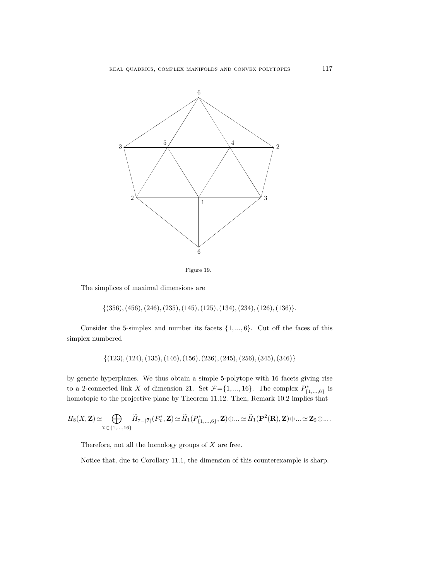



The simplices of maximal dimensions are

 $\{(356), (456), (246), (235), (145), (125), (134), (234), (126), (136)\}.$ 

Consider the 5-simplex and number its facets  $\{1, ..., 6\}$ . Cut off the faces of this simplex numbered

 $\{(123), (124), (135), (146), (156), (236), (245), (256), (345), (346)\}$ 

by generic hyperplanes. We thus obtain a simple 5-polytope with 16 facets giving rise to a 2-connected link X of dimension 21. Set  $\mathcal{F} = \{1, ..., 16\}$ . The complex  $P_{\{1, ..., 6\}}^*$  is homotopic to the projective plane by Theorem 11.12. Then, Remark 10.2 implies that

$$
H_8(X,\mathbf{Z})\simeq\bigoplus_{\mathcal{I}\subset\{1,...,16\}}\widetilde{H}_{7-|\bar{\mathcal{I}}|}(P_{\mathcal{I}}^*,\mathbf{Z})\simeq\widetilde{H}_1(P_{\{1,...,6\}}^*,\mathbf{Z})\oplus...\simeq\widetilde{H}_1(\mathbf{P}^2(\mathbf{R}),\mathbf{Z})\oplus...\simeq\mathbf{Z}_2\oplus...
$$

Therefore, not all the homology groups of  $X$  are free.

Notice that, due to Corollary 11.1, the dimension of this counterexample is sharp.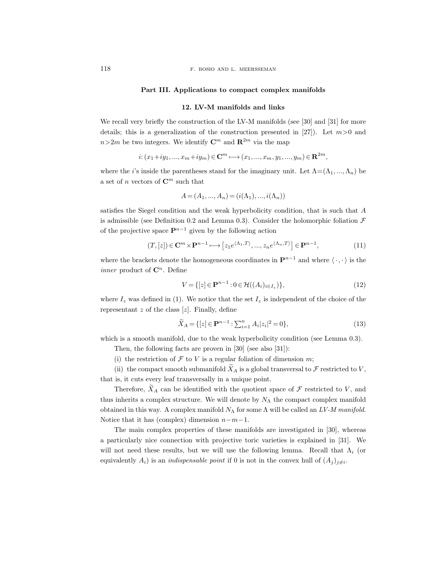## Part III. Applications to compact complex manifolds

## 12. LV-M manifolds and links

We recall very briefly the construction of the LV-M manifolds (see [30] and [31] for more details; this is a generalization of the construction presented in [27]). Let  $m>0$  and  $n>2m$  be two integers. We identify  $\mathbb{C}^m$  and  $\mathbb{R}^{2m}$  via the map

$$
i: (x_1+iy_1,...,x_m+iy_m) \in \mathbf{C}^m \longmapsto (x_1,...,x_m,y_1,...,y_m) \in \mathbf{R}^{2m},
$$

where the *i*'s inside the parentheses stand for the imaginary unit. Let  $\Lambda = (\Lambda_1, ..., \Lambda_n)$  be a set of n vectors of  $\mathbb{C}^m$  such that

$$
A = (A_1, ..., A_n) = (i(\Lambda_1), ..., i(\Lambda_n))
$$

satisfies the Siegel condition and the weak hyperbolicity condition, that is such that A is admissible (see Definition 0.2 and Lemma 0.3). Consider the holomorphic foliation  $\mathcal F$ of the projective space  $\mathbf{P}^{n-1}$  given by the following action

$$
(T, [z]) \in \mathbf{C}^m \times \mathbf{P}^{n-1} \longmapsto [z_1 e^{\langle \Lambda_1, T \rangle}, \dots, z_n e^{\langle \Lambda_n, T \rangle}] \in \mathbf{P}^{n-1},
$$
\n(11)

where the brackets denote the homogeneous coordinates in  $\mathbf{P}^{n-1}$  and where  $\langle \cdot, \cdot \rangle$  is the *inner* product of  $\mathbb{C}^n$ . Define

$$
V = \{ [z] \in \mathbf{P}^{n-1} : 0 \in \mathcal{H}((A_i)_{i \in I_z}) \},
$$
\n(12)

where  $I_z$  was defined in (1). We notice that the set  $I_z$  is independent of the choice of the representant  $z$  of the class  $[z]$ . Finally, define

$$
\widetilde{X}_A = \{ [z] \in \mathbf{P}^{n-1} : \sum_{i=1}^n A_i |z_i|^2 = 0 \},\tag{13}
$$

which is a smooth manifold, due to the weak hyperbolicity condition (see Lemma 0.3).

Then, the following facts are proven in [30] (see also [31]):

(i) the restriction of  $\mathcal F$  to  $V$  is a regular foliation of dimension m;

(ii) the compact smooth submanifold  $X_A$  is a global transversal to  ${\mathcal F}$  restricted to  $V,$ that is, it cuts every leaf transversally in a unique point.

Therefore,  $X_A$  can be identified with the quotient space of  $\mathcal F$  restricted to V, and thus inherits a complex structure. We will denote by  $N_A$  the compact complex manifold obtained in this way. A complex manifold  $N_{\Lambda}$  for some  $\Lambda$  will be called an LV-M manifold. Notice that it has (complex) dimension  $n-m-1$ .

The main complex properties of these manifolds are investigated in [30], whereas a particularly nice connection with projective toric varieties is explained in [31]. We will not need these results, but we will use the following lemma. Recall that  $\Lambda_i$  (or equivalently  $A_i$ ) is an *indispensable point* if 0 is not in the convex hull of  $(A_j)_{j\neq i}$ .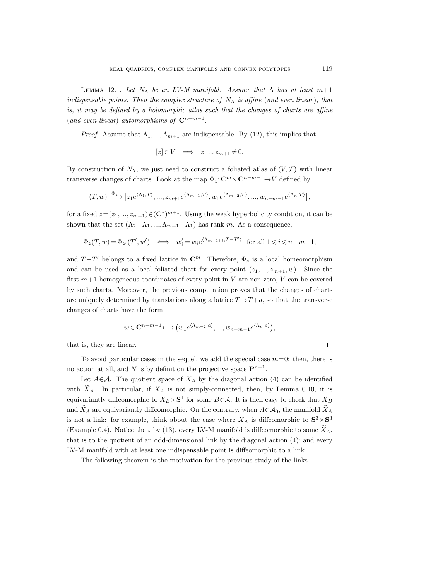LEMMA 12.1. Let  $N_{\Lambda}$  be an LV-M manifold. Assume that  $\Lambda$  has at least  $m+1$ indispensable points. Then the complex structure of  $N_{\Lambda}$  is affine (and even linear), that is, it may be defined by a holomorphic atlas such that the changes of charts are affine (and even linear) automorphisms of  $\mathbb{C}^{n-m-1}$ .

*Proof.* Assume that  $\Lambda_1, ..., \Lambda_{m+1}$  are indispensable. By (12), this implies that

$$
[z] \in V \quad \Longrightarrow \quad z_1 \ldots z_{m+1} \neq 0.
$$

By construction of  $N_{\Lambda}$ , we just need to construct a foliated atlas of  $(V, \mathcal{F})$  with linear transverse changes of charts. Look at the map  $\Phi_z: \mathbb{C}^m \times \mathbb{C}^{n-m-1} \to V$  defined by

$$
(T,w)\mathop{\longrightarrow}\limits^{\Phi_z}\big[z_1e^{\langle\Lambda_1,T\rangle},...,z_{m+1}e^{\langle\Lambda_{m+1},T\rangle},w_1e^{\langle\Lambda_{m+2},T\rangle},...,w_{n-m-1}e^{\langle\Lambda_n,T\rangle}\big],
$$

for a fixed  $z=(z_1, ..., z_{m+1})\in (\mathbb{C}^*)^{m+1}$ . Using the weak hyperbolicity condition, it can be shown that the set  $(\Lambda_2-\Lambda_1, ..., \Lambda_{m+1}-\Lambda_1)$  has rank m. As a consequence,

$$
\Phi_z(T, w) = \Phi_{z'}(T', w') \iff w'_i = w_i e^{\langle \Lambda_{m+1+i}, T-T' \rangle} \text{ for all } 1 \leq i \leq n-m-1,
$$

and  $T-T'$  belongs to a fixed lattice in  $\mathbb{C}^m$ . Therefore,  $\Phi_z$  is a local homeomorphism and can be used as a local foliated chart for every point  $(z_1, ..., z_{m+1}, w)$ . Since the first  $m+1$  homogeneous coordinates of every point in V are non-zero, V can be covered by such charts. Moreover, the previous computation proves that the changes of charts are uniquely determined by translations along a lattice  $T \rightarrow T + a$ , so that the transverse changes of charts have the form

$$
w \in \mathbb{C}^{n-m-1} \longmapsto (w_1 e^{\langle \Lambda_{m+2},a \rangle},..., w_{n-m-1} e^{\langle \Lambda_n,a \rangle}),
$$

that is, they are linear.

To avoid particular cases in the sequel, we add the special case  $m=0$ : then, there is no action at all, and N is by definition the projective space  $\mathbf{P}^{n-1}$ .

Let  $A \in \mathcal{A}$ . The quotient space of  $X_A$  by the diagonal action (4) can be identified with  $X_A$ . In particular, if  $X_A$  is not simply-connected, then, by Lemma 0.10, it is equivariantly diffeomorphic to  $X_B \times S^1$  for some  $B \in \mathcal{A}$ . It is then easy to check that  $X_B$ and  $X_A$  are equivariantly diffeomorphic. On the contrary, when  $A\in\mathcal{A}_0$ , the manifold  $X_A$ is not a link: for example, think about the case where  $X_A$  is diffeomorphic to  $S^3 \times S^3$ (Example 0.4). Notice that, by (13), every LV-M manifold is diffeomorphic to some  $\tilde{X}_A$ , that is to the quotient of an odd-dimensional link by the diagonal action (4); and every LV-M manifold with at least one indispensable point is diffeomorphic to a link.

The following theorem is the motivation for the previous study of the links.

 $\Box$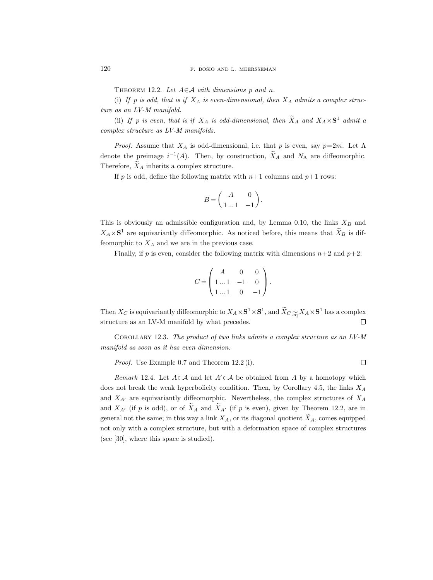THEOREM 12.2. Let  $A \in \mathcal{A}$  with dimensions p and n.

(i) If p is odd, that is if  $X_A$  is even-dimensional, then  $X_A$  admits a complex structure as an LV-M manifold.

(ii) If p is even, that is if  $X_A$  is odd-dimensional, then  $X_A$  and  $X_A \times S^1$  admit a complex structure as LV-M manifolds.

*Proof.* Assume that  $X_A$  is odd-dimensional, i.e. that p is even, say  $p=2m$ . Let  $\Lambda$ denote the preimage  $i^{-1}(A)$ . Then, by construction,  $X_A$  and  $N_A$  are diffeomorphic. Therefore,  $X_A$  inherits a complex structure.

If p is odd, define the following matrix with  $n+1$  columns and  $p+1$  rows:

$$
B = \begin{pmatrix} A & 0 \\ 1 \dots 1 & -1 \end{pmatrix}.
$$

This is obviously an admissible configuration and, by Lemma 0.10, the links  $X_B$  and  $X_A \times S^1$  are equivariantly diffeomorphic. As noticed before, this means that  $X_B$  is diffeomorphic to  $X_A$  and we are in the previous case.

Finally, if p is even, consider the following matrix with dimensions  $n+2$  and  $p+2$ :

$$
C = \begin{pmatrix} A & 0 & 0 \\ 1 \dots 1 & -1 & 0 \\ 1 \dots 1 & 0 & -1 \end{pmatrix}.
$$

Then  $X_C$  is equivariantly diffeomorphic to  $X_A\times\mathbf S^1\times\mathbf S^1,$  and  $\tilde X_C\underset{\text{eq}}{\simeq} X_A\times\mathbf S^1$  has a complex structure as an LV-M manifold by what precedes.  $\Box$ 

Corollary 12.3. The product of two links admits a complex structure as an LV-M manifold as soon as it has even dimension.

Proof. Use Example 0.7 and Theorem 12.2 (i).

$$
\qquad \qquad \Box
$$

Remark 12.4. Let  $A \in \mathcal{A}$  and let  $A' \in \mathcal{A}$  be obtained from A by a homotopy which does not break the weak hyperbolicity condition. Then, by Corollary 4.5, the links  $X_A$ and  $X_{A'}$  are equivariantly diffeomorphic. Nevertheless, the complex structures of  $X_A$ and  $X_{A'}$  (if p is odd), or of  $\widetilde{X}_{A}$  and  $\widetilde{X}_{A'}$  (if p is even), given by Theorem 12.2, are in general not the same; in this way a link  $X_A$ , or its diagonal quotient  $X_A$ , comes equipped not only with a complex structure, but with a deformation space of complex structures (see [30], where this space is studied).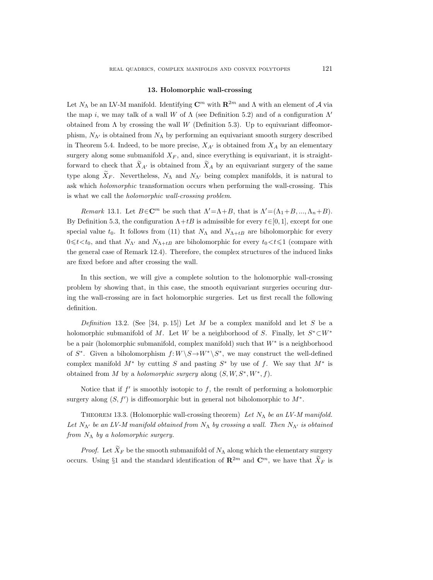## 13. Holomorphic wall-crossing

Let  $N_{\Lambda}$  be an LV-M manifold. Identifying  $\mathbb{C}^m$  with  $\mathbb{R}^{2m}$  and  $\Lambda$  with an element of  $\mathcal A$  via the map i, we may talk of a wall W of  $\Lambda$  (see Definition 5.2) and of a configuration  $\Lambda'$ obtained from  $\Lambda$  by crossing the wall W (Definition 5.3). Up to equivariant diffeomorphism,  $N_{\Lambda}$  is obtained from  $N_{\Lambda}$  by performing an equivariant smooth surgery described in Theorem 5.4. Indeed, to be more precise,  $X_{A'}$  is obtained from  $X_A$  by an elementary surgery along some submanifold  $X_F$ , and, since everything is equivariant, it is straightforward to check that  $X_{A'}$  is obtained from  $X_A$  by an equivariant surgery of the same type along  $X_F$ . Nevertheless,  $N_\Lambda$  and  $N_{\Lambda'}$  being complex manifolds, it is natural to ask which holomorphic transformation occurs when performing the wall-crossing. This is what we call the holomorphic wall-crossing problem.

Remark 13.1. Let  $B \in \mathbb{C}^m$  be such that  $\Lambda' = \Lambda + B$ , that is  $\Lambda' = (\Lambda_1 + B, ..., \Lambda_n + B)$ . By Definition 5.3, the configuration  $\Lambda + tB$  is admissible for every  $t \in [0, 1]$ , except for one special value  $t_0$ . It follows from (11) that  $N_{\Lambda}$  and  $N_{\Lambda+tB}$  are biholomorphic for every  $0 \leq t \leq t_0$ , and that  $N_{\Lambda'}$  and  $N_{\Lambda+tB}$  are biholomorphic for every  $t_0 \leq t \leq 1$  (compare with the general case of Remark 12.4). Therefore, the complex structures of the induced links are fixed before and after crossing the wall.

In this section, we will give a complete solution to the holomorphic wall-crossing problem by showing that, in this case, the smooth equivariant surgeries occuring during the wall-crossing are in fact holomorphic surgeries. Let us first recall the following definition.

Definition 13.2. (See [34, p. 15]) Let  $M$  be a complex manifold and let  $S$  be a holomorphic submanifold of M. Let W be a neighborhood of S. Finally, let  $S^* \subset W^*$ be a pair (holomorphic submanifold, complex manifold) such that W<sup>∗</sup> is a neighborhood of  $S^*$ . Given a biholomorphism  $f: W \backslash S \to W^* \backslash S^*$ , we may construct the well-defined complex manifold  $M^*$  by cutting S and pasting  $S^*$  by use of f. We say that  $M^*$  is obtained from M by a *holomorphic surgery* along  $(S, W, S^*, W^*, f)$ .

Notice that if  $f'$  is smoothly isotopic to  $f$ , the result of performing a holomorphic surgery along  $(S, f')$  is diffeomorphic but in general not biholomorphic to  $M^*$ .

THEOREM 13.3. (Holomorphic wall-crossing theorem) Let  $N_{\Lambda}$  be an LV-M manifold. Let  $N_{\Lambda'}$  be an LV-M manifold obtained from  $N_{\Lambda}$  by crossing a wall. Then  $N_{\Lambda'}$  is obtained from  $N_\Lambda$  by a holomorphic surgery.

*Proof.* Let  $\widetilde{X}_F$  be the smooth submanifold of  $N_\Lambda$  along which the elementary surgery occurs. Using §1 and the standard identification of  $\mathbb{R}^{2m}$  and  $\mathbb{C}^m$ , we have that  $\widetilde{X}_F$  is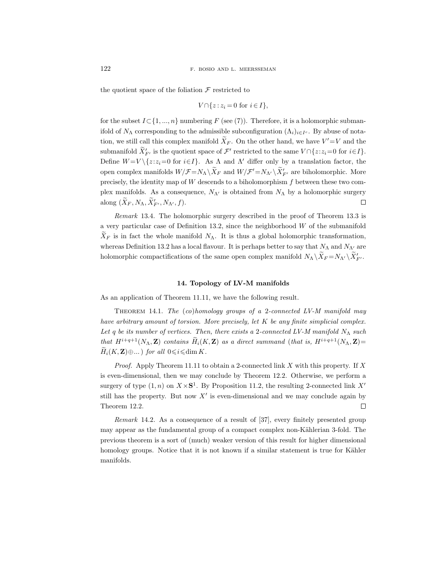the quotient space of the foliation  $\mathcal F$  restricted to

$$
V \cap \{z : z_i = 0 \text{ for } i \in I\},\
$$

for the subset  $I \subset \{1, ..., n\}$  numbering F (see (7)). Therefore, it is a holomorphic submanifold of  $N_{\Lambda}$  corresponding to the admissible subconfiguration  $(\Lambda_i)_{i \in I^c}$ . By abuse of notation, we still call this complex manifold  $X_F$ . On the other hand, we have  $V' = V$  and the submanifold  $X'_{F'}$  is the quotient space of  $\mathcal{F}'$  restricted to the same  $V \cap \{z:z_i=0 \text{ for } i \in I\}$ . Define  $W = V \setminus \{z:z_i=0 \text{ for } i \in I\}$ . As  $\Lambda$  and  $\Lambda'$  differ only by a translation factor, the open complex manifolds  $W/F = N_A \setminus X_F$  and  $W/F' = N_{\Lambda'} \setminus X'_{F'}$  are biholomorphic. More precisely, the identity map of  $W$  descends to a biholomorphism  $f$  between these two complex manifolds. As a consequence,  $N_{\Lambda}$  is obtained from  $N_{\Lambda}$  by a holomorphic surgery along  $(\tilde{X}_F, N_\Lambda, \tilde{X}'_{F'}, N_{\Lambda'}, f)$ .  $\Box$ 

Remark 13.4. The holomorphic surgery described in the proof of Theorem 13.3 is a very particular case of Definition 13.2, since the neighborhood W of the submanifold  $\widetilde{X}_F$  is in fact the whole manifold  $N_\Lambda$ . It is thus a global holomorphic transformation, whereas Definition 13.2 has a local flavour. It is perhaps better to say that  $N_{\Lambda}$  and  $N_{\Lambda'}$  are holomorphic compactifications of the same open complex manifold  $N_{\Lambda} \backslash \overline{X}_F = N_{\Lambda'} \backslash \overline{X}'_{F'}$ .

## 14. Topology of LV-M manifolds

As an application of Theorem 11.11, we have the following result.

THEOREM 14.1. The  $(co)$ homology groups of a 2-connected LV-M manifold may have arbitrary amount of torsion. More precisely, let  $K$  be any finite simplicial complex. Let q be its number of vertices. Then, there exists a 2-connected LV-M manifold  $N_{\Lambda}$  such that  $H^{i+q+1}(N_\Lambda, \mathbf{Z})$  contains  $\widetilde{H}_i(K, \mathbf{Z})$  as a direct summand (that is,  $H^{i+q+1}(N_\Lambda, \mathbf{Z})=$  $\widetilde{H}_i(K, \mathbf{Z}) \oplus ...$  for all  $0 \leq i \leq \dim K$ .

*Proof.* Apply Theorem 11.11 to obtain a 2-connected link X with this property. If X is even-dimensional, then we may conclude by Theorem 12.2. Otherwise, we perform a surgery of type  $(1, n)$  on  $X \times S^1$ . By Proposition 11.2, the resulting 2-connected link X' still has the property. But now  $X'$  is even-dimensional and we may conclude again by Theorem 12.2.  $\Box$ 

Remark 14.2. As a consequence of a result of [37], every finitely presented group may appear as the fundamental group of a compact complex non-Kählerian 3-fold. The previous theorem is a sort of (much) weaker version of this result for higher dimensional homology groups. Notice that it is not known if a similar statement is true for Kähler manifolds.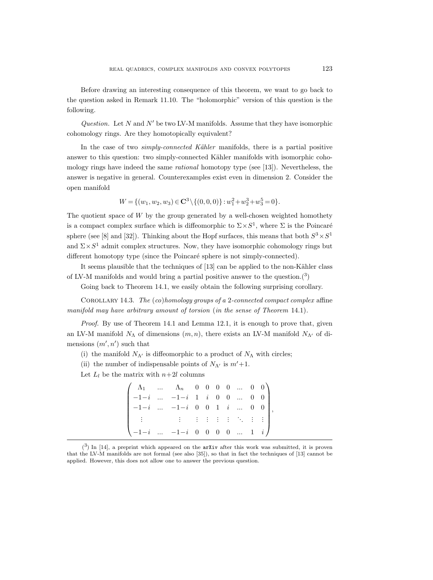Before drawing an interesting consequence of this theorem, we want to go back to the question asked in Remark 11.10. The "holomorphic" version of this question is the following.

Question. Let N and N' be two LV-M manifolds. Assume that they have isomorphic cohomology rings. Are they homotopically equivalent?

In the case of two  $simplify-connected$  Kähler manifolds, there is a partial positive answer to this question: two simply-connected Kähler manifolds with isomorphic cohomology rings have indeed the same rational homotopy type (see [13]). Nevertheless, the answer is negative in general. Counterexamples exist even in dimension 2. Consider the open manifold

$$
W = \{ (w_1, w_2, w_3) \in \mathbf{C}^3 \setminus \{ (0, 0, 0) \} : w_1^2 + w_2^3 + w_3^5 = 0 \}.
$$

The quotient space of  $W$  by the group generated by a well-chosen weighted homothety is a compact complex surface which is diffeomorphic to  $\Sigma \times S^1$ , where  $\Sigma$  is the Poincaré sphere (see [8] and [32]). Thinking about the Hopf surfaces, this means that both  $S^3 \times S^1$ and  $\Sigma \times S^1$  admit complex structures. Now, they have isomorphic cohomology rings but different homotopy type (since the Poincaré sphere is not simply-connected).

It seems plausible that the techniques of  $[13]$  can be applied to the non-Kähler class of LV-M manifolds and would bring a partial positive answer to the question.<sup>(3)</sup>

Going back to Theorem 14.1, we easily obtain the following surprising corollary.

COROLLARY 14.3. The  $(co)$  homology groups of a 2-connected compact complex affine manifold may have arbitrary amount of torsion (in the sense of Theorem 14.1).

Proof. By use of Theorem 14.1 and Lemma 12.1, it is enough to prove that, given an LV-M manifold  $N_{\Lambda}$  of dimensions  $(m, n)$ , there exists an LV-M manifold  $N_{\Lambda}$  of dimensions  $(m', n')$  such that

(i) the manifold  $N_{\Lambda'}$  is diffeomorphic to a product of  $N_{\Lambda}$  with circles;

(ii) the number of indispensable points of  $N_{\Lambda'}$  is  $m'+1$ .

Let  $L_l$  be the matrix with  $n+2l$  columns

|  | $\left(\begin{array}{ccccccccc} \Lambda_1 & \ldots & \Lambda_n & 0 & 0 & 0 & 0 & \ldots & 0 & 0 \\ -1-i & \ldots & -1-i & 1 & i & 0 & 0 & \ldots & 0 & 0 \\ -1-i & \ldots & -1-i & 0 & 0 & 1 & i & \ldots & 0 & 0 \\ \end{array}\right),$ |  |  |  |  |
|--|-------------------------------------------------------------------------------------------------------------------------------------------------------------------------------------------------------------------------------------------|--|--|--|--|
|  |                                                                                                                                                                                                                                           |  |  |  |  |
|  | $\begin{pmatrix} -1-i & \dots & -1-i & 0 & 0 & 0 & 0 & \dots & 1 & i \end{pmatrix}$                                                                                                                                                       |  |  |  |  |

 $(3)$  In [14], a preprint which appeared on the arXiv after this work was submitted, it is proven that the LV-M manifolds are not formal (see also [35]), so that in fact the techniques of [13] cannot be applied. However, this does not allow one to answer the previous question.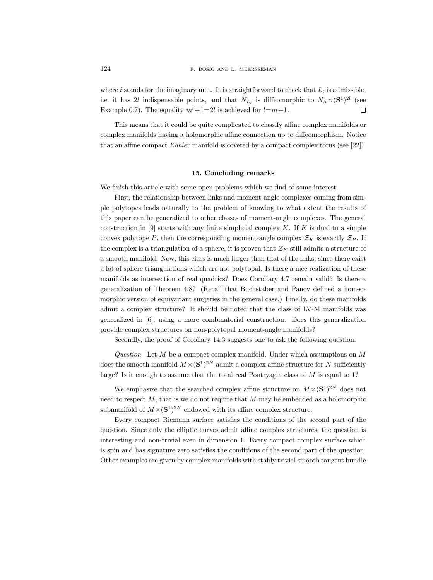where *i* stands for the imaginary unit. It is straightforward to check that  $L_l$  is admissible, i.e. it has 2l indispensable points, and that  $N_{L_l}$  is diffeomorphic to  $N_{\Lambda} \times (S^1)^{2l}$  (see Example 0.7). The equality  $m'+1=2l$  is achieved for  $l=m+1$ .  $\Box$ 

This means that it could be quite complicated to classify affine complex manifolds or complex manifolds having a holomorphic affine connection up to diffeomorphism. Notice that an affine compact Kähler manifold is covered by a compact complex torus (see [22]).

### 15. Concluding remarks

We finish this article with some open problems which we find of some interest.

First, the relationship between links and moment-angle complexes coming from simple polytopes leads naturally to the problem of knowing to what extent the results of this paper can be generalized to other classes of moment-angle complexes. The general construction in [9] starts with any finite simplicial complex  $K$ . If  $K$  is dual to a simple convex polytope P, then the corresponding moment-angle complex  $\mathcal{Z}_K$  is exactly  $\mathcal{Z}_P$ . If the complex is a triangulation of a sphere, it is proven that  $\mathcal{Z}_K$  still admits a structure of a smooth manifold. Now, this class is much larger than that of the links, since there exist a lot of sphere triangulations which are not polytopal. Is there a nice realization of these manifolds as intersection of real quadrics? Does Corollary 4.7 remain valid? Is there a generalization of Theorem 4.8? (Recall that Buchstaber and Panov defined a homeomorphic version of equivariant surgeries in the general case.) Finally, do these manifolds admit a complex structure? It should be noted that the class of LV-M manifolds was generalized in [6], using a more combinatorial construction. Does this generalization provide complex structures on non-polytopal moment-angle manifolds?

Secondly, the proof of Corollary 14.3 suggests one to ask the following question.

Question. Let  $M$  be a compact complex manifold. Under which assumptions on  $M$ does the smooth manifold  $M \times (S^1)^{2N}$  admit a complex affine structure for N sufficiently large? Is it enough to assume that the total real Pontryagin class of  $M$  is equal to 1?

We emphasize that the searched complex affine structure on  $M \times (S^1)^{2N}$  does not need to respect  $M$ , that is we do not require that  $M$  may be embedded as a holomorphic submanifold of  $M \times (S^1)^{2N}$  endowed with its affine complex structure.

Every compact Riemann surface satisfies the conditions of the second part of the question. Since only the elliptic curves admit affine complex structures, the question is interesting and non-trivial even in dimension 1. Every compact complex surface which is spin and has signature zero satisfies the conditions of the second part of the question. Other examples are given by complex manifolds with stably trivial smooth tangent bundle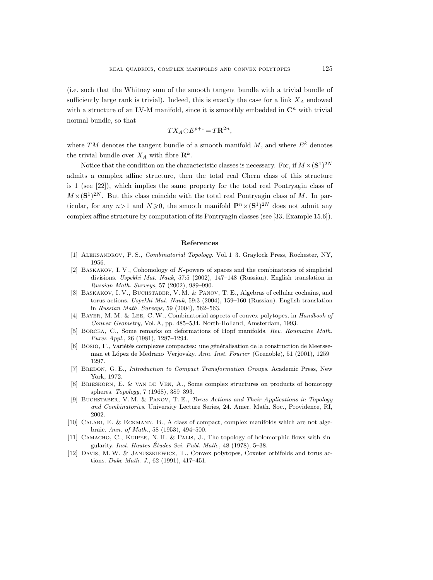(i.e. such that the Whitney sum of the smooth tangent bundle with a trivial bundle of sufficiently large rank is trivial). Indeed, this is exactly the case for a link  $X_A$  endowed with a structure of an LV-M manifold, since it is smoothly embedded in  $\mathbb{C}^n$  with trivial normal bundle, so that

$$
TX_A \oplus E^{p+1} = T\mathbf{R}^{2n},
$$

where TM denotes the tangent bundle of a smooth manifold  $M$ , and where  $E<sup>k</sup>$  denotes the trivial bundle over  $X_A$  with fibre  $\mathbf{R}^k$ .

Notice that the condition on the characteristic classes is necessary. For, if  $M \times (S^1)^{2N}$ admits a complex affine structure, then the total real Chern class of this structure is 1 (see [22]), which implies the same property for the total real Pontryagin class of  $M \times (S^1)^{2N}$ . But this class coincide with the total real Pontryagin class of M. In particular, for any  $n > 1$  and  $N \geq 0$ , the smooth manifold  $\mathbf{P}^n \times (\mathbf{S}^1)^{2N}$  does not admit any complex affine structure by computation of its Pontryagin classes (see [33, Example 15.6]).

## References

- [1] Aleksandrov, P. S., Combinatorial Topology. Vol. 1–3. Graylock Press, Rochester, NY, 1956.
- [2] Baskakov, I. V., Cohomology of K-powers of spaces and the combinatorics of simplicial divisions. Uspekhi Mat. Nauk, 57:5 (2002), 147–148 (Russian). English translation in Russian Math. Surveys, 57 (2002), 989–990.
- [3] BASKAKOV, I. V., BUCHSTABER, V. M. & PANOV, T. E., Algebras of cellular cochains, and torus actions. Uspekhi Mat. Nauk, 59:3 (2004), 159–160 (Russian). English translation in Russian Math. Surveys, 59 (2004), 562–563.
- [4] Bayer, M. M. & Lee, C.W., Combinatorial aspects of convex polytopes, in Handbook of Convex Geometry, Vol. A, pp. 485–534. North-Holland, Amsterdam, 1993.
- [5] Borcea, C., Some remarks on deformations of Hopf manifolds. Rev. Roumaine Math. Pures Appl., 26 (1981), 1287–1294.
- [6] Bosio, F., Variétés complexes compactes: une généralisation de la construction de Meersseman et López de Medrano–Verjovsky. Ann. Inst. Fourier (Grenoble), 51 (2001), 1259– 1297.
- [7] BREDON, G. E., *Introduction to Compact Transformation Groups*. Academic Press, New York, 1972.
- [8] Brieskorn, E. & van de Ven, A., Some complex structures on products of homotopy spheres. Topology, 7 (1968), 389–393.
- [9] Buchstaber, V. M. & Panov, T. E., Torus Actions and Their Applications in Topology and Combinatorics. University Lecture Series, 24. Amer. Math. Soc., Providence, RI, 2002.
- [10] Calabi, E. & Eckmann, B., A class of compact, complex manifolds which are not algebraic. Ann. of Math., 58 (1953), 494–500.
- [11] CAMACHO, C., KUIPER, N. H. & PALIS, J., The topology of holomorphic flows with singularity. Inst. Hautes Études Sci. Publ. Math.,  $48$  (1978),  $5-38$ .
- [12] Davis, M. W. & Januszkiewicz, T., Convex polytopes, Coxeter orbifolds and torus actions. Duke Math. J., 62 (1991), 417–451.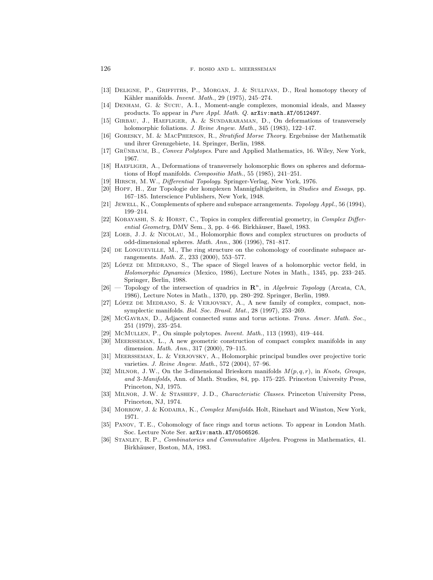- [13] Deligne, P., Griffiths, P., Morgan, J. & Sullivan, D., Real homotopy theory of Kähler manifolds. *Invent. Math.*, 29 (1975), 245-274.
- [14] Denham, G. & Suciu, A. I., Moment-angle complexes, monomial ideals, and Massey products. To appear in Pure Appl. Math. Q. arXiv:math.AT/0512497.
- [15] GIRBAU, J., HAEFLIGER, A. & SUNDARARAMAN, D., On deformations of transversely holomorphic foliations. J. Reine Angew. Math., 345 (1983), 122-147.
- [16] Goresky, M. & MacPherson, R., Stratified Morse Theory. Ergebnisse der Mathematik und ihrer Grenzgebiete, 14. Springer, Berlin, 1988.
- [17] GRÜNBAUM, B., Convex Polytopes. Pure and Applied Mathematics, 16. Wiley, New York, 1967.
- [18] Haefliger, A., Deformations of transversely holomorphic flows on spheres and deformations of Hopf manifolds. Compositio Math., 55 (1985), 241–251.
- [19] HIRSCH, M.W., *Differential Topology*. Springer-Verlag, New York, 1976.
- [20] Hopf, H., Zur Topologie der komplexen Mannigfaltigkeiten, in Studies and Essays, pp. 167–185. Interscience Publishers, New York, 1948.
- [21] JEWELL, K., Complements of sphere and subspace arrangements. Topology Appl., 56 (1994), 199–214.
- [22] KOBAYASHI, S. & HORST, C., Topics in complex differential geometry, in *Complex Differ* $ential~Geometry, DMV$  Sem., 3, pp. 4–66. Birkhäuser, Basel, 1983.
- [23] LOEB, J. J. & NICOLAU, M., Holomorphic flows and complex structures on products of odd-dimensional spheres. Math. Ann., 306 (1996), 781–817.
- [24] DE LONGUEVILLE, M., The ring structure on the cohomology of coordinate subspace arrangements. Math. Z., 233 (2000), 553–577.
- [25] LÓPEZ DE MEDRANO, S., The space of Siegel leaves of a holomorphic vector field, in Holomorphic Dynamics (Mexico, 1986), Lecture Notes in Math., 1345, pp. 233–245. Springer, Berlin, 1988.
- [26] Topology of the intersection of quadrics in  $\mathbb{R}^n$ , in Algebraic Topology (Arcata, CA, 1986), Lecture Notes in Math., 1370, pp. 280–292. Springer, Berlin, 1989.
- $[27]$  LÓPEZ DE MEDRANO, S. & VERJOVSKY, A., A new family of complex, compact, nonsymplectic manifolds. Bol. Soc. Brasil. Mat., 28 (1997), 253–269.
- [28] McGavran, D., Adjacent connected sums and torus actions. Trans. Amer. Math. Soc., 251 (1979), 235–254.
- [29] McMuLLEN, P., On simple polytopes. *Invent. Math.*, 113 (1993), 419-444.
- [30] Meersseman, L., A new geometric construction of compact complex manifolds in any dimension. Math. Ann., 317 (2000), 79–115.
- [31] Meersseman, L. & Verjovsky, A., Holomorphic principal bundles over projective toric varieties. J. Reine Angew. Math., 572 (2004), 57–96.
- [32] MILNOR, J.W., On the 3-dimensional Brieskorn manifolds  $M(p, q, r)$ , in Knots, Groups, and 3-Manifolds, Ann. of Math. Studies, 84, pp. 175–225. Princeton University Press, Princeton, NJ, 1975.
- [33] Milnor, J.W. & Stasheff, J. D., Characteristic Classes. Princeton University Press, Princeton, NJ, 1974.
- [34] MORROW, J. & KODAIRA, K., Complex Manifolds. Holt, Rinehart and Winston, New York, 1971.
- [35] Panov, T. E., Cohomology of face rings and torus actions. To appear in London Math. Soc. Lecture Note Ser. arXiv:math.AT/0506526.
- [36] Stanley, R. P., Combinatorics and Commutative Algebra. Progress in Mathematics, 41. Birkhäuser, Boston, MA, 1983.